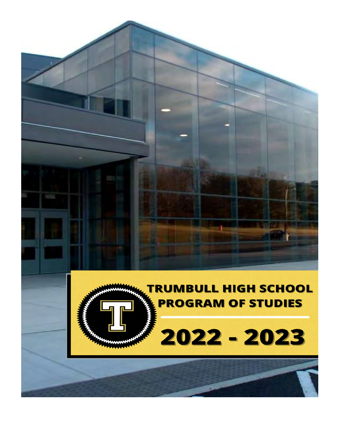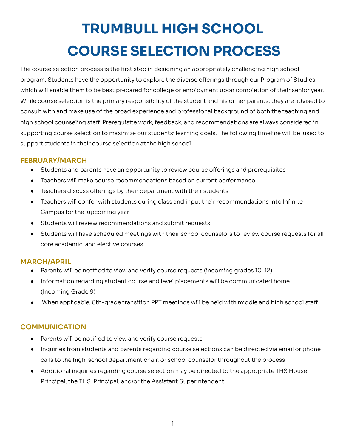# **TRUMBULL HIGH SCHOOL TRUMBULL HIGH SCHOOL<br>COURSE SELECTION PROCESS**

The course selection process is the first step in designing an appropriately challenging high school program. Students have the opportunity to explore the diverse offerings through our Program of Studies The course selection process is the first step in designing an appropriately challenging high school<br>program. Students have the opportunity to explore the diverse offerings through our Program of Studies<br>which will enable While course selection is the primary responsibility of the student and his or her parents, they are advised to consult with and make use of the broad experience and professional background of both the teaching and school counseling staff. Prerequisite work, feedback, and recommendations are always considered in supporting course selection to maximize our students' learning goals. The following timeline will be used to support students in their course selection at the high school: While course selection is the primary responsibility of the student and his or her parents, they are advised to<br>consult with and make use of the broad experience and professional background of both the teaching and<br>high sc

# **FEBRUARY/MARCH**

- Students and parents have an opportunity to review course offerings and prerequisites
- Teachers will make course recommendations based on current performance
- Teachers discuss offerings by their department with their students
- Teachers will confer with students during class and input their recommendations into Infinite<br>Campus for the upcoming year Campus for the upcoming year
- Students will review recommendations and submit requests
- Students will have scheduled meetings with their school counselors to review course requests for all<br>core academic and elective courses core academic and elective courses

# **MARCH/APRIL**

- Parents will be notified to view and verify course requests (incoming grades 10-12)
- Information regarding student course and level placements will be communicated home (Incoming Grade 9)
- When applicable, 8th-grade transition PPT meetings will be held with middle and high school staff

# **COMMUNICATION**

- Parents will be notified to view and verify course requests
- Inquiries from students and parents regarding course selections can be directed via email or phone calls to the high school department chair, or school counselor throughout the process
- Additional inquiries regarding course selection may be directed to the appropriate THS House<br>Principal, the THS Principal, and/or the Assistant Superintendent Principal, the THS Principal, and/or the Assistant Superintendent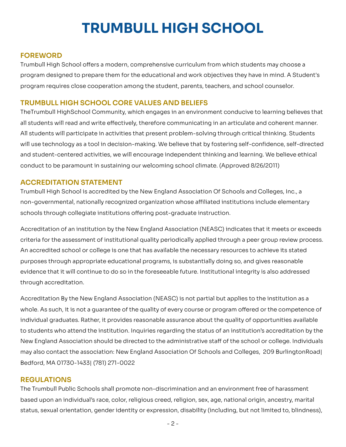# **TRUMBULL HIGH SCHOOL**

# **FOREWORD**

Trumbull High School offers a modern, comprehensive curriculum from which students may choose a designed to prepare them for the educational and work objectives they have in mind. A Student's program requires close cooperation among the student, parents, teachers, and school counselor. Trumbull High School offers a modern, comprehensive curriculum from which students may choose a<br>program designed to prepare them for the educational and work objectives they have in mind. A Student's<br>program requires close

#### **TRUMBULL HIGH SCHOOL CORE VALUES AND BELIEFS**

TheTrumbull HighSchool Community, which engages in an environment conducive to learning believes that all students will read and write effectively, therefore communicating in an articulate and coherent manner. students will participate in activities that present problem-solving through critical thinking. Students will use technology as a tool in decision-making. We believe that by fostering self-confidence, self-directed and student-centered activities, we will encourage independent thinking and learning. We believe ethical conduct to be paramount in sustaining our welcoming school climate. (Approved 8/26/2011) TheTrumbull HighSchool Community, which engages in an environment conducive to learning believes that<br>all students will read and write effectively, therefore communicating in an articulate and coherent manner.<br>All students

# **ACCREDITATION STATEMENT**

 Trumbull High School is accredited by the New England Association Of Schools and Colleges, Inc., a non-governmental, nationally recognized organization whose affiliated institutions include elementary<br>schools through collegiate institutions offering post-graduate instruction. schools through collegiate institutions offering post-graduate instruction.

 Accreditation of an institution by the New England Association (NEASC) indicates that it meets or exceeds criteria for the assessment of institutional quality periodically applied through a peer group review process. An accredited school or college is one that has available the necessary resources to achieve its stated An accredited school or college is one that has available the necessary resources to achieve its stated<br>purposes through appropriate educational programs, is substantially doing so, and gives reasonable evidence that it will continue to do so in the foreseeable future. Institutional integrity is also addressed through accreditation.

Accreditation By the New England Association (NEASC) is not partial but applies to the institution as a whole. As such, it is not a quarantee of the quality of every course or program offered or the competence of individual graduates. Rather, it provides reasonable assurance about the quality of opportunities available to students who attend the institution. Inquiries regarding the status of an institution's accreditation by the New England Association should be directed to the administrative staff of the school or college. Individuals may also contact the association: New England Association Of Schools and Colleges, 209 BurlingtonRoad| Bedford, MA 01730-1433| (781) 271-0022 Accreditation By the New England Association (NEASC) is not partial but applies to the institution as a<br>whole. As such, it is not a guarantee of the quality of every course or program offered or the competence of<br>individua

#### **REGULATIONS**

The Trumbull Public Schools shall promote non-discrimination and an environment free of harassment The Trumbull Public Schools shall promote non-discrimination and an environment free of harassment<br>based upon an individual's race, color, religious creed, religion, sex, age, national origin, ancestry, marital status, sexual orientation, gender identity or expression, disability (including, but not limited to, blindness),<br>- 2 -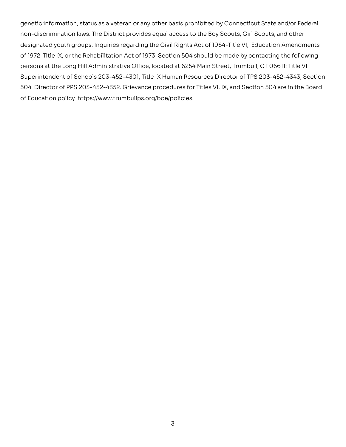genetic information, status as a veteran or any other basis prohibited by Connecticut State and/or Federal non-discrimination laws. The District provides equal access to the Boy Scouts, Girl Scouts, and other designated youth groups. Inquiries regarding the Civil Rights Act of 1964-Title VI, Education Amendments genetic information, status as a veteran or any other basis prohibited by Connecticut State and/or Federal<br>non-discrimination laws. The District provides equal access to the Boy Scouts, Girl Scouts, and other<br>designated yo persons at the Long Hill Administrative Office, located at 6254 Main Street, Trumbull, CT 06611: Title VI Superintendent of Schools 203-452-4301, Title IX Human Resources Director of TPS 203-452-4343, Section 504 Director of PPS 203-452-4352. Grievance procedures for Titles VI, IX, and Section 504 are in the Board of Education policy https://www.trumbullps.org/boe/policies. persons at the Long Hill Administration Office. Ionsted as GSP Main Street, Trumoull, O' DoEil The United States<br>Super-trendent of Schools 2023-452-4501, The IX: Human Resources Director or TPS 203-452-4542, Section<br>504 Di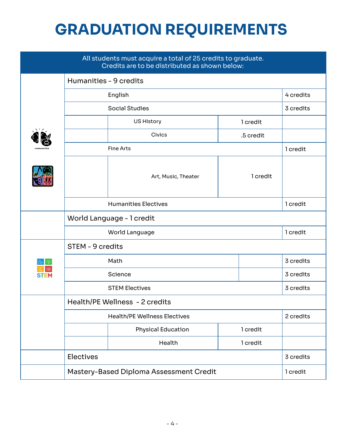# **GRADUATION REQUIREMENTS**

| All students must acquire a total of 25 credits to graduate.<br>Credits are to be distributed as shown below: |                                                                       |                               |          |          |           |
|---------------------------------------------------------------------------------------------------------------|-----------------------------------------------------------------------|-------------------------------|----------|----------|-----------|
|                                                                                                               | Humanities - 9 credits                                                |                               |          |          |           |
|                                                                                                               | English                                                               |                               |          |          | 4 credits |
|                                                                                                               | <b>Social Studies</b>                                                 |                               |          |          | 3 credits |
|                                                                                                               |                                                                       | <b>US History</b><br>1 credit |          |          |           |
|                                                                                                               |                                                                       | Civics<br>.5 credit           |          |          |           |
|                                                                                                               |                                                                       | <b>Fine Arts</b>              |          |          | 1 credit  |
|                                                                                                               |                                                                       | Art, Music, Theater           |          | 1 credit |           |
|                                                                                                               | <b>Humanities Electives</b>                                           |                               |          | 1 credit |           |
|                                                                                                               | World Language - 1 credit                                             |                               |          |          |           |
|                                                                                                               | World Language                                                        |                               |          |          | 1 credit  |
|                                                                                                               | STEM - 9 credits                                                      |                               |          |          |           |
|                                                                                                               |                                                                       | Math                          |          |          | 3 credits |
|                                                                                                               | Science                                                               |                               |          |          | 3 credits |
|                                                                                                               | <b>STEM Electives</b>                                                 |                               |          |          | 3 credits |
|                                                                                                               | Health/PE Wellness - 2 credits<br><b>Health/PE Wellness Electives</b> |                               |          |          |           |
|                                                                                                               |                                                                       |                               |          |          | 2 credits |
|                                                                                                               |                                                                       | <b>Physical Education</b>     | 1 credit |          |           |
|                                                                                                               |                                                                       | Health                        | 1 credit |          |           |
|                                                                                                               | Electives                                                             |                               |          |          | 3 credits |
|                                                                                                               | Mastery-Based Diploma Assessment Credit                               |                               |          |          | 1 credit  |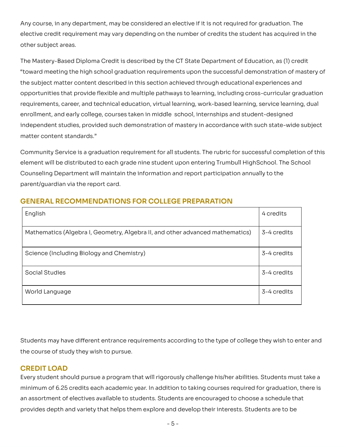Any course, in any department, may be considered an elective if it is not required for graduation. The elective credit requirement may vary depending on the number of credits the student has acquired in the<br>other subject areas. other subject areas.

The Mastery-Based Diploma Credit is described by the CT State Department of Education, as (1) credit meeting the high school graduation requirements upon the successful demonstration of mastery of the subject matter content described in this section achieved through educational experiences and opportunities that provide flexible and multiple pathways to learning, including cross-curricular graduation requirements, career, and technical education, virtual learning, work-based learning, service learning, dual enrollment, and early college, courses taken in middle school, internships and student-designed opportunities that provide flexible and multiple pathways to learning, including cross-curricular graduation<br>requirements, career, and technical education, virtual learning, work-based learning, service learning, dual<br>enro matter content standards." The Mastery-Based Diploma Credit is described by the CT State Department of Education, as (1) credit<br>"toward meeting the high school graduation requirements upon the successful demonstration of mastery of<br>the subject matte

Community Service is a graduation requirement for all students. The rubric for successful completion of this will be distributed to each grade nine student upon entering Trumbull HighSchool. The School Counseling Department will maintain the information and report participation annually to the parent/quardian via the report card. Community Service is a graduation requirement for all students. The rubric for successful completion of this<br>element will be distributed to each grade nine student upon entering Trumbull HighSchool. The School<br>Counseling D

| English                                                                                                   | 4 credits   |
|-----------------------------------------------------------------------------------------------------------|-------------|
| Mathematics (Algebra I, Geometry, Algebra II, and other advanced mathematics)                             | 3-4 credits |
| Science (Including Biology and Chemistry)                                                                 | 3-4 credits |
| <b>Social Studies</b>                                                                                     | 3-4 credits |
| World Language                                                                                            | 3-4 credits |
|                                                                                                           |             |
| Students may have different entrance requirements according to the type of college they wish to enter and |             |
| the course of study they wish to pursue.                                                                  |             |

# **GENERAL RECOMMENDATIONS FOR COLLEGE PREPARATION**

# **CREDIT LOAD**

Every student should pursue a program that will rigorously challenge his/her abilities. Students must take a of 6.25 credits each academic year. In addition to taking courses required for graduation, there is an assortment of electives available to students. Students are encouraged to choose a schedule that provides depth and variety that helps them explore and develop their interests. Students are to be-<br>- 5 -Every student should pursue a program that will rigorously challenge his/her abilities. Students must take a<br>minimum of 6.25 credits each academic year. In addition to taking courses required for graduation, there is<br>an as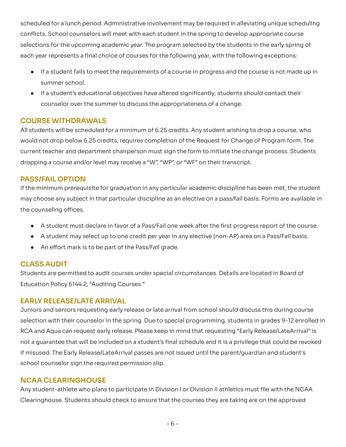scheduled for a lunch period. Administrative involvement may be required in alleviating unique scheduling School counselors will meet with each student in the spring to develop appropriate course selections for the upcoming academic year. The program selected by the students in the early spring of each year represents a final choice of courses for the following year, with the following exceptions: scheduled for a lunch period. Administrative involvement may be required in alleviating unique scheduling<br>conflicts. School counselors will meet with each student in the spring to develop appropriate course<br>selections for

- If a student fails to meet the requirements of a course in progress and the course is not made up in summer school.
- If a student's educational objectives have altered significantly; students should contact their<br>counselor over the summer to discuss the appropriateness of a change. counselor over the summer to discuss the appropriateness of a change.

# **COURSE WITHDRAWALS**

All students will be scheduled for a minimum of 6.25 credits. Any student wishing to drop a course, who All students will be scheduled for a minimum of 6.25 credits. Any student wishing to drop a course, who<br>would not drop below 6.25 credits, requires completion of the Request for Change of Program form. The current teacher and department chairperson must sign the form to initiate the change process. Students<br>dropping a course and/or level may receive a "W", "WP", or "WF" on their transcript. dropping a course and/or level may receive a "W", "WP", or "WF" on their transcript.

### **PASS/FAIL OPTION**

 If the minimum prerequisite for graduation in any particular academic discipline has been met, the student may choose any subject in that particular discipline as an elective on a pass/fail basis. Forms are available in<br>the counseling offices. the counseling offices.

- A student must declare in favor of a Pass/Fail one week after the first progress report of the course.
- A student may select up to one credit per year in any elective (non-AP) area on a Pass/Fail basis.
- An effort mark is to be part of the Pass/Fail grade.

#### **CLASS AUDIT**

Students are permitted to audit courses under special circumstances. Details are located in Board of<br>Education Policy 6144.2, "Auditing Courses." Education Policy 6144.2, "Auditing Courses."

#### **EARLY RELEASE/LATE ARRIVAL**

Juniors and seniors requesting early release or late arrival from school should discuss this during course selection with their counselor in the spring. Due to special programming, students in grades 9-12 enrolled in Juniors and seniors requesting early release or late arrival from school should discuss this during course<br>selection with their counselor in the spring. Due to special programming, students in grades 9-12 enrolled in<br>RCA a not a quarantee that will be included on a student's final schedule and it is a privilege that could be revoked misused. The Early Release/LateArrival passes are not issued until the parent/guardian and student's school counselor sign the required permission slip. not a guarantee that will be included on a student's final schedule and it is a privilege that could be revoked<br>if misused. The Early Release/LateArrival passes are not issued until the parent/guardian and student's<br>school

#### **NCAA CLEARINGHOUSE**

Any student-athlete who plans to participate in Division I or Division II athletics must file with the NCAA Students should check to ensure that the courses they are taking are on the approved Any student-athlete who plans to participate in Division I or Division II athletics must file with the NCAA<br>Clearinghouse. Students should check to ensure that the courses they are taking are on the approved<br>- 6 -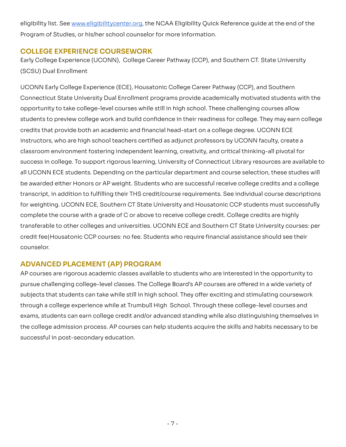eligibility list. See <u>www.eligibilitycenter.org</u>, the NCAA Eligibility Quick Reference guide at the end of the<br>Program of Studies, or his/her school counselor for more information. Program of Studies, or his/her school counselor for more information.

## **COLLEGE EXPERIENCE COURSEWORK**

Early College Experience (UCONN), College Career Pathway (CCP), and Southern CT. State University (SCSU) Dual Enrollment

UCONN Early College Experience (ECE), Housatonic College Career Pathway (CCP), and Southern Early College Experience (UCONN), College Career Pathway (CCP), and Southern CT. State University<br>(SCSU) Dual Enrollment<br>UCONN Early College Experience (ECE), Housatonic College Career Pathway (CCP), and Southern<br>Connectic opportunity to take college-level courses while still in high school. These challenging courses allow to preview college work and build confidence in their readiness for college. They may earn college credits that provide both an academic and financial head-start on a college degree. UCONN ECE instructors, who are high school teachers certified as adjunct professors by UCONN faculty, create a classroom environment fostering independent learning, creativity, and critical thinking-all pivotal for in college. To support rigorous learning, University of Connecticut Library resources are available to all UCONN ECE students. Depending on the particular department and course selection, these studies will be awarded either Honors or AP weight. Students who are successful receive college credits and a college transcript, in addition to fulfilling their THS credit/course requirements. See individual course descriptions for weighting. UCONN ECE, Southern CT State University and Housatonic CCP students must successfully complete the course with a grade of C or above to receive college credit. College credits are highly transferable to other colleges and universities. UCONN ECE and Southern CT State University courses: per credit feel Housatonic CCP courses: no fee. Students who require financial assistance should see their counselor. opportunity to take college-level courses while still in high school. These challenging courses allow<br>students to preview college work and build confidence in their readiness for college. They may earn college<br>credits that instructors, who are high school teachers certified as adjunct professors by UCONN faculty, create a<br>classroom environment fostering independent learning, creativity, and critical thinking-all pivotal for<br>success in colleg be awarded either Honors or AP weight. Students who are successful receive college credits and a college<br>transcript, in addition to fulfilling their THS credit/course requirements. See individual course descriptions<br>for we

# **ADVANCED PLACEMENT (AP) PROGRAM**

AP courses are rigorous academic classes available to students who are interested in the opportunity to pursue challenging college-level classes. The College Board's AP courses are offered in a wide variety of AP courses are rigorous academic classes available to students who are interested in the opportunity to<br>pursue challenging college-level classes. The College Board's AP courses are offered in a wide variety of<br>subjects tha through a college experience while at Trumbull High School. Through these college-level courses and through a college experience while at Trumbull High School. Through these college-level courses and<br>exams, students can earn college credit and/or advanced standing while also distinguishing themselves in the college admission process. AP courses can help students acquire the skills and habits necessary to be<br>successful in post-secondary education. successful in post-secondary education.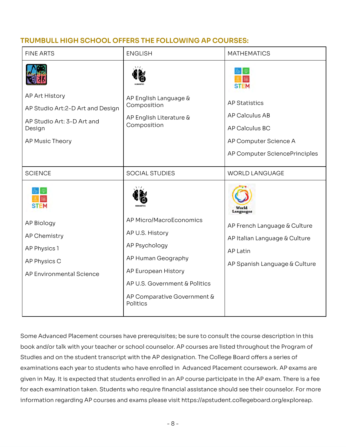# **TRUMBULL HIGH SCHOOL OFFERS THE FOLLOWING AP COURSES:**

| <b>FINE ARTS</b>                                                                                                                                                                                                                                                                                                        | <b>ENGLISH</b>                                                                                                                                                                       | <b>MATHEMATICS</b>                                                                                                                             |
|-------------------------------------------------------------------------------------------------------------------------------------------------------------------------------------------------------------------------------------------------------------------------------------------------------------------------|--------------------------------------------------------------------------------------------------------------------------------------------------------------------------------------|------------------------------------------------------------------------------------------------------------------------------------------------|
|                                                                                                                                                                                                                                                                                                                         |                                                                                                                                                                                      |                                                                                                                                                |
| AP Art History<br>AP Studio Art: 2-D Art and Design<br>AP Studio Art: 3-D Art and<br>Design<br>AP Music Theory                                                                                                                                                                                                          | AP English Language &<br>Composition<br>AP English Literature &<br>Composition                                                                                                       | <b>AP Statistics</b><br><b>AP Calculus AB</b><br>AP Calculus BC<br>AP Computer Science A<br>AP Computer SciencePrinciples                      |
| <b>SCIENCE</b>                                                                                                                                                                                                                                                                                                          | <b>SOCIAL STUDIES</b>                                                                                                                                                                | <b>WORLD LANGUAGE</b>                                                                                                                          |
| <b>AP Biology</b><br><b>AP Chemistry</b><br>AP Physics 1<br>AP Physics C<br>AP Environmental Science                                                                                                                                                                                                                    | AP Micro/MacroEconomics<br>AP U.S. History<br>AP Psychology<br>AP Human Geography<br>AP European History<br>AP U.S. Government & Politics<br>AP Comparative Government &<br>Politics | World<br><b>Languages</b><br>AP French Language & Culture<br>AP Italian Language & Culture<br><b>AP Latin</b><br>AP Spanish Language & Culture |
| Some Advanced Placement courses have prerequisites; be sure to consult the course description in this<br>book and/or talk with your teacher or school counselor. AP courses are listed throughout the Program of<br>Studies and on the student transcript with the AP designation. The College Board offers a series of |                                                                                                                                                                                      |                                                                                                                                                |

Some Advanced Placement courses have prerequisites; be sure to consult the course description in this book and/or talk with your teacher or school counselor. AP courses are listed throughout the Program of Studies and on the student transcript with the AP designation. The College Board offers a series of examinations each year to students who have enrolled in Advanced Placement coursework. AP exams are given in May. It is expected that students enrolled in an AP course participate in the AP exam. There is a fee for each examination taken. Students who require financial assistance should see their counselor. For more examinations each year to students who have enrolled in Advanced Placement coursework. AP exams are<br>given in May. It is expected that students enrolled in an AP course participate in the AP exam. There is a fee<br>for each e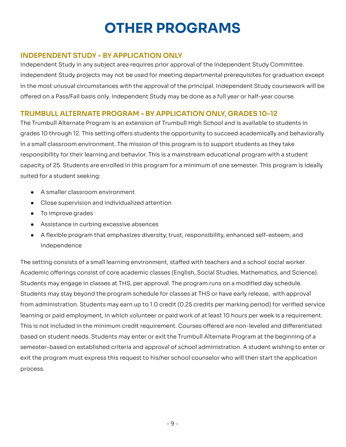# **OTHER PROGRAMS**

# **INDEPENDENT STUDY - BY APPLICATION ONLY**

Independent Study in any subject area requires prior approval of the Independent Study Committee. Independent Study in any subject area requires prior approval of the Independent Study Committee.<br>Independent Study projects may not be used for meeting departmental prerequisites for graduation except in the most unusual circumstances with the approval of the principal. Independent Study coursework will be in the most unusual circumstances with the approval of the principal. Independent Study coursework will be<br>offered on a Pass/Fail basis only. Independent Study may be done as a full year or half-year course.

# **TRUMBULL ALTERNATE PROGRAM - BY APPLICATION ONLY, GRADES 10-12**

The Trumbull Alternate Program is an extension of Trumbull High School and is available to students in 10 through 12. This setting offers students the opportunity to succeed academically and behaviorally in a small classroom environment. The mission of this program is to support students as they take responsibility for their learning and behavior. This is a mainstream educational program with a student responsibility for their learning and behavior. This is a mainstream educational program with a student<br>capacity of 25. Students are enrolled in this program for a minimum of one semester. This program is ideally suited for a student seeking: The Trumbull Alternate Program is an extension of Trumbull High School and is available to students in<br>grades 10 through 12. This setting offers students the opportunity to succeed academically and behaviorally<br>in a small

- A smaller classroom environment
- Close supervision and individualized attention
- To improve grades
- Assistance in curbing excessive absences
- A flexible program that emphasizes diversity, trust, responsibility, enhanced self-esteem, and independence

The setting consists of a small learning environment, staffed with teachers and a school social worker. The setting consists of a small learning environment, staffed with teachers and a school social worker.<br>Academic offerings consist of core academic classes (English, Social Studies, Mathematics, and Science). Students may engage in classes at THS, per approval. The program runs on a modified day schedule. Students may engage in classes at THS, per approval. The program runs on a modified day schedule.<br>Students may stay beyond the program schedule for classes at THS or have early release, with approval from administration. Students may earn up to 1.0 credit (0.25 credits per marking period) for verified service learning or paid employment, in which volunteer or paid work of at least 10 hours per week is a requirement. is not included in the minimum credit requirement. Courses offered are non-leveled and differentiated based on student needs. Students may enter or exit the Trumbull Alternate Program at the beginning of a semester-based on established criteria and approval of school administration. A student wishing to enter or exit the program must express this request to his/her school counselor who will then start the application process. from administration. Students may earn up to 1.0 credit (0.25 credits per marking period) for verified service<br>learning or paid employment, in which volunteer or paid work of at least 10 hours per week is a requirement.<br>Th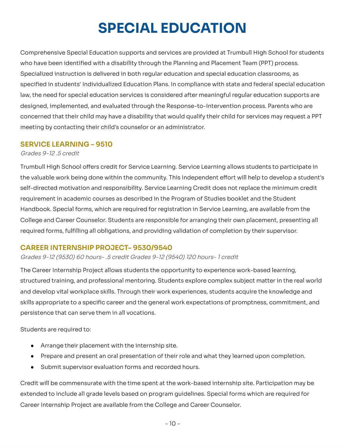# **SPECIAL EDUCATION**

Comprehensive Special Education supports and services are provided at Trumbull High School for students who have been identified with a disability through the Planning and Placement Team (PPT) process. Specialized instruction is delivered in both reqular education and special education classrooms, as specified in students' Individualized Education Plans. In compliance with state and federal special education law, the need for special education services is considered after meaningful regular education supports are designed, implemented, and evaluated through the Response-to-Intervention process. Parents who are concerned that their child may have a disability that would qualify their child for services may request a PPT meeting by contacting their child's counselor or an administrator. Comprehensive Special Education supports and services are provided at Trumbull High School for students<br>who have been identified with a disability through the Planning and Placement Team (PPT) process.<br>Specialized instruct

#### **SERVICE LEARNING – 9510**

- - - - - - - - - - -Grades 9-12 .5 credit

Trumbull High School offers credit for Service Learning. Service Learning allows students to participate in valuable work being done within the community. This Independent effort will help to develop a student's self-directed motivation and responsibility. Service Learning Credit does not replace the minimum credit requirement in academic courses as described in the Program of Studies booklet and the Student Handbook. Special forms, which are required for registration in Service Learning, are available from the and Career Counselor. Students are responsible for arranging their own placement, presenting all required forms, fulfilling all obligations, and providing validation of completion by their supervisor. Trumbull High School offers credit for Service Learning. Service Learning allows students to participate in<br>the valuable work being done within the community. This Independent effort will help to develop a student's<br>self-d requirement in academic courses as described in the Program of Studies booklet and the Student<br>Handbook. Special forms, which are required for registration in Service Learning, are available from the<br>College and Career Cou

#### **CAREER INTERNSHIP PROJECT– 9530/9540**

Grades 9-12 (9530) 60 hours- .5 credit Grades 9-12 (9540) 120 hours- 1 credit

The Career Internship Project allows students the opportunity to experience work-based learning, training, and professional mentoring. Students explore complex subject matter in the real world and develop vital workplace skills. Through their work experiences, students acquire the knowledge and skills appropriate to a specific career and the general work expectations of promptness, commitment, and persistence that can serve them in all vocations. The Career Internship Project allows students the opportunity to experience work-based learning,<br>structured training, and professional mentoring. Students explore complex subject matter in the real world<br>and develop vital

Students are required to:

- Arrange their placement with the internship site.
- Prepare and present an oral presentation of their role and what they learned upon completion.
- Submit supervisor evaluation forms and recorded hours.

Credit will be commensurate with the time spent at the work-based internship site. Participation may be to include all grade levels based on program guidelines. Special forms which are required for Career Internship Project are available from the College and Career Counselor. Credit will be commensurate with the time spent at the work-based internship site. Participation may be<br>extended to include all grade levels based on program guidelines. Special forms which are required for<br>Career Internsh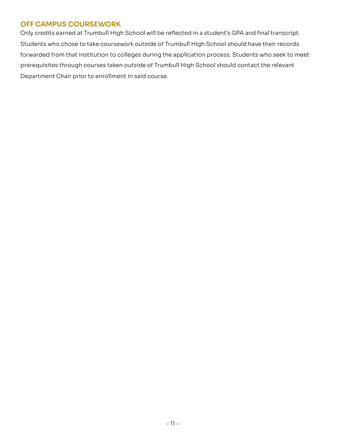# **OFF CAMPUS COURSEWORK**

Only credits earned at Trumbull High School will be reflected in a student's GPA and final transcript. Students who chose to take coursework outside of Trumbull High School should have their records forwarded from that institution to colleges during the application process. Students who seek to meet prerequisites through courses taken outside of Trumbull High School should contact the relevant Department Chair prior to enrollment in said course. Only orestra can need at Trumpal High School will be reflected in a structure to MA in the future crist.<br>Students who choose to take course work outside of Trumpal High School should have their records<br>forwarded from their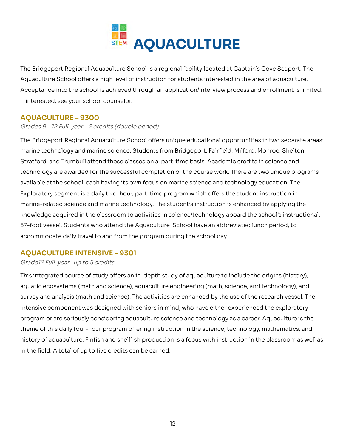

The Bridgeport Regional Aguaculture School is a regional facility located at Captain's Cove Seaport. The Aquaculture School offers a high level of instruction for students interested in the area of aquaculture. into the school is achieved through an application/interview process and enrollment is limited. If interested, see your school counselor. The Bridgeport Regional Aquaculture School is a regional facility located at Captain's Cove Seaport. The<br>Aquaculture School offers a high level of instruction for students interested in the area of aquaculture.<br>Acceptance

# **AQUACULTURE – 9300**

Grades 9 - 12 Full-year - 2 credits (double period)

The Bridgeport Regional Aguaculture School offers unique educational opportunities in two separate areas: marine technology and marine science. Students from Bridgeport, Fairfield, Milford, Monroe, Shelton, The Bridgeport Regional Aquaculture School offers unique educational opportunities in two separate areas:<br>marine technology and marine science. Students from Bridgeport, Fairfield, Milford, Monroe, Shelton,<br>Stratford, and technology are awarded for the successful completion of the course work. There are two unique programs available at the school, each having its own focus on marine science and technology education. The segment is a daily two-hour, part-time program which offers the student instruction in marine-related science and marine technology. The student's instruction is enhanced by applying the knowledge acquired in the classroom to activities in science/technology aboard the school's instructional, 57-foot vessel. Students who attend the Aquaculture School have an abbreviated lunch period, to accommodate daily travel to and from the program during the school day. available at the school, each having its own focus on marine science and technology education. The<br>Exploratory segment is a daily two-hour, part-time program which offers the student instruction in<br>marine-related science a

# **AQUACULTURE INTENSIVE – 9301**

#### Grade12 Full-year- up to 5 credits

This integrated course of study offers an in-depth study of aquaculture to include the origins (history), aquatic ecosystems (math and science), aquaculture engineering (math, science, and technology), and and analysis (math and science). The activities are enhanced by the use of the research vessel. The Intensive component was designed with seniors in mind, who have either experienced the exploratory program or are seriously considering aquaculture science and technology as a career. Aquaculture is the theme of this daily four-hour program offering instruction in the science, technology, mathematics, and of aquaculture. Finfish and shellfish production is a focus with instruction in the classroom as well as in the field. A total of up to five credits can be earned. This integrated course of study offers an in-depth study of aquaculture to include the origins (history),<br>aquatic ecosystems (math and science), aquaculture engineering (math, science, and technology), and<br>survey and analy theme of this daily four-hour program offering instruction in the science, technology, mathematics, and<br>history of aquaculture. Finfish and shellfish production is a focus with instruction in the classroom as well as<br>in th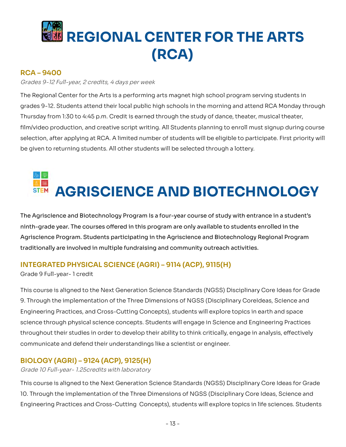# **REGIONAL CENTER FOR THE ARTS (RCA)**

# **RCA – 9400**

#### Grades 9-12 Full-year, 2 credits, 4 days per week

The Regional Center for the Arts is a performing arts magnet high school program serving students in grades 9-12. Students attend their local public high schools in the morning and attend RCA Monday through Thursday from 1:30 to 4:45 p.m. Credit is earned through the study of dance, theater, musical theater, production, and creative script writing. All Students planning to enroll must signup during course selection, after applying at RCA. A limited number of students will be eligible to participate. First priority will be given to returning students. All other students will be selected through a lottery. The Regional Center for the Arts is a performing arts magnet high school program serving students in<br>grades 9-12. Students attend their local public high schools in the morning and attend RCA Monday through<br>Thursday from 1

# **AGRISCIENCE AND BIOTECHNOLOGY**

The Agriscience and Biotechnology Program Is a four-year course of study with entrance in a student's ninth-grade year. The courses offered in this program are only available to students enrolled in the Program. Students participating in the Agriscience and Biotechnology Regional Program traditionally are involved in multiple fundraising and community outreach activities. The Agriscience and Biotechnology Program Is a four-year course of study with entrance in a student's<br>ninth-grade year. The courses offered in this program are only available to students enrolled in the<br>Agriscience Program

# **INTEGRATED PHYSICAL SCIENCE (AGRI) – 9114 (ACP), 9115(H)**

Grade 9 Full-year- 1 credit

 This course is aligned to the Next Generation Science Standards (NGSS) Disciplinary Core Ideas for Grade 9. Through the implementation of the Three Dimensions of NGSS (Disciplinary CoreIdeas, Science and Engineering Practices, and Cross-Cutting Concepts), students will explore topics in earth and space science through physical science concepts. Students will engage in Science and Engineering Practices their studies in order to develop their ability to think critically, engage in analysis, effectively communicate and defend their understandings like a scientist or engineer. Engineering Practices, and Cross-Cutting Concepts), students will explore topics in earth and space<br>science through physical science concepts. Students will engage in Science and Engineering Practices<br>throughout their stud

# **BIOLOGY (AGRI) – 9124 (ACP), 9125(H)**

Grade 10 Full-year- 1.25credits with laboratory

 This course is aligned to the Next Generation Science Standards (NGSS) Disciplinary Core Ideas for Grade 10. Through the implementation of the Three Dimensions of NGSS (Disciplinary Core Ideas, Science and 10. Through the implementation of the Three Dimensions of NGSS (Disciplinary Core Ideas, Science and<br>Engineering Practices and Cross-Cutting Concepts), students will explore topics in life sciences. Students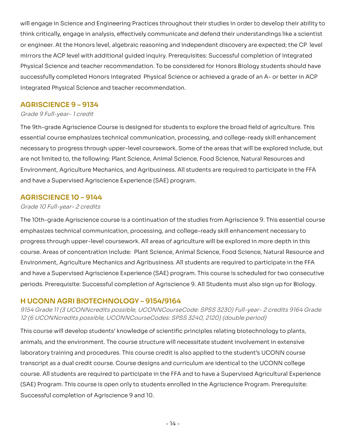will engage in Science and Engineering Practices throughout their studies in order to develop their ability to think critically, engage in analysis, effectively communicate and defend their understandings like a scientist or engineer. At the Honors level, algebraic reasoning and independent discovery are expected; the CP level mirrors the ACP level with additional quided inquiry. Prerequisites: Successful completion of Integrated Physical Science and teacher recommendation. To be considered for Honors Biology students should have successfully completed Honors Integrated Physical Science or achieved a grade of an A- or better in ACP Integrated Physical Science and teacher recommendation. will engage in Science and Engineering Practices throughout their studies in order to develop their ability to<br>think critically, engage in analysis, effectively communicate and defend their understandings like a scientist<br>

#### **AGRISCIENCE 9 – 9134**

#### Grade 9 Full-year- 1 credit

The 9th-grade Agriscience Course is designed for students to explore the broad field of agriculture. This essential course emphasizes technical communication, processing, and college-ready skill enhancement to progress through upper-level coursework. Some of the areas that will be explored include, but are not limited to, the following: Plant Science, Animal Science, Food Science, Natural Resources and Environment, Agriculture Mechanics, and Agribusiness. All students are required to participate in the FFA and have a Supervised Agriscience Experience (SAE) program. The 9th-grade Agriscience Course is designed for students to explore the broad field of agriculture. This<br>essential course emphasizes technical communication, processing, and college-ready skill enhancement<br>necessary to pr

#### **AGRISCIENCE 10 – 9144**

#### Grade 10 Full-year- 2 credits

 The 10th-grade Agriscience course is a continuation of the studies from Agriscience 9. This essential course emphasizes technical communication, processing, and college-ready skill enhancement necessary to progress through upper-level coursework. All areas of agriculture will be explored in more depth in this course. Areas of concentration include: Plant Science, Animal Science, Food Science, Natural Resource and Environment, Agriculture Mechanics and Agribusiness. All students are required to participate in the FFA have a Supervised Agriscience Experience (SAE) program. This course is scheduled for two consecutive periods. Prerequisite: Successful completion of Agriscience 9. All Students must also sign up for Biology. emphasizes technical communication, processing, and college-ready skill enhancement necessary to<br>progress through upper-level coursework. All areas of agriculture will be explored in more depth in this<br>course. Areas of con

## **H UCONN AGRI BIOTECHNOLOGY – 9154/9164**

9154 Grade 11 (3 UCONNcredits possible, UCONNCourseCode: SPSS 3230) Full-year- 2 credits 9164 Grade<br>12 (6 UCONNcredits possible, UCONNCourseCodes: SPSS 3240, 2120) (double period) 12 (6 UCONNcredits possible, UCONNCourseCodes: SPSS 3240, 2120) (double period)

This course will develop students' knowledge of scientific principles relating biotechnology to plants, animals, and the environment. The course structure will necessitate student involvement in extensive laboratory training and procedures. This course credit is also applied to the student's UCONN course transcript as a dual credit course. Course designs and curriculum are identical to the UCONN college course. All students are required to participate in the FFA and to have a Supervised Agricultural Experience (SAE) Program. This course is open only to students enrolled in the Agriscience Program. Prerequisite: Successful completion of Agriscience 9 and 10. This course will develop students' knowledge of scientific principles relating biotechnology to plants,<br>animals, and the environment. The course structure will necessitate student involvement in extensive<br>laboratory traini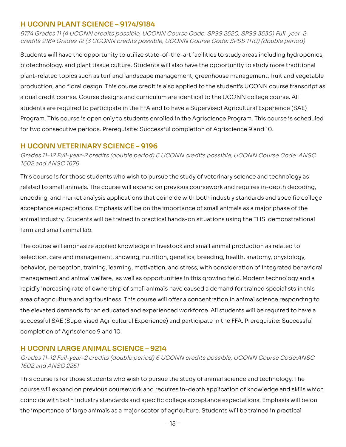#### **H UCONN PLANT SCIENCE – 9174/9184**

9174 Grades 11 (4 UCONN credits possible, UCONN Course Code: SPSS 2520, SPSS 3530) Full-year-2 9174 Grades 11 (4 UCONN credits possible, UCONN Course Code: SPSS 2520, SPSS 3530) Full-year–2<br>credits 9184 Grades 12 (3 UCONN credits possible, UCONN Course Code: SPSS 1110) (double period)

Students will have the opportunity to utilize state-of-the-art facilities to study areas including hydroponics, Students will have the opportunity to utilize state-of-the-art facilities to study areas including hydroponics,<br>biotechnology, and plant tissue culture. Students will also have the opportunity to study more traditional plant-related topics such as turf and landscape management, greenhouse management, fruit and vegetable and floral design. This course credit is also applied to the student's UCONN course transcript as a dual credit course. Course designs and curriculum are identical to the UCONN college course. All students are required to participate in the FFA and to have a Supervised Agricultural Experience (SAE) Program. This course is open only to students enrolled in the Agriscience Program. This course is scheduled<br>for two consecutive periods. Prerequisite: Successful completion of Agriscience 9 and 10. for two consecutive periods. Prerequisite: Successful completion of Agriscience 9 and 10. plant-related topics such as turf and landscape management, greenhouse management, fruit and vegetable<br>production, and floral design. This course credit is also applied to the student's UCONN course transcript as<br>a dual cr

## **H UCONN VETERINARY SCIENCE – 9196**

Grades 11-12 Full-year–2 credits (double period) 6 UCONN credits possible, UCONN Course Code: ANSC<br>1602 and ANSC 1676 

This course is for those students who wish to pursue the study of veterinary science and technology as related to small animals. The course will expand on previous coursework and requires in-depth decoding, and market analysis applications that coincide with both industry standards and specific college acceptance expectations. Emphasis will be on the importance of small animals as a major phase of the animal industry. Students will be trained in practical hands-on situations using the THS demonstrational farm and small animal lab. This course is for those students who wish to pursue the study of veterinary science and technology as<br>related to small animals. The course will expand on previous coursework and requires in-depth decoding,<br>encoding, and m

 The course will emphasize applied knowledge in livestock and small animal production as related to selection, care and management, showing, nutrition, genetics, breeding, health, anatomy, physiology, behavior, perception, training, learning, motivation, and stress, with consideration of integrated behavioral management and animal welfare, as well as opportunities in this growing field. Modern technology and a rapidly increasing rate of ownership of small animals have caused a demand for trained specialists in this area of agriculture and agribusiness. This course will offer a concentration in animal science responding to the elevated demands for an educated and experienced workforce. All students will be required to have a successful SAE (Supervised Agricultural Experience) and participate in the FFA. Prerequisite: Successful completion of Agriscience 9 and 10. selection, care and management, showing, nutrition, genetics, breeding, health, anatomy, physiology,<br>behavior, perception, training, learning, motivation, and stress, with consideration of integrated behavioral<br>management

# **H UCONN LARGE ANIMAL SCIENCE – 9214**

 Grades 11-12 Full-year–2 credits (double period) 6 UCONN credits possible, UCONN Course Code:ANSC 1602 and ANSC 2251

 This course is for those students who wish to pursue the study of animal science and technology. The course will expand on previous coursework and requires in-depth application of knowledge and skills which with both industry standards and specific college acceptance expectations. Emphasis will be on the importance of large animals as a major sector of agriculture. Students will be trained in practical course will expand on previous coursework and requires in-depth application of knowledge and skills which<br>coincide with both industry standards and specific college acceptance expectations. Emphasis will be on<br>the importan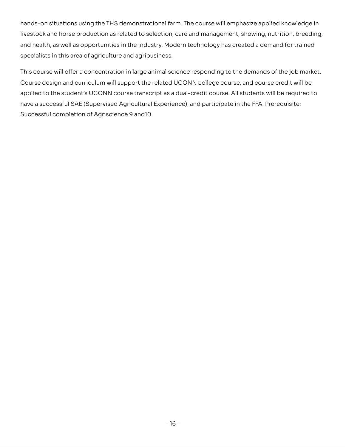hands-on situations using the THS demonstrational farm. The course will emphasize applied knowledge in hands-on situations using the THS demonstrational farm. The course will emphasize applied knowledge in<br>livestock and horse production as related to selection, care and management, showing, nutrition, breeding, and health, as well as opportunities in the industry. Modern technology has created a demand for trained<br>specialists in this area of agriculture and agribusiness. specialists in this area of agriculture and agribusiness.

This course will offer a concentration in large animal science responding to the demands of the job market. Course design and curriculum will support the related UCONN college course, and course credit will be Course design and curriculum will support the related UCONN college course, and course credit will be<br>applied to the student's UCONN course transcript as a dual-credit course. All students will be required to have a successful SAE (Supervised Agricultural Experience) and participate in the FFA. Prerequisite:<br>Successful completion of Agriscience 9 and10. Successful completion of Agriscience 9 and 10.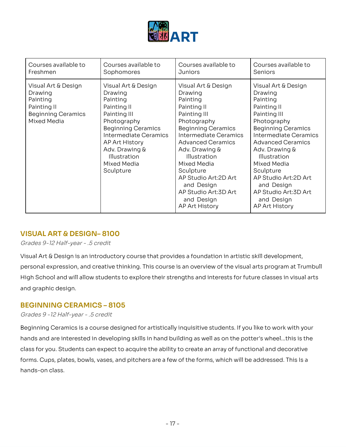

| Courses available to                                                                                  | Courses available to                                                                                                                                                                                                           | Courses available to                                                                                                                                                                                                                                                                                                                   | Courses available to                                                                                                                                                                                                                                                                                                                          |
|-------------------------------------------------------------------------------------------------------|--------------------------------------------------------------------------------------------------------------------------------------------------------------------------------------------------------------------------------|----------------------------------------------------------------------------------------------------------------------------------------------------------------------------------------------------------------------------------------------------------------------------------------------------------------------------------------|-----------------------------------------------------------------------------------------------------------------------------------------------------------------------------------------------------------------------------------------------------------------------------------------------------------------------------------------------|
| Freshmen                                                                                              | Sophomores                                                                                                                                                                                                                     | <b>Juniors</b>                                                                                                                                                                                                                                                                                                                         | Seniors                                                                                                                                                                                                                                                                                                                                       |
| Visual Art & Design<br>Drawing<br>Painting<br>Painting II<br><b>Beginning Ceramics</b><br>Mixed Media | Visual Art & Design<br>Drawing<br>Painting<br>Painting II<br>Painting III<br>Photography<br><b>Beginning Ceramics</b><br>Intermediate Ceramics<br>AP Art History<br>Adv. Drawing &<br>Illustration<br>Mixed Media<br>Sculpture | Visual Art & Design<br>Drawing<br>Painting<br>Painting II<br>Painting III<br>Photography<br><b>Beginning Ceramics</b><br>Intermediate Ceramics<br><b>Advanced Ceramics</b><br>Adv. Drawing &<br>Illustration<br>Mixed Media<br>Sculpture<br>AP Studio Art:2D Art<br>and Design<br>AP Studio Art:3D Art<br>and Design<br>AP Art History | Visual Art & Design<br>Drawing<br>Painting<br>Painting II<br>Painting III<br>Photography<br><b>Beginning Ceramics</b><br><b>Intermediate Ceramics</b><br><b>Advanced Ceramics</b><br>Adv. Drawing &<br>Illustration<br>Mixed Media<br>Sculpture<br>AP Studio Art:2D Art<br>and Design<br>AP Studio Art:3D Art<br>and Design<br>AP Art History |

# **VISUAL ART & DESIGN– 8100**

Grades 9-12 Half-year - .5 credit

 Visual Art & Design is an introductory course that provides a foundation in artistic skill development, personal expression, and creative thinking. This course is an overview of the visual arts program at Trumbull School and will allow students to explore their strengths and interests for future classes in visual arts and graphic design. personal expression, and creative thinking. This course is an overview of the visual arts program at Trumbull<br>High School and will allow students to explore their strengths and interests for future classes in visual arts<br>a

#### **BEGINNING CERAMICS – 8105**

#### Grades 9 -12 Half-year - .5 credit

Beginning Ceramics is a course designed for artistically inquisitive students. If you like to work with your hands and are interested in developing skills in hand building as well as on the potter's wheel...this is the class for you. Students can expect to acquire the ability to create an array of functional and decorative Cups, plates, bowls, vases, and pitchers are a few of the forms, which will be addressed. This Is a hands-on class. Beginning Ceramics is a course designed for artistically inquisitive students. If you like to work with your<br>hands and are interested in developing skills in hand building as well as on the potter's wheel...this is the<br>cla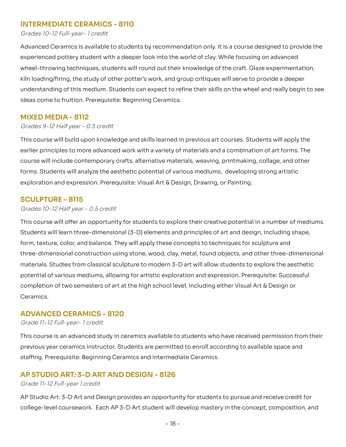#### **INTERMEDIATE CERAMICS – 8110**

#### Grades 10-12 Full-year- 1 credit

Advanced Ceramics is available to students by recommendation only. It is a course designed to provide the experienced pottery student with a deeper look into the world of clay. While focusing on advanced wheel-throwing techniques, students will round out their knowledge of the craft. Glaze experimentation, kiln loading/firing, the study of other potter's work, and group critiques will serve to provide a deeper understanding of this medium. Students can expect to refine their skills on the wheel and really begin to see ideas come to fruition. Prerequisite: Beginning Ceramics. Advanced Ceramics is available to students by recommendation only. It is a course designed to provide the<br>experienced pottery student with a deeper look into the world of clay. While focusing on advanced<br>wheel-throwing tec

#### **MIXED MEDIA - 8112**

#### Grades 9-12 Half year - 0.5 credit

This course will build upon knowledge and skills learned in previous art courses. Students will apply the earlier principles to more advanced work with a variety of materials and a combination of art forms. The will include contemporary crafts, alternative materials, weaving, printmaking, collage, and other forms. Students will analyze the aesthetic potential of various mediums, developing strong artistic exploration and expression. Prerequisite: Visual Art & Design, Drawing, or Painting. This course will build upon knowledge and skills learned in previous art courses. Students will apply the<br>earlier principles to more advanced work with a variety of materials and a combination of art forms. The<br>course will

# **SCULPTURE – 8115**

#### Grades 10-12 Half year - 0.5 credit

This course will offer an opportunity for students to explore their creative potential in a number of mediums. will learn three-dimensional (3-D) elements and principles of art and design, including shape, form, texture, color, and balance. They will apply these concepts to techniques for sculpture and three-dimensional construction using stone, wood, clay, metal, found objects, and other three-dimensional materials. Studies from classical sculpture to modern 3-D art will allow students to explore the aesthetic potential of various mediums, allowing for artistic exploration and expression. Prerequisite: Successful potential of various mediums, allowing for artistic exploration and expression. Prerequisite: Successful<br>completion of two semesters of art at the high school level, including either Visual Art & Design or Ceramics. This course will offer an opportunity for students to explore their creative potential in a number of mediums.<br>Students will learn three-dimensional (3-D) elements and principles of art and design, including shape,<br>form, t

#### **ADVANCED CERAMICS – 8120**

#### Grade 11-12 Full-year- 1 credit

This course is an advanced study in ceramics available to students who have received permission from their<br>previous year ceramics instructor. Students are permitted to enroll according to available space and previous year ceramics instructor. Students are permitted to enroll according to available space and staffing. Prerequisite: Beginning Ceramics and Intermediate Ceramics.

# **AP STUDIO ART: 3-D ART AND DESIGN – 8126**

#### Grade 11-12 Full-year 1 credit

AP Studio Art: 3-D Art and Design provides an opportunity for students to pursue and receive credit for coursework. Each AP 3-D Art student will develop mastery in the concept, composition, and AP Studio Art: 3-D Art and Design provides an opportunity for students to pursue and receive credit for<br>college-level coursework. Each AP 3-D Art student will develop mastery in the concept, composition, and<br>- 18 -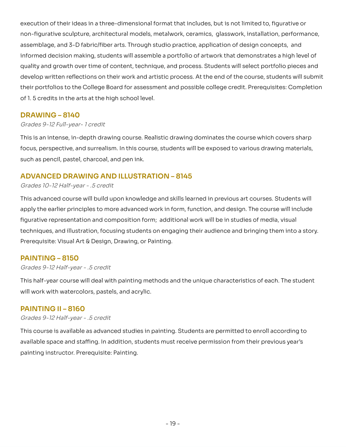execution of their ideas in a three-dimensional format that includes, but is not limited to, figurative or execution of their ideas in a three-dimensional format that includes, but is not limited to, figurative or<br>non-figurative sculpture, architectural models, metalwork, ceramics, glasswork, installation, performance, assemblage, and 3-D fabric/fiber arts. Through studio practice, application of design concepts, and informed decision making, students will assemble a portfolio of artwork that demonstrates a high level of quality and growth over time of content, technique, and process. Students will select portfolio pieces and assemblage, and 3-D fabric/fiber arts. Through studio practice, application of design concepts, and<br>informed decision making, students will assemble a portfolio of artwork that demonstrates a high level of<br>quality and gro their portfolios to the College Board for assessment and possible college credit. Prerequisites: Completion<br>of 1. 5 credits in the arts at the high school level. of 1.5 credits in the arts at the high school level.

#### **DRAWING – 8140**

#### Grades 9-12 Full-year- 1 credit

This is an intense, in-depth drawing course. Realistic drawing dominates the course which covers sharp perspective, and surrealism. In this course, students will be exposed to various drawing materials, such as pencil, pastel, charcoal, and pen ink. This is an intense, in-depth drawing course. Realistic drawing dominates the course which covers sharp<br>focus, perspective, and surrealism. In this course, students will be exposed to various drawing materials,<br>such as penc

# **ADVANCED DRAWING AND ILLUSTRATION – 8145**

#### Grades 10-12 Half-year - .5 credit

 This advanced course will build upon knowledge and skills learned in previous art courses. Students will apply the earlier principles to more advanced work in form, function, and design. The course will include representation and composition form; additional work will be in studies of media, visual techniques, and illustration, focusing students on engaging their audience and bringing them into a story. Prerequisite: Visual Art & Design, Drawing, or Painting. apply the earlier principles to more advanced work in form, function, and design. The course will include<br>figurative representation and composition form; additional work will be in studies of media, visual<br>techniques, and

## **PAINTING – 8150**

#### Grades 9-12 Half-year - .5 credit

This half-year course will deal with painting methods and the unique characteristics of each. The student<br>will work with watercolors, pastels, and acrylic. will work with watercolors, pastels, and acrylic.

#### **PAINTING II – 8160**

#### Grades 9-12 Half-year - .5 credit

This course is available as advanced studies in painting. Students are permitted to enroll according to space and staffing. In addition, students must receive permission from their previous year's painting instructor. Prerequisite: Painting. This course is available as advanced studies in painting. Students are permitted to enroll according to<br>available space and staffing. In addition, students must receive permission from their previous year's<br>painting instru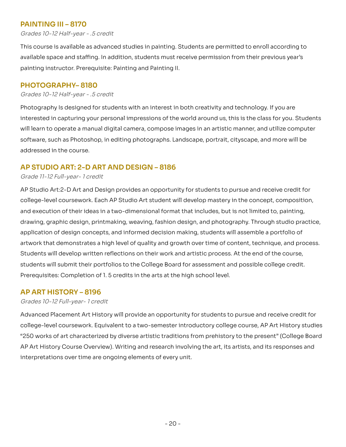# **PAINTING III – 8170**

Grades 10-12 Half-year - .5 credit

This course is available as advanced studies in painting. Students are permitted to enroll according to space and staffing. In addition, students must receive permission from their previous year's painting instructor. Prerequisite: Painting and Painting II. This course is available as advanced studies in painting. Students are permitted to enroll according to<br>available space and staffing. In addition, students must receive permission from their previous year's<br>painting instru

#### **PHOTOGRAPHY– 8180**

#### Grades 10-12 Half-year - .5 credit

Photography Is designed for students with an interest in both creativity and technology. If you are in capturing your personal impressions of the world around us, this is the class for you. Students will learn to operate a manual digital camera, compose images in an artistic manner, and utilize computer software, such as Photoshop, in editing photographs. Landscape, portrait, cityscape, and more will be<br>addressed in the course. addressed in the course. Photography Is designed for students with an interest in both creativity and technology. If you are<br>interested in capturing your personal impressions of the world around us, this is the class for you. Students<br>will learn t

#### **AP STUDIO ART: 2-D ART AND DESIGN – 8186**

#### Grade 11-12 Full-year- 1 credit

 AP Studio Art:2-D Art and Design provides an opportunity for students to pursue and receive credit for college-level coursework. Each AP Studio Art student will develop mastery in the concept, composition, college-level coursework. Each AP Studio Art student will develop mastery in the concept, composition,<br>and execution of their ideas in a two-dimensional format that includes, but is not limited to, painting, drawing, graphic design, printmaking, weaving, fashion design, and photography. Through studio practice, drawing, graphic design, printmaking, weaving, fashion design, and photography. Through studio practice,<br>application of design concepts, and informed decision making, students will assemble a portfolio of artwork that demonstrates a high level of quality and growth over time of content, technique, and process. Students will develop written reflections on their work and artistic process. At the end of the course, will submit their portfolios to the College Board for assessment and possible college credit. Prerequisites: Completion of 1.5 credits in the arts at the high school level. artwork that demonstrates a high level of quality and growth over time of content, technique, and process.<br>Students will develop written reflections on their work and artistic process. At the end of the course,<br>students wi

#### **AP ART HISTORY – 8196**

#### Grades 10-12 Full-year- 1 credit

Advanced Placement Art History will provide an opportunity for students to pursue and receive credit for college-level coursework. Equivalent to a two-semester introductory college course, AP Art History studies "250 works of art characterized by diverse artistic traditions from prehistory to the present" (College Board AP Art History Course Overview). Writing and research involving the art, its artists, and its responses and interpretations over time are ongoing elements of every unit. Advanced Placement Art History will provide an opportunity for students to pursue and receive credit for<br>college-level coursework. Equivalent to a two-semester introductory college course, AP Art History studies<br>"250 works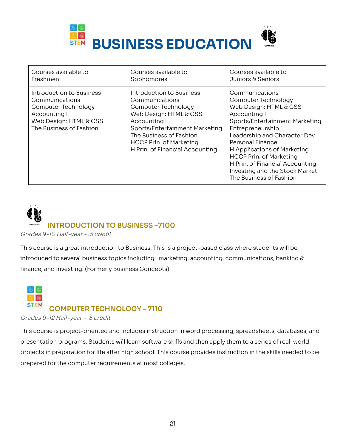

| Courses available to                                                                                                                   | Courses available to                                                                                                                                                                                                                          | Courses available to                                                                                                                                                                                                                                                                                                                                        |
|----------------------------------------------------------------------------------------------------------------------------------------|-----------------------------------------------------------------------------------------------------------------------------------------------------------------------------------------------------------------------------------------------|-------------------------------------------------------------------------------------------------------------------------------------------------------------------------------------------------------------------------------------------------------------------------------------------------------------------------------------------------------------|
| Freshmen                                                                                                                               | Sophomores                                                                                                                                                                                                                                    | Juniors & Seniors                                                                                                                                                                                                                                                                                                                                           |
| Introduction to Business<br>Communications<br>Computer Technology<br>Accounting I<br>Web Design: HTML & CSS<br>The Business of Fashion | Introduction to Business<br>Communications<br>Computer Technology<br>Web Design: HTML & CSS<br>Accounting I<br>Sports/Entertainment Marketing<br>The Business of Fashion<br><b>HCCP Prin. of Marketing</b><br>H Prin. of Financial Accounting | Communications<br>Computer Technology<br>Web Design: HTML & CSS<br>Accounting I<br>Sports/Entertainment Marketing<br>Entrepreneurship<br>Leadership and Character Dev.<br>Personal Finance<br>H Applications of Marketing<br><b>HCCP Prin. of Marketing</b><br>H Prin. of Financial Accounting<br>Investing and the Stock Market<br>The Business of Fashion |

# **INTRODUCTION TO BUSINESS –7100**

Grades 9-10 Half-year - .5 credit

This course is a great introduction to Business. This Is a project-based class where students will be to several business topics including: marketing, accounting, communications, banking & finance, and investing. (Formerly Business Concepts) This course is a great introduction to Business. This Is a project-based class where students will be<br>introduced to several business topics including: marketing, accounting, communications, banking &<br>finance, and investin



Grades 9-12 Half-year - .5 credit

This course is project-oriented and includes instruction in word processing, spreadsheets, databases, and This course is project-oriented and includes instruction in word processing, spreadsheets, databases, and<br>presentation programs. Students will learn software skills and then apply them to a series of real-world projects in preparation for life after high school. This course provides instruction in the skills needed to be<br>prepared for the computer requirements at most colleges. prepared for the computer requirements at most colleges.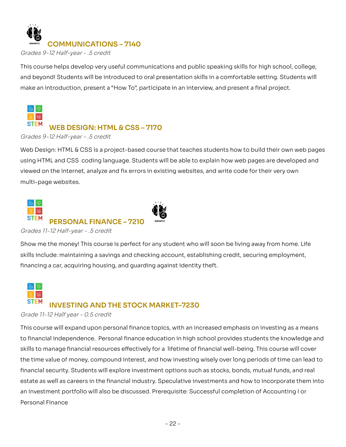

Grades 9-12 Half-year - .5 credit

This course helps develop very useful communications and public speaking skills for high school, college, beyond! Students will be introduced to oral presentation skills in a comfortable setting. Students will make an introduction, present a "How To", participate in an interview, and present a final project. This course helps develop very useful communications and public speaking skills for high school, college,<br>and beyond! Students will be introduced to oral presentation skills in a comfortable setting. Students will<br>make an



# **WEB DESIGN: HTML & CSS – 7170**

Grades 9-12 Half-year - .5 credit

 Web Design: HTML & CSS is a project-based course that teaches students how to build their own web pages using HTML and CSS coding language. Students will be able to explain how web pages are developed and<br>viewed on the Internet, analyze and fix errors in existing websites, and write code for their very own<br>multi-page websit viewed on the Internet, analyze and fix errors in existing websites, and write code for their very own multi-page websites.



Grades 11-12 Half-year - .5 credit

Show me the money! This course is perfect for any student who will soon be living away from home. Life include: maintaining a savings and checking account, establishing credit, securing employment, financing a car, acquiring housing, and guarding against identity theft. Show me the money! This course is perfect for any student who will soon be living away from home. Life<br>skills include: maintaining a savings and checking account, establishing credit, securing employment,<br>financing a car,



#### Grade 11-12 Half year - 0.5 credit

This course will expand upon personal finance topics, with an increased emphasis on investing as a means financial independence. Personal finance education in high school provides students the knowledge and skills to manage financial resources effectively for a lifetime of financial well-being. This course will cover the time value of money, compound interest, and how investing wisely over long periods of time can lead to financial security. Students will explore investment options such as stocks, bonds, mutual funds, and real as well as careers in the financial industry. Speculative investments and how to incorporate them into an investment portfolio will also be discussed. Prerequisite: Successful completion of Accounting I or Personal Finance This course will expand upon personal finance topics, with an increased emphasis on investing as a means<br>to financial independence. Personal finance education in high school provides students the knowledge and<br>skills to m financial security. Students will explore investment options such as stocks, bonds, mutual funds, and real<br>estate as well as careers in the financial industry. Speculative investments and how to incorporate them into<br>an in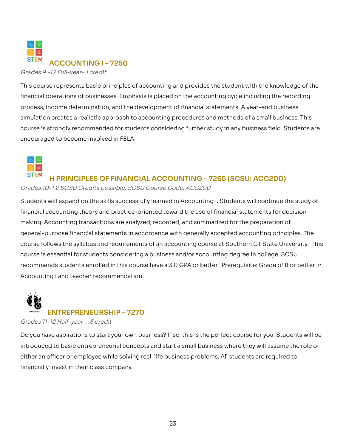

Grades 9 -12 Full-year- 1 credit

This course represents basic principles of accounting and provides the student with the knowledge of the This course represents basic principles of accounting and provides the student with the knowledge of the<br>financial operations of businesses. Emphasis is placed on the accounting cycle including the recording process, income determination, and the development of financial statements. A year-end business simulation creates a realistic approach to accounting procedures and methods of a small business. This is strongly recommended for students considering further study in any business field. Students are encouraged to become involved in FBLA. simulation creates a realistic approach to accounting procedures and methods of a small business. This<br>course is strongly recommended for students considering further study in any business field. Students are<br>encouraged to



# **H PRINCIPLES OF FINANCIAL ACCOUNTING – 7265 (SCSU: ACC200)**

Grades 10-1 2 SCSU Credits possible, SCSU Course Code: ACC200

Students will expand on the skills successfully learned in Accounting I. Students will continue the study of financial accounting theory and practice-oriented toward the use of financial statements for decision making. Accounting transactions are analyzed, recorded, and summarized for the preparation of general-purpose financial statements in accordance with generally accepted accounting principles. The course follows the syllabus and requirements of an accounting course at Southern CT State University. This course is essential for students considering a business and/or accounting degree in college. SCSU recommends students enrolled in this course have a 3.0 GPA or better. Prerequisite: Grade of B or better in<br>Accounting I and teacher recommendation. Accounting I and teacher recommendation. Students will expand on the skills successfully learned in Accounting I. Students will continue the study of<br>financial accounting theory and practice-oriented toward the use of financial statements for decision<br>making. Acc

# **ENTREPRENEURSHIP – 7270**

Grades 11-12 Half-year - .5 credit

 Do you have aspirations to start your own business? If so, this is the perfect course for you. Students will be introduced to basic entrepreneurial concepts and start a small business where they will assume the role of an officer or employee while solving real-life business problems. All students are required to financially invest in their class company. introduced to basic entrepreneurial concepts and start a small business where they will assume the role of<br>either an officer or employee while solving real-life business problems. All students are required to<br>financially i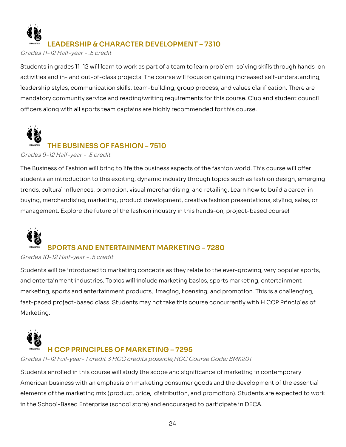

# **LEADERSHIP & CHARACTER DEVELOPMENT – 7310**

Grades 11-12 Half-year - .5 credit

 Students in grades 11-12 will learn to work as part of a team to learn problem-solving skills through hands-on activities and in- and out-of-class projects. The course will focus on gaining increased self-understanding, activities and in- and out-of-class projects. The course will focus on gaining increased self-understanding,<br>leadership styles, communication skills, team-building, group process, and values clarification. There are mandatory community service and reading/writing requirements for this course. Club and student council<br>officers along with all sports team captains are highly recommended for this course. officers along with all sports team captains are highly recommended for this course.



# **THE BUSINESS OF FASHION – 7510**

Grades 9-12 Half-year - .5 credit

The Business of Fashion will bring to life the business aspects of the fashion world. This course will offer students an introduction to this exciting, dynamic industry through topics such as fashion design, emerging trends, cultural influences, promotion, visual merchandising, and retailing. Learn how to build a career in The Business of Fashion will bring to life the business aspects of the fashion world. This course will offer<br>students an introduction to this exciting, dynamic industry through topics such as fashion design, emerging<br>trend management. Explore the future of the fashion industry in this hands-on, project-based course!



# **SPORTS AND ENTERTAINMENT MARKETING – 7280**

Grades 10-12 Half-year - .5 credit

Students will be introduced to marketing concepts as they relate to the ever-growing, very popular sports, Students will be introduced to marketing concepts as they relate to the ever-growing, very popular sports,<br>and entertainment industries. Topics will include marketing basics, sports marketing, entertainment marketing, sports and entertainment products, imaging, licensing, and promotion. This is a challenging, marketing, sports and entertainment products, imaging, licensing, and promotion. This is a challenging,<br>fast-paced project-based class. Students may not take this course concurrently with H CCP Principles of Marketing.



# **H CCP PRINCIPLES OF MARKETING – 7295**

Grades 11-12 Full-year- 1 credit 3 HCC credits possible,HCC Course Code: BMK201

 Students enrolled in this course will study the scope and significance of marketing in contemporary American business with an emphasis on marketing consumer goods and the development of the essential of the marketing mix (product, price, distribution, and promotion). Students are expected to work in the School-Based Enterprise (school store) and encouraged to participate in DECA. American business with an emphasis on marketing consumer goods and the development of the essential<br>elements of the marketing mix (product, price, distribution, and promotion). Students are expected to work<br>in the School-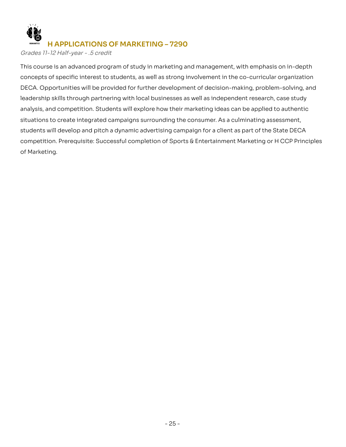

# **H APPLICATIONS OF MARKETING – 7290**

Grades 11-12 Half-year - .5 credit

This course is an advanced program of study in marketing and management, with emphasis on in-depth concepts of specific interest to students, as well as strong involvement in the co-curricular organization DECA. Opportunities will be provided for further development of decision-making, problem-solving, and leadership skills through partnering with local businesses as well as independent research, case study analysis, and competition. Students will explore how their marketing ideas can be applied to authentic situations to create integrated campaigns surrounding the consumer. As a culminating assessment, students will develop and pitch a dynamic advertising campaign for a client as part of the State DECA competition. Prerequisite: Successful completion of Sports & Entertainment Marketing or H CCP Principles of Marketing. This course is an advanced program of study in marketing and management, with emphasis on in-depth<br>concepts of specific interest to students, as well as strong involvement in the co-curricular organization<br>DECA. Opportunit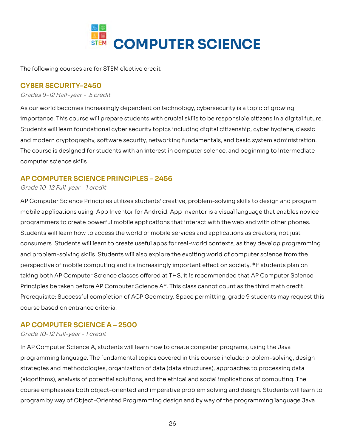

The following courses are for STEM elective credit

## **CYBER SECURITY-2450**

Grades 9-12 Half-year - .5 credit

As our world becomes increasingly dependent on technology, cybersecurity is a topic of growing This course will prepare students with crucial skills to be responsible citizens in a digital future. Students will learn foundational cyber security topics including digital citizenship, cyber hygiene, classic and modern cryptography, software security, networking fundamentals, and basic system administration. The course is designed for students with an interest in computer science, and beginning to intermediate computer science skills. As our world becomes increasingly dependent on technology, cybersecurity is a topic of growing<br>importance. This course will prepare students with crucial skills to be responsible citizens in a digital future.<br>Students will

#### **AP COMPUTER SCIENCE PRINCIPLES – 2456**

#### Grade 10-12 Full-year - 1 credit

AP Computer Science Principles utilizes students' creative, problem-solving skills to design and program AP Computer Science Principles utilizes students' creative, problem-solving skills to design and program<br>mobile applications using App Inventor for Android. App Inventor is a visual language that enables novice programmers to create powerful mobile applications that interact with the web and with other phones. Students will learn how to access the world of mobile services and applications as creators, not just Students will learn to create useful apps for real-world contexts, as they develop programming and problem-solving skills. Students will also explore the exciting world of computer science from the perspective of mobile computing and its increasingly important effect on society. \*If students plan on taking both AP Computer Science classes offered at THS, it is recommended that AP Computer Science Principles be taken before AP Computer Science A\*. This class cannot count as the third math credit. Prerequisite: Successful completion of ACP Geometry. Space permitting, grade 9 students may request this<br>course based on entrance criteria. course based on entrance criteria. Students will learn how to access the world of mobile services and applications as creators, not just<br>consumers. Students will learn to create useful apps for real-world contexts, as they develop programming<br>and problem-so

#### **AP COMPUTER SCIENCE A – 2500**

Grade 10-12 Full-year - 1 credit

In AP Computer Science A, students will learn how to create computer programs, using the Java In AP Computer Science A, students will learn how to create computer programs, using the Java<br>programming language. The fundamental topics covered in this course include: problem-solving, design strategies and methodologies, organization of data (data structures), approaches to processing data (algorithms), analysis of potential solutions, and the ethical and social implications of computing. The course emphasizes both object-oriented and imperative problem solving and design. Students will learn to program by way of Object-Oriented Programming design and by way of the programming language Java. strategies and methodologies, organization of data (data structures), approaches to processing data<br>(algorithms), analysis of potential solutions, and the ethical and social implications of computing. The<br>course emphasizes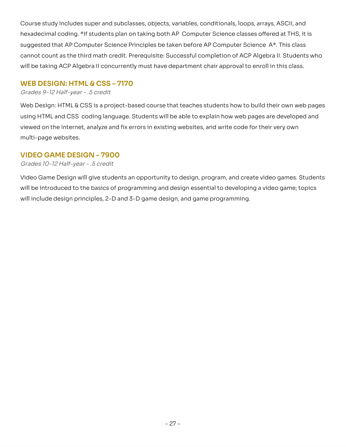Course study includes super and subclasses, objects, variables, conditionals, loops, arrays, ASCII, and coding. \*If students plan on taking both AP Computer Science classes offered at THS, it is suggested that AP Computer Science Principles be taken before AP Computer Science A\*. This class cannot count as the third math credit. Prerequisite: Successful completion of ACP Algebra II. Students who will be taking ACP Algebra II concurrently must have department chair approval to enroll in this class. Course study includes super and subclasses, objects, variables, conditionals, loops, arrays, ASCII, and<br>hexadecimal coding. \*If students plan on taking both AP Computer Science classes offered at THS, it is<br>suggested that

#### **WEB DESIGN: HTML & CSS – 7170**

#### Grades 9-12 Half-year - .5 credit

 Web Design: HTML & CSS is a project-based course that teaches students how to build their own web pages using HTML and CSS coding language. Students will be able to explain how web pages are developed and on the Internet, analyze and fix errors in existing websites, and write code for their very own multi-page websites. using HTML and CSS coding language. Students will be able to explain how web pages are developed and<br>viewed on the Internet, analyze and fix errors in existing websites, and write code for their very own<br>multi-page websit

# **VIDEO GAME DESIGN - 7900**

#### Grades 10-12 Half-year - .5 credit

Video Game Design will give students an opportunity to design, program, and create video games. Students be introduced to the basics of programming and design essential to developing a video game; topics will include design principles, 2-D and 3-D game design, and game programming. Video Game Design will give students an opportunity to design, program, and create video games. Students<br>will be introduced to the basics of programming and design essential to developing a video game; topics<br>will include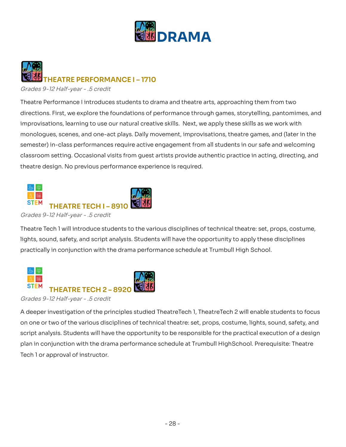



Grades 9-12 Half-year - .5 credit

Theatre Performance I introduces students to drama and theatre arts, approaching them from two directions. First, we explore the foundations of performance through games, storytelling, pantomimes, and learning to use our natural creative skills. Next, we apply these skills as we work with monologues, scenes, and one-act plays. Daily movement, improvisations, theatre games, and (later in the semester) in-class performances require active engagement from all students in our safe and welcoming setting. Occasional visits from guest artists provide authentic practice in acting, directing, and theatre design. No previous performance experience is required. Theatre Performance I introduces students to drama and theatre arts, approaching them from two<br>directions. First, we explore the foundations of performance through games, storytelling, pantomimes, and<br>improvisations, learn semester) in-class performances require active engagement from all students in our safe and welcoming<br>classroom setting. Occasional visits from guest artists provide authentic practice in acting, directing, and<br>theatre des



#### Grades 9-12 Half-year - .5 credit

Theatre Tech 1 will introduce students to the various disciplines of technical theatre: set, props, costume, sound, safety, and script analysis. Students will have the opportunity to apply these disciplines practically in conjunction with the drama performance schedule at Trumbull High School. Theatre Tech 1 will introduce students to the various disciplines of technical theatre: set, props, costume,<br>lights, sound, safety, and script analysis. Students will have the opportunity to apply these disciplines<br>practic



Grades 9-12 Half-year - .5 credit

A deeper investigation of the principles studied TheatreTech 1, TheatreTech 2 will enable students to focus A deeper investigation of the principles studied TheatreTech 1, TheatreTech 2 will enable students to focus<br>on one or two of the various disciplines of technical theatre: set, props, costume, lights, sound, safety, and script analysis. Students will have the opportunity to be responsible for the practical execution of a design in conjunction with the drama performance schedule at Trumbull HighSchool. Prerequisite: Theatre Tech 1 or approval of instructor. script analysis. Students will have the opportunity to be responsible for the practical execution of a design<br>plan in conjunction with the drama performance schedule at Trumbull HighSchool. Prerequisite: Theatre<br>Tech 1 or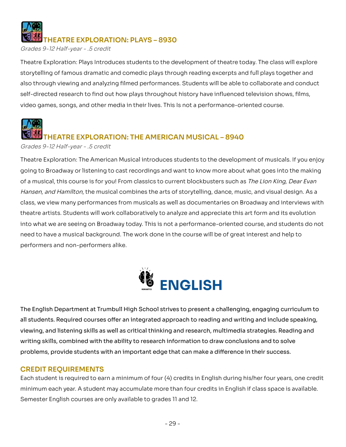# **THEATRE EXPLORATION: PLAYS – 8930**

Grades 9-12 Half-year - .5 credit

Theatre Exploration: Plays Introduces students to the development of theatre today. The class will explore storytelling of famous dramatic and comedic plays through reading excerpts and full plays together and through viewing and analyzing filmed performances. Students will be able to collaborate and conduct self-directed research to find out how plays throughout history have influenced television shows, films, video games, songs, and other media in their lives. This Is not a performance-oriented course. Theatre Exploration: Plays Introduces students to the development of theatre today. The class will explore<br>storytelling of famous dramatic and comedic plays through reading excerpts and full plays together and<br>also through



# **THEATRE EXPLORATION: THE AMERICAN MUSICAL – 8940**

Grades 9-12 Half-year - .5 credit

 Theatre Exploration: The American Musical introduces students to the development of musicals. If you enjoy going to Broadway or listening to cast recordings and want to know more about what goes into the making of a musical, this course is for you! From classics to current blockbusters such as The Lion King, Dear Evan Hansen, and Hamilton, the musical combines the arts of storytelling, dance, music, and visual design. As a class, we view many performances from musicals as well as documentaries on Broadway and interviews with theatre artists. Students will work collaboratively to analyze and appreciate this art form and its evolution into what we are seeing on Broadway today. This is not a performance-oriented course, and students do not need to have a musical background. The work done in the course will be of great interest and help to performers and non-performers alike. going to Broadway or listening to cast recordings and want to know more about what goes into the making<br>of a musical, this course is for you! From classics to current blockbusters such as *The Lion King, Dear Evan*<br>*Hansen* 



The English Department at Trumbull High School strives to present a challenging, engaging curriculum to students. Required courses offer an integrated approach to reading and writing and include speaking, viewing, and listening skills as well as critical thinking and research, multimedia strategies. Reading and writing skills, combined with the ability to research information to draw conclusions and to solve problems, provide students with an important edge that can make a difference in their success. The English Department at Trumbull High School strives to present a challenging, engaging curriculum to<br>all students. Required courses offer an integrated approach to reading and writing and include speaking,<br>viewing, and

#### **CREDIT REQUIREMENTS**

Each student is required to earn a minimum of four (4) credits in English during his/her four years, one credit each year. A student may accumulate more than four credits in English if class space is available. Semester English courses are only available to grades 11 and 12. Each student is required to earn a minimum of four (4) credits in English during his/her four years, one credit<br>minimum each year. A student may accumulate more than four credits in English if class space is available.<br>Sem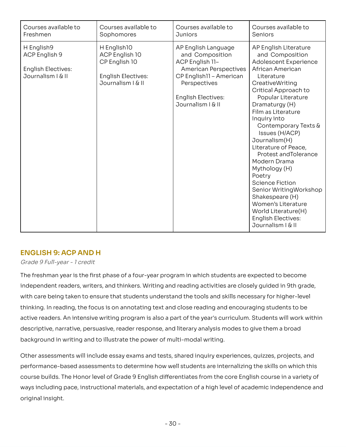| Courses available to                                                          | Courses available to                                                                             | Courses available to                                                                                                                                                                | Courses available to                                                                                                                                                                                                                                                                                                                                                                                                                                                                                                                                      |
|-------------------------------------------------------------------------------|--------------------------------------------------------------------------------------------------|-------------------------------------------------------------------------------------------------------------------------------------------------------------------------------------|-----------------------------------------------------------------------------------------------------------------------------------------------------------------------------------------------------------------------------------------------------------------------------------------------------------------------------------------------------------------------------------------------------------------------------------------------------------------------------------------------------------------------------------------------------------|
| Freshmen                                                                      | Sophomores                                                                                       | <b>Juniors</b>                                                                                                                                                                      | Seniors                                                                                                                                                                                                                                                                                                                                                                                                                                                                                                                                                   |
| H English9<br>ACP English 9<br><b>English Electives:</b><br>Journalism   & II | H English10<br>ACP English 10<br>CP English 10<br><b>English Electives:</b><br>Journalism   & II | AP English Language<br>and Composition<br>ACP English 11-<br><b>American Perspectives</b><br>CP English11 - American<br>Perspectives<br><b>English Electives:</b><br>Journalism   & | AP English Literature<br>and Composition<br>Adolescent Experience<br>African American<br>Literature<br>CreativeWriting<br>Critical Approach to<br>Popular Literature<br>Dramaturgy (H)<br>Film as Literature<br>Inquiry into<br>Contemporary Texts &<br>Issues (H/ACP)<br>Journalism(H)<br>Literature of Peace,<br>Protest and Tolerance<br>Modern Drama<br>Mythology (H)<br>Poetry<br><b>Science Fiction</b><br>Senior WritingWorkshop<br>Shakespeare (H)<br>Women's Literature<br>World Literature(H)<br><b>English Electives:</b><br>Journalism   & II |

# **ENGLISH 9: ACP AND H**

#### Grade 9 Full-year - 1 credit

The freshman year is the first phase of a four-year program in which students are expected to become independent readers, writers, and thinkers. Writing and reading activities are closely quided in 9th grade, with care being taken to ensure that students understand the tools and skills necessary for higher-level thinking. In reading, the focus is on annotating text and close reading and encouraging students to be active readers. An intensive writing program is also a part of the year's curriculum. Students will work within descriptive, narrative, persuasive, reader response, and literary analysis modes to give them a broad background in writing and to illustrate the power of multi-modal writing. The freshman year is the first phase of a four-year program in which students are expected to become<br>independent readers, writers, and thinkers. Writing and reading activities are closely guided in 9th grade,<br>with care bei

Other assessments will include essay exams and tests, shared inquiry experiences, quizzes, projects, and performance-based assessments to determine how well students are internalizing the skills on which this Other assessments will include essay exams and tests, shared inquiry experiences, quizzes, projects, and<br>performance-based assessments to determine how well students are internalizing the skills on which this<br>course builds ways including pace, instructional materials, and expectation of a high level of academic independence and original insight. original insight.- 30 -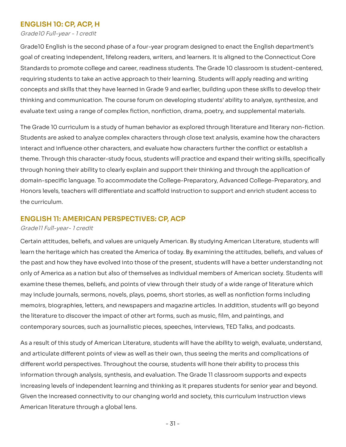## **ENGLISH 10: CP, ACP, H**

Grade10 Full-year - 1 credit

Grade10 English is the second phase of a four-year program designed to enact the English department's goal of creating independent, lifelong readers, writers, and learners. It is aligned to the Connecticut Core Grade10 English is the second phase of a four-year program designed to enact the English department's<br>goal of creating independent, lifelong readers, writers, and learners. It is aligned to the Connecticut Core<br>Standards t requiring students to take an active approach to their learning. Students will apply reading and writing and skills that they have learned in Grade 9 and earlier, building upon these skills to develop their thinking and communication. The course forum on developing students' ability to analyze, synthesize, and evaluate text using a range of complex fiction, nonfiction, drama, poetry, and supplemental materials. requiring students to take an active approach to their learning. Students will apply reading and writing<br>concepts and skills that they have learned in Grade 9 and earlier, building upon these skills to develop their<br>thinki

The Grade 10 curriculum is a study of human behavior as explored through literature and literary non-fiction. are asked to analyze complex characters through close text analysis, examine how the characters interact and influence other characters, and evaluate how characters further the conflict or establish a theme. Through this character-study focus, students will practice and expand their writing skills, specifically through honing their ability to clearly explain and support their thinking and through the application of language. To accommodate the College-Preparatory, Advanced College-Preparatory, and Honors levels, teachers will differentiate and scaffold instruction to support and enrich student access to the curriculum. The Grade 10 curriculum is a study of human behavior as explored through literature and literary non-fiction.<br>Students are asked to analyze complex characters through close text analysis, examine how the characters<br>interac theme. Through this character-study focus, students will practice and expand their writing skills, specifically<br>through honing their ability to clearly explain and support their thinking and through the application of<br>doma

#### **ENGLISH 11: AMERICAN PERSPECTIVES: CP, ACP**

#### Grade11 Full-year- 1 credit

 Certain attitudes, beliefs, and values are uniquely American. By studying American Literature, students will learn the heritage which has created the America of today. By examining the attitudes, beliefs, and values of the past and how they have evolved into those of the present, students will have a better understanding not only of America as a nation but also of themselves as individual members of American society. Students will examine these themes, beliefs, and points of view through their study of a wide range of literature which may include journals, sermons, novels, plays, poems, short stories, as well as nonfiction forms including may include journals, sermons, novels, plays, poems, short stories, as well as nonfiction forms including<br>memoirs, biographies, letters, and newspapers and magazine articles. In addition, students will go beyond the literature to discover the impact of other art forms, such as music, film, and paintings, and contemporary sources, such as journalistic pieces, speeches, interviews, TED Talks, and podcasts.

As a result of this study of American Literature, students will have the ability to weigh, evaluate, understand, and articulate different points of view as well as their own, thus seeing the merits and complications of different world perspectives. Throughout the course, students will hone their ability to process this information through analysis, synthesis, and evaluation. The Grade 11 classroom supports and expects increasing levels of independent learning and thinking as it prepares students for senior year and beyond. Given the increased connectivity to our changing world and society, this curriculum instruction views American literature through a global lens. As a result of this study of American Literature, students will have the ability to weigh, evaluate, understand,<br>and articulate different points of view as well as their own, thus seeing the merits and complications of<br>dif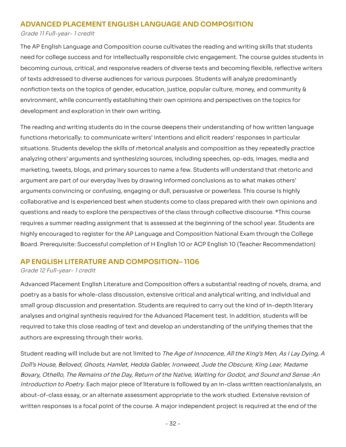#### **ADVANCED PLACEMENT ENGLISH LANGUAGE AND COMPOSITION**

Grade 11 Full-year- 1 credit

 The AP English Language and Composition course cultivates the reading and writing skills that students need for college success and for intellectually responsible civic engagement. The course guides students in need for college success and for intellectually responsible civic engagement. The course guides students in<br>becoming curious, critical, and responsive readers of diverse texts and becoming flexible, reflective writers of texts addressed to diverse audiences for various purposes. Students will analyze predominantly texts on the topics of gender, education, justice, popular culture, money, and community & environment, while concurrently establishing their own opinions and perspectives on the topics for development and exploration in their own writing. of texts addressed to diverse audiences for various purposes. Students will analyze predominantly<br>nonfiction texts on the topics of gender, education, justice, popular culture, money, and community &<br>environment, while con

The reading and writing students do in the course deepens their understanding of how written language functions rhetorically: to communicate writers' intentions and elicit readers' responses in particular situations. Students develop the skills of rhetorical analysis and composition as they repeatedly practice analyzing others' arguments and synthesizing sources, including speeches, op-eds, images, media and marketing, tweets, blogs, and primary sources to name a few. Students will understand that rhetoric and argument are part of our everyday lives by drawing informed conclusions as to what makes others' arguments convincing or confusing, engaging or dull, persuasive or powerless. This course is highly collaborative and is experienced best when students come to class prepared with their own opinions and questions and ready to explore the perspectives of the class through collective discourse. \*This course requires a summer reading assignment that is assessed at the beginning of the school year. Students are highly encouraged to register for the AP Language and Composition National Exam through the College Board. Prerequisite: Successful completion of H English 10 or ACP English 10 (Teacher Recommendation)The reading and writing students do in the course deepens their understanding of how written language<br>functions rhetorically: to communicate writers' intentions and elicit readers' responses in particular<br>situations. Stude

#### **AP ENGLISH LITERATURE AND COMPOSITION– 1106**

#### Grade 12 Full-year- 1 credit

Advanced Placement English Literature and Composition offers a substantial reading of novels, drama, and as a basis for whole-class discussion, extensive critical and analytical writing, and individual and small group discussion and presentation. Students are required to carry out the kind of in-depth literary analyses and original synthesis required for the Advanced Placement test. In addition, students will be required to take this close reading of text and develop an understanding of the unifying themes that the authors are expressing through their works. Advanced Placement English Literature and Composition offers a substantial reading of novels, drama, and<br>poetry as a basis for whole-class discussion, extensive critical and analytical writing, and individual and<br>small gro

Student reading will include but are not limited to The Age of Innocence, All the King's Men, As I Lay Dying, A Student reading will include but are not limited to *The Age of Innocence, All the King's Men, As I Lay Dying, A*<br>*Doll's House, Beloved, Ghosts, Hamlet, Hedda Gabler, Ironweed, Jude the Obscure, King Lear, Madame* Bovary, Othello, The Remains of the Day, Return of the Native, Waiting for Godot, and Sound and Sense :An to Poetry. Each major piece of literature is followed by an in-class written reaction/analysis, an about-of-class essay, or an alternate assessment appropriate to the work studied. Extensive revision of written responses is a focal point of the course. A major independent project is required at the end of the Bovary, Othello, The Remains of the Day, Return of the Native, Waiting for Godot, and Sound and Sense :An<br>Introduction to Poetry. Each major piece of literature is followed by an in-class written reaction/analysis, an<br>abou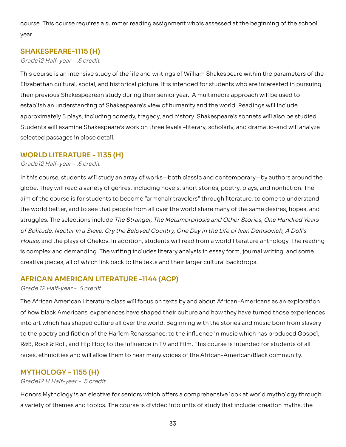course. This course requires a summer reading assignment whois assessed at the beginning of the school<br>year. year.

#### **SHAKESPEARE-1115 (H)**

#### Grade12 Half-year - .5 credit

This course is an intensive study of the life and writings of William Shakespeare within the parameters of the Elizabethan cultural, social, and historical picture. It is intended for students who are interested in pursuing their previous Shakespearean study during their senior year. A multimedia approach will be used to establish an understanding of Shakespeare's view of humanity and the world. Readings will include approximately 5 plays, including comedy, tragedy, and history. Shakespeare's sonnets will also be studied. Students will examine Shakespeare's work on three levels -literary, scholarly, and dramatic-and will analyze selected passages in close detail. This course is an intensive study of the life and writings of William Shakespeare within the parameters of the<br>Elizabethan cultural, social, and historical picture. It is intended for students who are interested in pursuin

#### **WORLD LITERATURE - 1135 (H)**

Grade12 Half-year - .5 credit

 In this course, students will study an array of works—both classic and contemporary—by authors around the globe. They will read a variety of genres, including novels, short stories, poetry, plays, and nonfiction. The aim of the course is for students to become "armchair travelers" through literature, to come to understand the world better, and to see that people from all over the world share many of the same desires, hopes, and struggles. The selections include The Stranger, The Metamorphosis and Other Stories, One Hundred Years of Solitude, Nectar In a Sieve, Cry the Beloved Country, One Day in the Life of Ivan Denisovich, A Doll's and the plays of Chekov. In addition, students will read from a world literature anthology. The reading is complex and demanding. The writing includes literary analysis in essay form, journal writing, and some creative pieces, all of which link back to the texts and their larger cultural backdrops. the world better, and to see that people from all over the world share many of the same desires, hopes, and<br>struggles. The selections include *The Stranger, The Metamorphosis and Other Stories, One Hundred Years*<br>of *Solit* 

#### **AFRICAN AMERICAN LITERATURE -1144 (ACP)**

#### Grade 12 Half-year - .5 credit

 The African American Literature class will focus on texts by and about African-Americans as an exploration of how black Americans' experiences have shaped their culture and how they have turned those experiences into art which has shaped culture all over the world. Beginning with the stories and music born from slavery into art which has shaped culture all over the world. Beginning with the stories and music born from slavery<br>to the poetry and fiction of the Harlem Renaissance; to the influence in music which has produced Gospel, R&B, Rock & Roll, and Hip Hop; to the influence in TV and Film. This course is intended for students of all R&B, Rock & Roll, and Hip Hop; to the influence in TV and Film. This course is intended for students of all<br>races, ethnicities and will allow them to hear many voices of the African-American/Black community.

#### **MYTHOLOGY – 1155 (H)**

#### Grade12 H Half-year - .5 credit

Honors Mythology is an elective for seniors which offers a comprehensive look at world mythology through variety of themes and topics. The course is divided into units of study that include: creation myths, the Honors Mythology is an elective for seniors which offers a comprehensive look at world mythology through<br>a variety of themes and topics. The course is divided into units of study that include: creation myths, the<br>- 33 -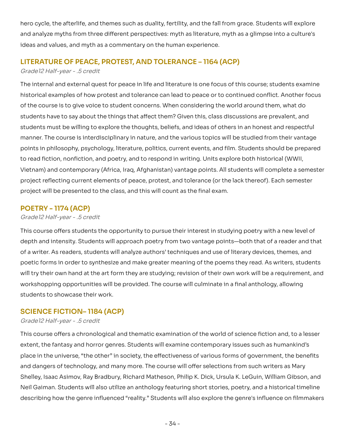hero cycle, the afterlife, and themes such as duality, fertility, and the fall from grace. Students will explore analyze myths from three different perspectives: myth as literature, myth as a glimpse into a culture's ideas and values, and myth as a commentary on the human experience. hero cycle, the afterlife, and themes such as duality, fertility, and the fall from grace. Students will explore<br>and analyze myths from three different perspectives: myth as literature, myth as a glimpse into a culture's<br>i

# **LITERATURE OF PEACE, PROTEST, AND TOLERANCE – 1164 (ACP)**

#### Grade12 Half-year - .5 credit

The internal and external quest for peace in life and literature is one focus of this course; students examine The internal and external quest for peace in life and literature is one focus of this course; students examine<br>historical examples of how protest and tolerance can lead to peace or to continued conflict. Another focus of the course is to give voice to student concerns. When considering the world around them, what do students have to say about the things that affect them? Given this, class discussions are prevalent, and of the course is to give voice to student concerns. When considering the world around them, what do<br>students have to say about the things that affect them? Given this, class discussions are prevalent, and<br>students must be manner. The course is interdisciplinary in nature, and the various topics will be studied from their vantage in philosophy, psychology, literature, politics, current events, and film. Students should be prepared to read fiction, nonfiction, and poetry, and to respond in writing. Units explore both historical (WWII, Vietnam) and contemporary (Africa, Iraq, Afghanistan) vantage points. All students will complete a semester project reflecting current elements of peace, protest, and tolerance (or the lack thereof). Each semester<br>project will be presented to the class, and this will count as the final exam. project will be presented to the class, and this will count as the final exam. manner. The course is interdisciplinary in nature, and the various topics will be studied from their vantage<br>points in philosophy, psychology, literature, politics, current events, and film. Students should be prepared<br>to

# **POETRY - 1174 (ACP)**

#### Grade12 Half-year - .5 credit

This course offers students the opportunity to pursue their interest in studying poetry with a new level of and intensity. Students will approach poetry from two vantage points—both that of a reader and that of a writer. As readers, students will analyze authors' techniques and use of literary devices, themes, and poetic forms in order to synthesize and make greater meaning of the poems they read. As writers, students try their own hand at the art form they are studying; revision of their own work will be a requirement, and workshopping opportunities will be provided. The course will culminate in a final anthology, allowing students to showcase their work. This course offers students the opportunity to pursue their interest in studying poetry with a new level of<br>depth and intensity. Students will approach poetry from two vantage points—both that of a reader and that<br>of a wri poetic forms in order to synthesize and make greater meaning of the poems they read. As writers, students<br>will try their own hand at the art form they are studying; revision of their own work will be a requirement, and<br>wor

# **SCIENCE FICTION– 1184 (ACP)**

#### Grade12 Half-year - .5 credit

This course offers a chronological and thematic examination of the world of science fiction and, to a lesser extent, the fantasy and horror genres. Students will examine contemporary issues such as humankind's place in the universe, "the other" in society, the effectiveness of various forms of government, the benefits and dangers of technology, and many more. The course will offer selections from such writers as Mary Shelley, Isaac Asimov, Ray Bradbury, Richard Matheson, Philip K. Dick, Ursula K. LeGuin, William Gibson, and Neil Gaiman. Students will also utilize an anthology featuring short stories, poetry, and a historical timeline describing how the genre influenced "reality." Students will also explore the genre's influence on filmmakers extent, the fantasy and horror genres. Students will examine contemporary issues such as humankind's<br>place in the universe, "the other" in society, the effectiveness of various forms of government, the benefits<br>and dangers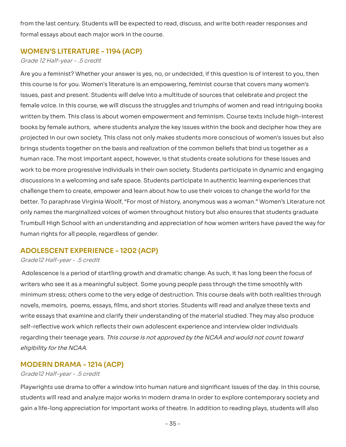from the last century. Students will be expected to read, discuss, and write both reader responses and<br>formal essays about each major work in the course. formal essays about each major work in the course.

#### **WOMEN'S LITERATURE - 1194 (ACP)**

#### Grade 12 Half-year - .5 credit

Are you a feminist? Whether your answer is yes, no, or undecided, if this question is of interest to you, then this course is for you. Women's literature is an empowering, feminist course that covers many women's issues, past and present. Students will delve into a multitude of sources that celebrate and project the voice. In this course, we will discuss the struggles and triumphs of women and read intriguing books written by them. This class is about women empowerment and feminism. Course texts include high-interest books by female authors, where students analyze the key issues within the book and decipher how they are books by female authors, where students analyze the key issues within the book and decipher how they are<br>projected in our own society. This class not only makes students more conscious of women's issues but also brings students together on the basis and realization of the common beliefs that bind us together as a human race. The most important aspect, however, is that students create solutions for these issues and work to be more progressive individuals in their own society. Students participate in dynamic and engaging discussions in a welcoming and safe space. Students participate in authentic learning experiences that challenge them to create, empower and learn about how to use their voices to change the world for the better. To paraphrase Virginia Woolf, "For most of history, anonymous was a woman." Women's Literature not only names the marginalized voices of women throughout history but also ensures that students graduate Trumbull High School with an understanding and appreciation of how women writers have paved the way for<br>human rights for all people, regardless of gender. human rights for all people, regardless of gender. Are you a feminist? Whether your answer is yes, no, or undecided, if this question is of interest to you, then<br>this course is for you. Women's literature is an empowering, feminist course that covers many women's<br>issues, p brings students together on the basis and realization of the common beliefs that bind us together as a<br>human race. The most important aspect, however, is that students create solutions for these issues and<br>work to be more

# **ADOLESCENT EXPERIENCE - 1202 (ACP)**

#### Grade12 Half-year - .5 credit

Adolescence is a period of startling growth and dramatic change. As such, it has long been the focus of writers who see it as a meaningful subject. Some young people pass through the time smoothly with Adolescence is a period of startling growth and dramatic change. As such, it has long been the focus of<br>writers who see it as a meaningful subject. Some young people pass through the time smoothly with<br>minimum stress; othe novels, memoirs, poems, essays, films, and short stories. Students will read and analyze these texts and essays that examine and clarify their understanding of the material studied. They may also produce self-reflective work which reflects their own adolescent experience and interview older individuals regarding their teenage years. This course is not approved by the NCAA and would not count toward eligibility for the NCAA. novels, memoirs, poems, essays, films, and short stories. Students will read and analyze these texts and<br>write essays that examine and clarify their understanding of the material studied. They may also produce<br>self-reflect

#### **MODERN DRAMA - 1214 (ACP)**

#### Grade12 Half-year - .5 credit

Playwrights use drama to offer a window into human nature and significant issues of the day. In this course, will read and analyze major works in modern drama in order to explore contemporary society and gain a life-long appreciation for important works of theatre. In addition to reading plays, students will also Playwrights use drama to offer a window into human nature and significant issues of the day. In this course,<br>students will read and analyze major works in modern drama in order to explore contemporary society and<br>gain a li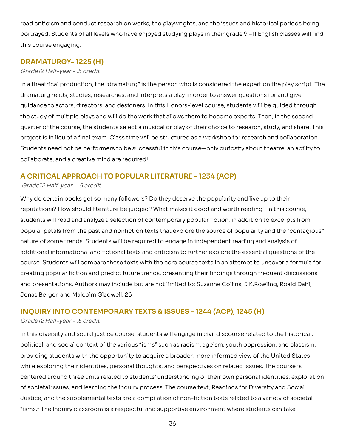read criticism and conduct research on works, the playwrights, and the issues and historical periods being Students of all levels who have enjoyed studying plays in their grade 9 –11 English classes will find this course engaging. read criticism and conduct research on works, the playwrights, and the issues and historical periods being<br>portrayed. Students of all levels who have enjoyed studying plays in their grade 9 –11 English classes will find<br>th

## **DRAMATURGY- 1225 (H)**

#### Grade12 Half-year - .5 credit

In a theatrical production, the "dramaturg" is the person who is considered the expert on the play script. The dramaturg reads, studies, researches, and interprets a play in order to answer questions for and give guidance to actors, directors, and designers. In this Honors-level course, students will be guided through the study of multiple plays and will do the work that allows them to become experts. Then, in the second quarter of the course, the students select a musical or play of their choice to research, study, and share. This project is in lieu of a final exam. Class time will be structured as a workshop for research and collaboration. Students need not be performers to be successful in this course—only curiosity about theatre, an ability to collaborate, and a creative mind are required! In a theatrical production, the "dramaturg" is the person who is considered the expert on the play script. The<br>dramaturg reads, studies, researches, and interprets a play in order to answer questions for and give<br>guidance

## **A CRITICAL APPROACH TO POPULAR LITERATURE - 1234 (ACP)**

#### Grade12 Half-year - .5 credit

Why do certain books get so many followers? Do they deserve the popularity and live up to their Why do certain books get so many followers? Do they deserve the popularity and live up to their<br>reputations? How should literature be judged? What makes it good and worth reading? In this course, students will read and analyze a selection of contemporary popular fiction, in addition to excerpts from students will read and analyze a selection of contemporary popular fiction, in addition to excerpts from<br>popular petals from the past and nonfiction texts that explore the source of popularity and the "contagious" nature of some trends. Students will be required to engage in independent reading and analysis of additional informational and fictional texts and criticism to further explore the essential questions of the Students will compare these texts with the core course texts in an attempt to uncover a formula for creating popular fiction and predict future trends, presenting their findings through frequent discussions and presentations. Authors may include but are not limited to: Suzanne Collins, J.K.Rowling, Roald Dahl, Jonas Berger, and Malcolm Gladwell. 26 nature of some trends. Students will be required to engage in independent reading and analysis of<br>additional informational and fictional texts and criticism to further explore the essential questions of the<br>course. Student

## **INQUIRY INTO CONTEMPORARY TEXTS & ISSUES - 1244 (ACP), 1245 (H)**

#### Grade12 Half-year - .5 credit

In this diversity and social justice course, students will engage in civil discourse related to the historical, In this diversity and social justice course, students will engage in civil discourse related to the historical,<br>political, and social context of the various "isms" such as racism, ageism, youth oppression, and classism, providing students with the opportunity to acquire a broader, more informed view of the United States while exploring their identities, personal thoughts, and perspectives on related issues. The course is centered around three units related to students' understanding of their own personal identities, exploration societal issues, and learning the inquiry process. The course text, Readings for Diversity and Social Justice, and the supplemental texts are a compilation of non-fiction texts related to a variety of societal isms." The Inquiry classroom is a respectful and supportive environment where students can take"<br>- 36 providing students with the opportunity to acquire a broader, more informed view of the United States<br>while exploring their identities, personal thoughts, and perspectives on related issues. The course is<br>centered around t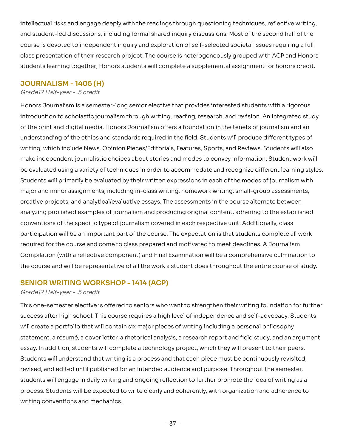intellectual risks and engage deeply with the readings through questioning techniques, reflective writing, and student-led discussions, including formal shared inquiry discussions. Most of the second half of the intellectual risks and engage deeply with the readings through questioning techniques, reflective writing,<br>and student-led discussions, including formal shared inquiry discussions. Most of the second half of the<br>course is class presentation of their research project. The course is heterogeneously grouped with ACP and Honors class presentation of their research project. The course is heterogeneously grouped with ACP and Honors<br>students learning together; Honors students will complete a supplemental assignment for honors credit.

#### **JOURNALISM - 1405 (H)**

#### Grade12 Half-year - .5 credit

 Honors Journalism is a semester-long senior elective that provides interested students with a rigorous introduction to scholastic journalism through writing, reading, research, and revision. An integrated study of the print and digital media, Honors Journalism offers a foundation in the tenets of journalism and an understanding of the ethics and standards required in the field. Students will produce different types of writing, which include News, Opinion Pieces/Editorials, Features, Sports, and Reviews. Students will also make independent journalistic choices about stories and modes to convey information. Student work will be evaluated using a variety of techniques in order to accommodate and recognize different learning styles. Students will primarily be evaluated by their written expressions in each of the modes of journalism with major and minor assignments, including in-class writing, homework writing, small-group assessments, creative projects, and analytical/evaluative essays. The assessments in the course alternate between analyzing published examples of journalism and producing original content, adhering to the established conventions of the specific type of journalism covered in each respective unit. Additionally, class participation will be an important part of the course. The expectation is that students complete all work required for the course and come to class prepared and motivated to meet deadlines. A Journalism Compilation (with a reflective component) and Final Examination will be a comprehensive culmination to the course and will be representative of all the work a student does throughout the entire course of study. introduction to scholastic journalism through writing, reading, research, and revision. An integrated study<br>of the print and digital media, Honors Journalism offers a foundation in the tenets of journalism and an<br>understan major and minor assignments, including in-class writing, homework writing, small-group assessments,<br>creative projects, and analytical/evaluative essays. The assessments in the course alternate between<br>analyzing published e

### **SENIOR WRITING WORKSHOP - 1414 (ACP)**

#### Grade12 Half-year - .5 credit

This one-semester elective is offered to seniors who want to strengthen their writing foundation for further after high school. This course requires a high level of independence and self-advocacy. Students will create a portfolio that will contain six major pieces of writing including a personal philosophy statement, a résumé, a cover letter, a rhetorical analysis, a research report and field study, and an argument In addition, students will complete a technology project, which they will present to their peers. Students will understand that writing is a process and that each piece must be continuously revisited, revised, and edited until published for an intended audience and purpose. Throughout the semester, students will engage in daily writing and ongoing reflection to further promote the idea of writing as a Students will be expected to write clearly and coherently, with organization and adherence to writing conventions and mechanics. This one-semester elective is offered to seniors who want to strengthen their writing foundation for further<br>success after high school. This course requires a high level of independence and self-advocacy. Students<br>will cre statement, a résumé, a cover letter, a rhetorical analysis, a research report and field study, and an argument<br>essay. In addition, students will complete a technology project, which they will present to their peers.<br>Studen students will engage in daily writing and ongoing reflection to further promote the idea of writing as a<br>process. Students will be expected to write clearly and coherently, with organization and adherence to<br>writing conven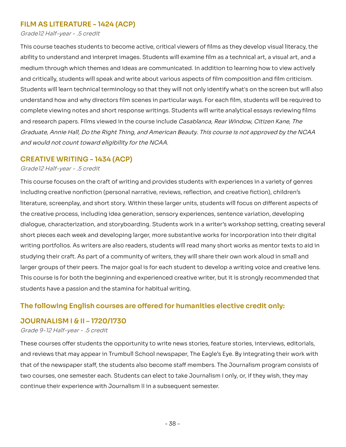## **FILM AS LITERATURE - 1424 (ACP)**

Grade12 Half-year - .5 credit

This course teaches students to become active, critical viewers of films as they develop visual literacy, the to understand and interpret images. Students will examine film as a technical art, a visual art, and a medium through which themes and ideas are communicated. In addition to learning how to view actively and critically, students will speak and write about various aspects of film composition and film criticism. Students will learn technical terminology so that they will not only identify what's on the screen but will also understand how and why directors film scenes in particular ways. For each film, students will be required to understand how and why directors film scenes in particular ways. For each film, students will be required to<br>complete viewing notes and short response writings. Students will write analytical essays reviewing films and research papers. Films viewed in the course include Casablanca, Rear Window, Citizen Kane, The and would not count toward eligibility for the NCAA. This course teaches students to become active, critical viewers of films as they develop visual literacy, the<br>ability to understand and interpret images. Students will examine film as a technical art, a visual art, and a<br>m and research papers. Films viewed in the course include *Casablanca, Rear Window, Citizen Kane, The*<br>*Graduate, Annie Hall, Do the Right Thing, and American Beauty. This course is not approved by the NCAA*<br>and would not co

## **CREATIVE WRITING - 1434 (ACP)**

#### Grade12 Half-year - .5 credit

 This course focuses on the craft of writing and provides students with experiences in a variety of genres including creative nonfiction (personal narrative, reviews, reflection, and creative fiction), children's literature, screenplay, and short story. Within these larger units, students will focus on different aspects of including creative nonfiction (personal narrative, reviews, reflection, and creative fiction), children's<br>literature, screenplay, and short story. Within these larger units, students will focus on different aspects of<br>the dialogue, characterization, and storyboarding. Students work in a writer's workshop setting, creating several short pieces each week and developing larger, more substantive works for incorporation into their digital writing portfolios. As writers are also readers, students will read many short works as mentor texts to aid in studying their craft. As part of a community of writers, they will share their own work aloud in small and dialogue, characterization, and storyboarding. Students work in a writer's workshop setting, creating several<br>short pieces each week and developing larger, more substantive works for incorporation into their digital<br>writin This course is for both the beginning and experienced creative writer, but it is strongly recommended that students have a passion and the stamina for habitual writing.

## The following English courses are offered for humanities elective credit only:

## **JOURNALISM I & II – 1720/1730**

#### Grade 9-12 Half-year - .5 credit

These courses offer students the opportunity to write news stories, feature stories, interviews, editorials, These courses offer students the opportunity to write news stories, feature stories, interviews, editorials,<br>and reviews that may appear in Trumbull School newspaper, The Eagle's Eye. By integrating their work with that of the newspaper staff, the students also become staff members. The Journalism program consists of courses, one semester each. Students can elect to take Journalism I only, or, if they wish, they may continue their experience with Journalism II in a subsequent semester. that of the newspaper staff, the students also become staff members. The Journalism program consists of<br>two courses, one semester each. Students can elect to take Journalism I only, or, if they wish, they may<br>continue thei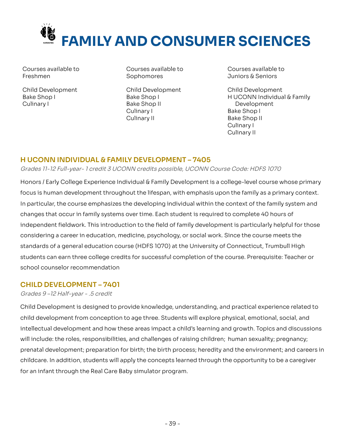

Courses available to Freshmen

 Child Development Bake Shop I Culinary I

 Courses available to Courses available to Courses available to Sophomores Freshmen Sophomores Juniors & Seniors

> Child Development Bake Shop I Bake Shop II Culinary I Culinary II

Courses available to

 Child Development H UCONN Individual & Family Development Bake Shop I Bake Shop II Culinary I Culinary II

## **H UCONN INDIVIDUAL & FAMILY DEVELOPMENT – 7405**

#### Grades 11-12 Full-year- 1 credit 3 UCONN credits possible, UCONN Course Code: HDFS 1070

Honors / Early College Experience Individual & Family Development is a college-level course whose primary Honors / Early College Experience Individual & Family Development is a college-level course whose primary<br>focus is human development throughout the lifespan, with emphasis upon the family as a primary context. In particular, the course emphasizes the developing individual within the context of the family system and In particular, the course emphasizes the developing individual within the context of the family system and<br>changes that occur in family systems over time. Each student is required to complete 40 hours of independent fieldwork. This introduction to the field of family development is particularly helpful for those considering a career in education, medicine, psychology, or social work. Since the course meets the standards of a general education course (HDFS 1070) at the University of Connecticut, Trumbull High can earn three college credits for successful completion of the course. Prerequisite: Teacher or school counselor recommendation independent fieldwork. This introduction to the field of family development is particularly helpful for those<br>considering a career in education, medicine, psychology, or social work. Since the course meets the<br>standards of

## **CHILD DEVELOPMENT – 7401**

#### Grades 9 –12 Half-year - .5 credit

Child Development is designed to provide knowledge, understanding, and practical experience related to child development from conception to age three. Students will explore physical, emotional, social, and Child Development is designed to provide knowledge, understanding, and practical experience related to<br>child development from conception to age three. Students will explore physical, emotional, social, and<br>intellectual dev will include: the roles, responsibilities, and challenges of raising children; human sexuality; pregnancy; development; preparation for birth; the birth process; heredity and the environment; and careers in childcare. In addition, students will apply the concepts learned through the opportunity to be a caregiver for an infant through the Real Care Baby simulator program. will include: the roles, responsibilities, and challenges of raising children; human sexuality; pregnancy;<br>prenatal development; preparation for birth; the birth process; heredity and the environment; and careers in<br>child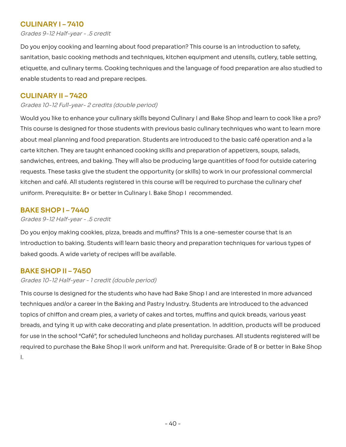## **CULINARY I – 7410**

Grades 9-12 Half-year - .5 credit

Do you enjoy cooking and learning about food preparation? This course is an introduction to safety, sanitation, basic cooking methods and techniques, kitchen equipment and utensils, cutlery, table setting, Do you enjoy cooking and learning about food preparation? This course is an introduction to safety,<br>sanitation, basic cooking methods and techniques, kitchen equipment and utensils, cutlery, table setting,<br>etiquette, and c enable students to read and prepare recipes.

## **CULINARY II – 7420**

Grades 10-12 Full-year- 2 credits (double period)

Would you like to enhance your culinary skills beyond Culinary I and Bake Shop and learn to cook like a pro? This course is designed for those students with previous basic culinary techniques who want to learn more about meal planning and food preparation. Students are introduced to the basic café operation and a la carte kitchen. They are taught enhanced cooking skills and preparation of appetizers, soups, salads, sandwiches, entrees, and baking. They will also be producing large quantities of food for outside catering requests. These tasks give the student the opportunity (or skills) to work in our professional commercial kitchen and café. All students registered in this course will be required to purchase the culinary chef uniform. Prerequisite: B+ or better in Culinary I. Bake Shop I recommended. Would you like to enhance your culinary skills beyond Culinary I and Bake Shop and learn to cook like a pro?<br>This course is designed for those students with previous basic culinary techniques who want to learn more<br>about m

## **BAKE SHOP I – 7440**

Grades 9-12 Half-year - .5 credit

Do you enjoy making cookies, pizza, breads and muffins? This is a one-semester course that is an introduction to baking. Students will learn basic theory and preparation techniques for various types of<br>baked goods. A wide variety of recipes will be available. baked goods. A wide variety of recipes will be available.

## **BAKE SHOP II – 7450**

#### Grades 10-12 Half-year - 1 credit (double period)

 This course is designed for the students who have had Bake Shop I and are interested in more advanced techniques and/or a career in the Baking and Pastry Industry. Students are introduced to the advanced topics of chiffon and cream pies, a variety of cakes and tortes, muffins and quick breads, various yeast and tying it up with cake decorating and plate presentation. In addition, products will be produced for use in the school "Café", for scheduled luncheons and holiday purchases. All students registered will be required to purchase the Bake Shop II work uniform and hat. Prerequisite: Grade of B or better in Bake Shop I. techniques and/or a career in the Baking and Pastry Industry. Students are introduced to the advanced<br>topics of chiffon and cream pies, a variety of cakes and tortes, muffins and quick breads, various yeast<br>breads, and tyi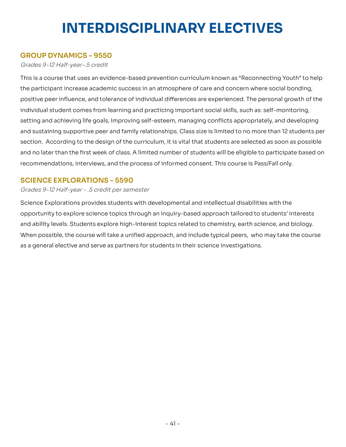# **INTERDISCIPLINARY ELECTIVES**

## **GROUP DYNAMICS – 9550**

Grades 9-12 Half-year-.5 credit

This is a course that uses an evidence-based prevention curriculum known as "Reconnecting Youth" to help This is a course that uses an evidence-based prevention curriculum known as "Reconnecting Youth" to help<br>the participant increase academic success in an atmosphere of care and concern where social bonding, positive peer influence, and tolerance of individual differences are experienced. The personal growth of the individual student comes from learning and practicing important social skills, such as: self-monitoring, and achieving life goals, improving self-esteem, managing conflicts appropriately, and developing and sustaining supportive peer and family relationships. Class size is limited to no more than 12 students per section. According to the design of the curriculum, it is vital that students are selected as soon as possible section. According to the design of the curriculum, it is vital that students are selected as soon as possible<br>and no later than the first week of class. A limited number of students will be eligible to participate based recommendations, interviews, and the process of informed consent. This course is Pass/Fail only. positive peer influence, and tolerance of individual differences are experienced. The personal growth of the<br>individual student comes from learning and practicing important social skills, such as: self-monitoring,<br>setting

## **SCIENCE EXPLORATIONS – 5590**

Grades 9-12 Half-year - .5 credit per semester

Science Explorations provides students with developmental and intellectual disabilities with the to explore science topics through an inquiry-based approach tailored to students' interests and ability levels. Students explore high-interest topics related to chemistry, earth science, and biology. When possible, the course will take a unified approach, and include typical peers, who may take the course as a general elective and serve as partners for students in their science investigations. Science Explorations provides students with developmental and intellectual disabilities with the<br>opportunity to explore science topics through an inquiry-based approach tailored to students' interests<br>and ability levels. S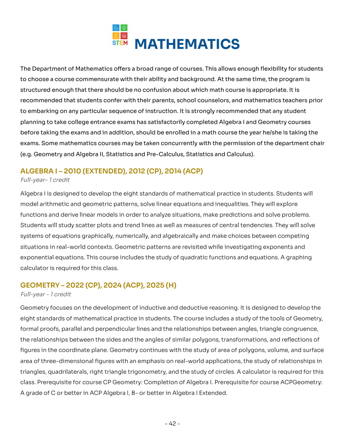

The Department of Mathematics offers a broad range of courses. This allows enough flexibility for students to choose a course commensurate with their ability and background. At the same time, the program is structured enough that there should be no confusion about which math course is appropriate. It is to choose a course commensurate with their ability and background. At the same time, the program is<br>structured enough that there should be no confusion about which math course is appropriate. It is<br>recommended that student to embarking on any particular sequence of instruction. It is strongly recommended that any student planning to take college entrance exams has satisfactorily completed Algebra I and Geometry courses before taking the exams and in addition, should be enrolled in a math course the year he/she is taking the Some mathematics courses may be taken concurrently with the permission of the department chair (e.g. Geometry and Algebra II, Statistics and Pre-Calculus, Statistics and Calculus). to embarking on any particular sequence of instruction. It is strongly recommended that any student<br>planning to take college entrance exams has satisfactorily completed Algebra I and Geometry courses<br>before taking the exam

## **ALGEBRA I – 2010 (EXTENDED), 2012 (CP), 2014 (ACP)**

#### Full-year- 1 credit

Algebra I is designed to develop the eight standards of mathematical practice in students. Students will model arithmetic and geometric patterns, solve linear equations and inequalities. They will explore Algebra I is designed to develop the eight standards of mathematical practice in students. Students will<br>model arithmetic and geometric patterns, solve linear equations and inequalities. They will explore<br>functions and der Students will study scatter plots and trend lines as well as measures of central tendencies. They will solve Students will study scatter plots and trend lines as well as measures of central tendencies. They will solve<br>systems of equations graphically, numerically, and algebraically and make choices between competing situations in real-world contexts. Geometric patterns are revisited while investigating exponents and equations. This course includes the study of quadratic functions and equations. A graphing calculator is required for this class. situations in real-world contexts. Geometric patterns are revisited while investigating exponents and<br>exponential equations. This course includes the study of quadratic functions and equations. A graphing<br>calculator is req

## **GEOMETRY – 2022 (CP), 2024 (ACP), 2025 (H)**

#### Full-year - 1 credit

Geometry focuses on the development of inductive and deductive reasoning. It is designed to develop the eight standards of mathematical practice in students. The course includes a study of the tools of Geometry, formal proofs, parallel and perpendicular lines and the relationships between angles, triangle congruence, the relationships between the sides and the angles of similar polygons, transformations, and reflections of Geometry focuses on the development of inductive and deductive reasoning. It is designed to develop the<br>eight standards of mathematical practice in students. The course includes a study of the tools of Geometry,<br>formal pro area of three-dimensional figures with an emphasis on real-world applications, the study of relationships in quadrilaterals, right triangle trigonometry, and the study of circles. A calculator is required for this class. Prerequisite for course CP Geometry: Completion of Algebra I. Prerequisite for course ACPGeometry: A grade of C or better in ACP Algebra I, B- or better in Algebra I Extended. area of three-dimensional figures with an emphasis on real-world applications, the study of relationships in<br>triangles, quadrilaterals, right triangle trigonometry, and the study of circles. A calculator is required for th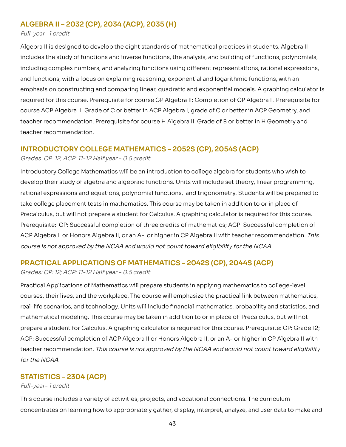## **ALGEBRA II – 2032 (CP), 2034 (ACP), 2035 (H)**

#### Full-year- 1 credit

Algebra II is designed to develop the eight standards of mathematical practices in students. Algebra II includes the study of functions and inverse functions, the analysis, and building of functions, polynomials, complex numbers, and analyzing functions using different representations, rational expressions, and functions, with a focus on explaining reasoning, exponential and logarithmic functions, with an emphasis on constructing and comparing linear, quadratic and exponential models. A graphing calculator is required for this course. Prerequisite for course CP Algebra II: Completion of CP Algebra I. Prerequisite for ACP Algebra II: Grade of C or better in ACP Algebra I, grade of C or better in ACP Geometry, and teacher recommendation. Prerequisite for course H Algebra II: Grade of B or better in H Geometry and teacher recommendation. Algebra II is designed to develop the eight standards of mathematical practices in students. Algebra II<br>includes the study of functions and inverse functions, the analysis, and building of functions, polynomials,<br>including emphasis on constructing and comparing linear, quadratic and exponential models. A graphing calculator is<br>required for this course. Prerequisite for course CP Algebra II: Completion of CP Algebra I . Prerequisite for<br>cours

## **INTRODUCTORY COLLEGE MATHEMATICS – 2052S (CP), 2054S (ACP)**

#### Grades: CP: 12; ACP: 11-12 Half year - 0.5 credit

 Introductory College Mathematics will be an introduction to college algebra for students who wish to develop their study of algebra and algebraic functions. Units will include set theory, linear programming, rational expressions and equations, polynomial functions, and trigonometry. Students will be prepared to take college placement tests in mathematics. This course may be taken in addition to or in place of Precalculus, but will not prepare a student for Calculus. A graphing calculator is required for this course. Prerequisite: CP: Successful completion of three credits of mathematics; ACP: Successful completion of ACP Algebra II or Honors Algebra II, or an A- or higher in CP Algebra II with teacher recommendation. This course is not approved by the NCAA and would not count toward eligibility for the NCAA. develop their study of algebra and algebraic functions. Units will include set theory, linear programming,<br>rational expressions and equations, polynomial functions, and trigonometry. Students will be prepared to<br>take colle

## **PRACTICAL APPLICATIONS OF MATHEMATICS – 2042S (CP), 2044S (ACP)**

#### Grades: CP: 12; ACP: 11-12 Half year - 0.5 credit

 Practical Applications of Mathematics will prepare students in applying mathematics to college-level courses, their lives, and the workplace. The course will emphasize the practical link between mathematics, real-life scenarios, and technology. Units will include financial mathematics, probability and statistics, and mathematical modeling. This course may be taken in addition to or in place of Precalculus, but will not prepare a student for Calculus. A graphing calculator is required for this course. Prerequisite: CP: Grade 12; ACP: Successful completion of ACP Algebra II or Honors Algebra II, or an A- or higher in CP Algebra II with teacher recommendation. This course is not approved by the NCAA and would not count toward eligibility -----------courses, their lives, and the workplace. The course will emphasize the practical link between mathematics, real-life scenarios, and technology. Units will include financial mathematics, probability and statistics, and math

## **STATISTICS – 2304 (ACP)**

#### . <del>.</del> . . . . . Full-year- 1 credit

This course includes a variety of activities, projects, and vocational connections. The curriculum on learning how to appropriately gather, display, interpret, analyze, and user data to make and This course includes a variety of activities, projects, and vocational connections. The curriculum<br>concentrates on learning how to appropriately gather, display, interpret, analyze, and user data to make and<br>- 43 -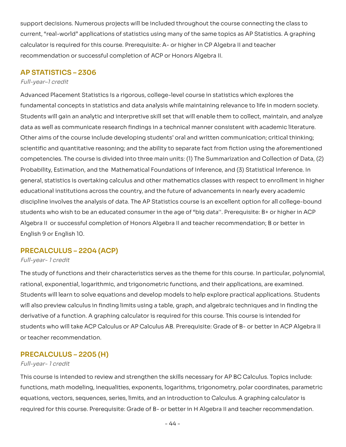support decisions. Numerous projects will be included throughout the course connecting the class to "real-world" applications of statistics using many of the same topics as AP Statistics. A graphing calculator is required for this course. Prerequisite: A- or higher in CP Algebra II and teacher recommendation or successful completion of ACP or Honors Algebra II. support decisions. Numerous projects will be included throughout the course connecting the class to<br>current, "real-world" applications of statistics using many of the same topics as AP Statistics. A graphing<br>calculator is

## **AP STATISTICS – 2306**

#### Full-year–1 credit

 Advanced Placement Statistics Is a rigorous, college-level course in statistics which explores the fundamental concepts in statistics and data analysis while maintaining relevance to life in modern society. fundamental concepts in statistics and data analysis while maintaining relevance to life in modern society.<br>Students will gain an analytic and interpretive skill set that will enable them to collect, maintain, and analyze data as well as communicate research findings in a technical manner consistent with academic literature. Other aims of the course include developing students' oral and written communication; critical thinking; data as well as communicate research findings in a technical manner consistent with academic literature.<br>Other aims of the course include developing students' oral and written communication; critical thinking;<br>scientific a competencies. The course is divided into three main units: (1) The Summarization and Collection of Data, (2) Probability, Estimation, and the Mathematical Foundations of Inference, and (3) Statistical Inference. In general, statistics is overtaking calculus and other mathematics classes with respect to enrollment in higher educational institutions across the country, and the future of advancements in nearly every academic competencies. The course is divided into three main units: (1) The Summarization and Collection of Data, (2)<br>Probability, Estimation, and the Mathematical Foundations of Inference, and (3) Statistical Inference. In<br>general students who wish to be an educated consumer in the age of "big data". Prerequisite: B+ or higher in ACP students who wish to be an educated consumer in the age of "big data''. Prerequisite: B+ or higher in ACP<br>Algebra II or successful completion of Honors Algebra II and teacher recommendation; B or better in English 9 or English 10.

## **PRECALCULUS – 2204 (ACP)**

#### Full-year- 1 credit

The study of functions and their characteristics serves as the theme for this course. In particular, polynomial,<br>rational, exponential, logarithmic, and trigonometric functions, and their applications, are examined. rational, exponential, logarithmic, and trigonometric functions, and their applications, are examined. Students will learn to solve equations and develop models to help explore practical applications. Students will also preview calculus in finding limits using a table, graph, and algebraic techniques and in finding the derivative of a function. A graphing calculator is required for this course. This course is intended for who will take ACP Calculus or AP Calculus AB. Prerequisite: Grade of B- or better in ACP Algebra II or teacher recommendation. derivative of a function. A graphing calculator is required for this course. This course is intended for<br>students who will take ACP Calculus or AP Calculus AB. Prerequisite: Grade of B- or better in ACP Algebra II<br>or teach

## **PRECALCULUS – 2205 (H)**

#### Full-year- 1 credit

This course is intended to review and strengthen the skills necessary for AP BC Calculus. Topics include: math modeling, inequalities, exponents, logarithms, trigonometry, polar coordinates, parametric equations, vectors, sequences, series, limits, and an introduction to Calculus. A graphing calculator is required for this course. Prerequisite: Grade of B- or better in H Algebra II and teacher recommendation. This course is intended to review and strengthen the skills necessary for AP BC Calculus. Topics include:<br>functions, math modeling, inequalities, exponents, logarithms, trigonometry, polar coordinates, parametric<br>equations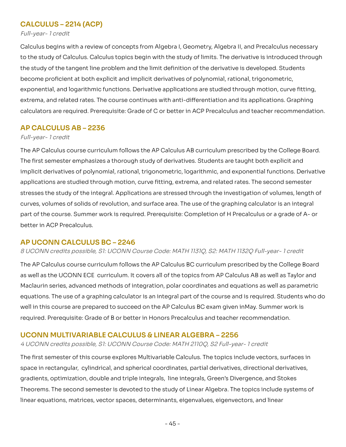## **CALCULUS – 2214 (ACP)**

Full-year- 1 credit

Calculus begins with a review of concepts from Algebra I, Geometry, Algebra II, and Precalculus necessary to the study of Calculus. Calculus topics begin with the study of limits. The derivative is introduced through study of the tangent line problem and the limit definition of the derivative is developed. Students become proficient at both explicit and implicit derivatives of polynomial, rational, trigonometric, exponential, and logarithmic functions. Derivative applications are studied through motion, curve fitting, extrema, and related rates. The course continues with anti-differentiation and its applications. Graphing extrema, and related rates. The course continues with anti-differentiation and its applications. Graphing<br>calculators are required. Prerequisite: Grade of C or better in ACP Precalculus and teacher recommendation. Calculus begins with a review of concepts from Algebra I, Geometry, Algebra II, and Precalculus necessary<br>to the study of Calculus. Calculus topics begin with the study of limits. The derivative is introduced through<br>the s

## **AP CALCULUS AB – 2236**

#### Full-year- 1 credit

The AP Calculus course curriculum follows the AP Calculus AB curriculum prescribed by the College Board. The first semester emphasizes a thorough study of derivatives. Students are taught both explicit and implicit derivatives of polynomial, rational, trigonometric, logarithmic, and exponential functions. Derivative applications are studied through motion, curve fitting, extrema, and related rates. The second semester stresses the study of the integral. Applications are stressed through the investigation of volumes, length of curves, volumes of solids of revolution, and surface area. The use of the graphing calculator is an integral part of the course. Summer work is required. Prerequisite: Completion of H Precalculus or a grade of A- or<br>better in ACP Precalculus. better in ACP Precalculus. The AP Calculus course curriculum follows the AP Calculus AB curriculum prescribed by the College Board.<br>The first semester emphasizes a thorough study of derivatives. Students are taught both explicit and<br>implicit derivat

## **AP UCONN CALCULUS BC – 2246**

#### 8 UCONN credits possible, S1: UCONN Course Code: MATH 1131Q, S2: MATH 1132Q Full-year- 1 credit

The AP Calculus course curriculum follows the AP Calculus BC curriculum prescribed by the College Board as well as the UCONN ECE curriculum. It covers all of the topics from AP Calculus AB as well as Taylor and The AP Calculus course curriculum follows the AP Calculus BC curriculum prescribed by the College Board<br>as well as the UCONN ECE curriculum. It covers all of the topics from AP Calculus AB as well as Taylor and<br>Maclaurin equations. The use of a graphing calculator is an integral part of the course and is required. Students who do in this course are prepared to succeed on the AP Calculus BC exam given in May. Summer work is required. Prerequisite: Grade of B or better in Honors Precalculus and teacher recommendation. equations. The use of a graphing calculator is an integral part of the course and is required. Students who do<br>well in this course are prepared to succeed on the AP Calculus BC exam given inMay. Summer work is<br>required. Pr

## **UCONN MULTIVARIABLE CALCULUS & LINEAR ALGEBRA – 2256**

#### 4 UCONN credits possible, S1: UCONN Course Code: MATH 2110Q, S2 Full-year- 1 credit

The first semester of this course explores Multivariable Calculus. The topics include vectors, surfaces in space in rectangular, cylindrical, and spherical coordinates, partial derivatives, directional derivatives, gradients, optimization, double and triple integrals, line integrals, Green's Divergence, and Stokes Theorems. The second semester is devoted to the study of Linear Algebra. The topics include systems of linear equations, matrices, vector spaces, determinants, eigenvalues, eigenvectors, and linear The first semester of this course explores Multivariable Calculus. The topics include vectors, surfaces in space in rectangular, cylindrical, and spherical coordinates, partial derivatives, directional derivatives, gradien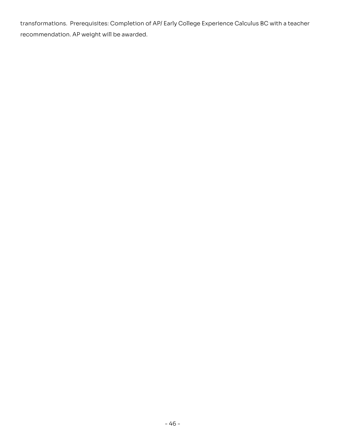transformations. Prerequisites: Completion of AP/ Early College Experience Calculus BC with a teacher<br>recommendation. AP weight will be awarded. recommendation. AP weight will be awarded.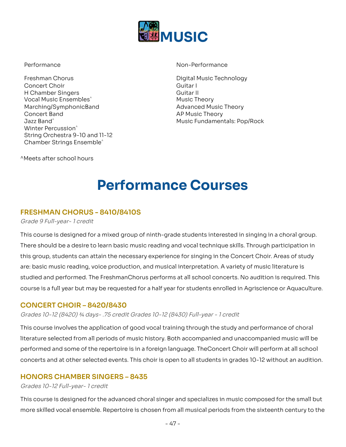

Freshman Chorus Concert Choir **Guitar I** H Chamber Singers Guitar II (Guitar II  $\sf Vocal$  Music Ensembles $\hat{}$   $\sf M$ usic Theory Marching/SymphonicBand Advanced Music Theory **Concert Band** Jazz Band<sup>^</sup> Winter Percussion $\hat{~}$  String Orchestra 9-10 and 11-12 Concert Band AP Music Theory Jazz Band^ Music Fundamentals: Pop/Rock Performance Non-PerformanceFreshman Chorus Digital Music Technology

Performance Non-Performance

Digital Music Technology Guitar L Guitar II **Music Theory Advanced Music Theory** 

<sup>^</sup>Meets after school hours Chamber Strings Ensemble^^Meets after school hours

## **Performance Courses**

## **FRESHMAN CHORUS - 8410/8410S**

Grade 9 Full-year- 1 credit

This course is designed for a mixed group of ninth-grade students interested in singing in a choral group. There should be a desire to learn basic music reading and vocal technique skills. Through participation in this group, students can attain the necessary experience for singing in the Concert Choir. Areas of study are: basic music reading, voice production, and musical interpretation. A variety of music literature is studied and performed. The FreshmanChorus performs at all school concerts. No audition is required. This This course is designed for a mixed group of ninth-grade students interested in singing in a choral group.<br>There should be a desire to learn basic music reading and vocal technique skills. Through participation in<br>this gro

## **CONCERT CHOIR – 8420/8430**

Grades 10-12 (8420) ¾ [days-](https://days-.75) .75 credit Grades 10-12 (8430) Full-year - 1 credit

This course involves the application of good vocal training through the study and performance of choral literature selected from all periods of music history. Both accompanied and unaccompanied music will be performed and some of the repertoire is in a foreign language. The Concert Choir will perform at all school This course involves the application of good vocal training through the study and performance of choral<br>literature selected from all periods of music history. Both accompanied and unaccompanied music will be<br>performed and

## **HONORS CHAMBER SINGERS – 8435**

#### Grades 10-12 Full-year- 1 credit

This course is designed for the advanced choral singer and specializes in music composed for the small but skilled vocal ensemble. Repertoire is chosen from all musical periods from the sixteenth century to the This course is designed for the advanced choral singer and specializes in music composed for the small but<br>more skilled vocal ensemble. Repertoire is chosen from all musical periods from the sixteenth century to the<br>- 47 -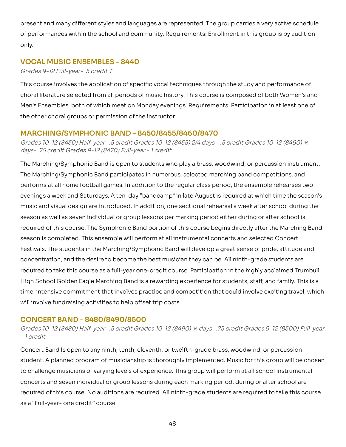present and many different styles and languages are represented. The group carries a very active schedule performances within the school and community. Requirements: Enrollment in this group is by audition only. present and many different styles and languages are represented. The group carries a very active schedule<br>of performances within the school and community. Requirements: Enrollment in this group is by audition<br>only.

## **VOCAL MUSIC ENSEMBLES – 8440**

Grades 9-12 Full-year- .5 credit T

This course involves the application of specific vocal techniques through the study and performance of This course involves the application of specific vocal techniques through the study and performance of<br>choral literature selected from all periods of music history. This course is composed of both Women's and Men's Ensembles, both of which meet on Monday evenings. Requirements: Participation in at least one of the other choral groups or permission of the instructor.

## **MARCHING/SYMPHONIC BAND – 8450/8455/8460/8470**

Grades 10-12 (8450) Half-year- .5 credit Grades 10-12 (8455) 2/4 days - .5 credit Grades 10-12 (8460) ¾<br>[days-](https://days-.75) .75 credit Grades 9-12 (8470) Full-year - 1 credit days-.75 credit Grades 9-12 (8470) Full-year - 1 credit

The Marching/Symphonic Band is open to students who play a brass, woodwind, or percussion instrument. The Marching/Symphonic Band participates in numerous, selected marching band competitions, and performs at all home football games. In addition to the regular class period, the ensemble rehearses two evenings a week and Saturdays. A ten-day "bandcamp" in late August is required at which time the season's music and visual design are introduced. In addition, one sectional rehearsal a week after school during the season as well as seven individual or group lessons per marking period either during or after school is required of this course. The Symphonic Band portion of this course begins directly after the Marching Band season is completed. This ensemble will perform at all instrumental concerts and selected Concert Festivals. The students in the Marching/Symphonic Band will develop a great sense of pride, attitude and concentration, and the desire to become the best musician they can be. All ninth-grade students are to take this course as a full-year one-credit course. Participation in the highly acclaimed Trumbull High School Golden Eagle Marching Band is a rewarding experience for students, staff, and family. This is a time-intensive commitment that involves practice and competition that could involve exciting travel, which<br>will involve fundraising activities to help offset trip costs. will involve fundraising activities to help offset trip costs. The Marching/Symphonic Band is open to students who play a brass, woodwind, or percussion instrument.<br>The Marching/Symphonic Band participates in numerous, selected marching band competitions, and<br>performs at all home foot concentration, and the desire to become the best musician they can be. All ninth-grade students are<br>required to take this course as a full-year one-credit course. Participation in the highly acclaimed Trumbull<br>High School

## **CONCERT BAND – 8480/8490/8500**

Grades 10-12 (8480) Half-year- .5 credit Grades 10-12 (8490) ¾ days- .75 credit Grades 9-12 (8500) Full-year<br>- 1 credit . <del>.</del> . . . . . 1 credit

Concert Band Is open to any ninth, tenth, eleventh, or twelfth-grade brass, woodwind, or percussion student. A planned program of musicianship is thoroughly implemented. Music for this group will be chosen to challenge musicians of varying levels of experience. This group will perform at all school instrumental and seven individual or group lessons during each marking period, during or after school are required of this course. No auditions are required. All ninth-grade students are required to take this course as a "Full-year- one credit" course. Concert Band Is open to any ninth, tenth, eleventh, or twelfth-grade brass, woodwind, or percussion<br>student. A planned program of musicianship is thoroughly implemented. Music for this group will be chosen<br>to challenge mus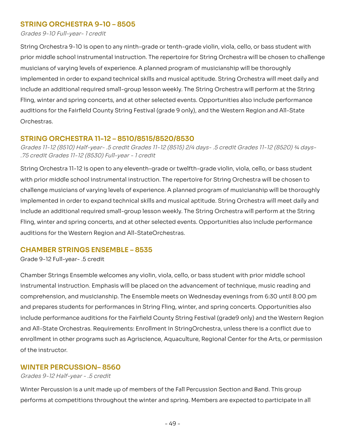## **STRING ORCHESTRA 9-10 – 8505**

Grades 9-10 Full-year- 1 credit

String Orchestra 9-10 is open to any ninth-grade or tenth-grade violin, viola, cello, or bass student with prior middle school instrumental instruction. The repertoire for String Orchestra will be chosen to challenge musicians of varying levels of experience. A planned program of musicianship will be thoroughly implemented in order to expand technical skills and musical aptitude. String Orchestra will meet daily and include an additional required small-group lesson weekly. The String Orchestra will perform at the String Fling, winter and spring concerts, and at other selected events. Opportunities also include performance auditions for the Fairfield County String Festival (grade 9 only), and the Western Region and All-State Orchestras. String Orchestra 9-10 is open to any ninth-grade or tenth-grade violin, viola, cello, or bass student with<br>prior middle school instrumental instruction. The repertoire for String Orchestra will be chosen to challenge<br>music

## **STRING ORCHESTRA 11-12 – 8510/8515/8520/8530**

 Grades 11-12 (8510) Half-year- .5 credit Grades 11-12 (8515) 2/4 days- .5 credit Grades 11-12 (8520) ¾ days- .75 credit Grades 11-12 (8530) Full-year - 1 credit

 String Orchestra 11-12 is open to any eleventh-grade or twelfth-grade violin, viola, cello, or bass student with prior middle school instrumental instruction. The repertoire for String Orchestra will be chosen to challenge musicians of varying levels of experience. A planned program of musicianship will be thoroughly implemented in order to expand technical skills and musical aptitude. String Orchestra will meet daily and include an additional required small-group lesson weekly. The String Orchestra will perform at the String Fling, winter and spring concerts, and at other selected events. Opportunities also include performance auditions for the Western Region and All-StateOrchestras. with prior middle school instrumental instruction. The repertoire for String Orchestra will be chosen to<br>challenge musicians of varying levels of experience. A planned program of musicianship will be thoroughly<br>implemented

## **CHAMBER STRINGS ENSEMBLE – 8535**

Grade 9-12 Full-year- .5 credit

Chamber Strings Ensemble welcomes any violin, viola, cello, or bass student with prior middle school instrumental instruction. Emphasis will be placed on the advancement of technique, music reading and comprehension, and musicianship. The Ensemble meets on Wednesday evenings from 6:30 until 8:00 pm and prepares students for performances in String Fling, winter, and spring concerts. Opportunities also include performance auditions for the Fairfield County String Festival (grade9 only) and the Western Region and All-State Orchestras. Requirements: Enrollment In StringOrchestra, unless there is a conflict due to enrollment in other programs such as Agriscience, Aguaculture, Regional Center for the Arts, or permission of the instructor. Chamber Strings Ensemble welcomes any violin, viola, cello, or bass student with prior middle school<br>instrumental instruction. Emphasis will be placed on the advancement of technique, music reading and<br>comprehension, and m

## **WINTER PERCUSSION– 8560**

Grades 9-12 Half-year - .5 credit

Winter Percussion is a unit made up of members of the Fall Percussion Section and Band. This group at competitions throughout the winter and spring. Members are expected to participate in all Winter Percussion is a unit made up of members of the Fall Percussion Section and Band. This group<br>performs at competitions throughout the winter and spring. Members are expected to participate in all<br>- 49 -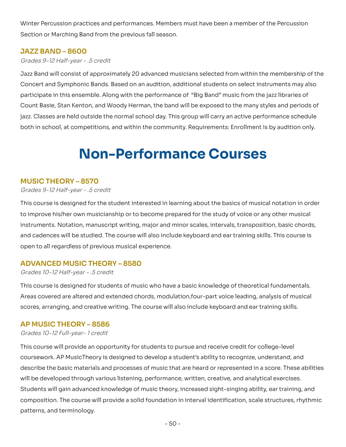Winter Percussion practices and performances. Members must have been a member of the Percussion<br>Section or Marching Band from the previous fall season. Section or Marching Band from the previous fall season.

## **JAZZ BAND – 8600**

Grades 9-12 Half-year - .5 credit

Jazz Band will consist of approximately 20 advanced musicians selected from within the membership of the Concert and Symphonic Bands. Based on an audition, additional students on select instruments may also participate in this ensemble. Along with the performance of "Big Band" music from the jazz libraries of Basie, Stan Kenton, and Woody Herman, the band will be exposed to the many styles and periods of jazz. Classes are held outside the normal school day. This group will carry an active performance schedule both in school, at competitions, and within the community. Requirements: Enrollment Is by audition only. Jazz Band will consist of approximately 20 advanced musicians selected from within the membership of the<br>Concert and Symphonic Bands. Based on an audition, additional students on select instruments may also<br>participate in

## **Non-Performance Courses**

## **MUSIC THEORY – 8570**

Grades 9-12 Half-year - .5 credit

This course is designed for the student interested in learning about the basics of musical notation in order to improve his/her own musicianship or to become prepared for the study of voice or any other musical instruments. Notation, manuscript writing, major and minor scales, intervals, transposition, basic chords, This course is designed for the student interested in learning about the basics of musical notation in order<br>to improve his/her own musicianship or to become prepared for the study of voice or any other musical<br>instruments open to all regardless of previous musical experience.

## **ADVANCED MUSIC THEORY – 8580**

Grades 10-12 Half-year - .5 credit

This course is designed for students of music who have a basic knowledge of theoretical fundamentals. Areas covered are altered and extended chords, modulation, four-part voice leading, analysis of musical This course is designed for students of music who have a basic knowledge of theoretical fundamentals.<br>Areas covered are altered and extended chords, modulation,four-part voice leading, analysis of musical<br>scores, arranging

## **AP MUSIC THEORY – 8586**

#### Grades 10-12 Full-year- 1 credit

This course will provide an opportunity for students to pursue and receive credit for college-level coursework. AP MusicTheory is designed to develop a student's ability to recognize, understand, and This course will provide an opportunity for students to pursue and receive credit for college-level<br>coursework. AP MusicTheory is designed to develop a student's ability to recognize, understand, and<br>describe the basic mat will be developed through various listening, performance, written, creative, and analytical exercises. Students will gain advanced knowledge of music theory, increased sight-singing ability, ear training, and The course will provide a solid foundation in interval identification, scale structures, rhythmic patterns, and terminology. will be developed through various listening, performance, written, creative, and analytical exercises.<br>Students will gain advanced knowledge of music theory, increased sight-singing ability, ear training, and<br>composition.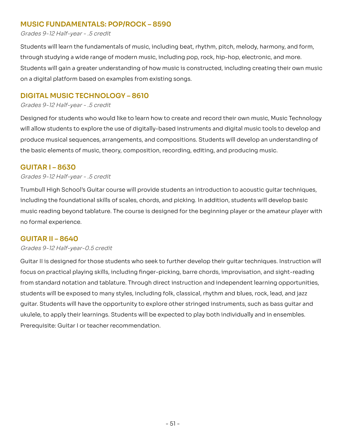## **MUSIC FUNDAMENTALS: POP/ROCK – 8590**

#### Grades 9-12 Half-year - .5 credit

Students will learn the fundamentals of music, including beat, rhythm, pitch, melody, harmony, and form, through studying a wide range of modern music, including pop, rock, hip-hop, electronic, and more. will gain a greater understanding of how music is constructed, including creating their own music on a digital platform based on examples from existing songs. Students will learn the fundamentals of music, including beat, rhythm, pitch, melody, harmony, and form,<br>through studying a wide range of modern music, including pop, rock, hip-hop, electronic, and more.<br>Students will gain

## **DIGITAL MUSIC TECHNOLOGY – 8610**

Grades 9-12 Half-year - .5 credit

Designed for students who would like to learn how to create and record their own music, Music Technology Designed for students who would like to learn how to create and record their own music, Music Technology<br>will allow students to explore the use of digitally-based instruments and digital music tools to develop and produce musical sequences, arrangements, and compositions. Students will develop an understanding of produce musical sequences, arrangements, and compositions. Students will develop an understanding of<br>the basic elements of music, theory, composition, recording, editing, and producing music.

## **GUITAR I – 8630**

#### Grades 9-12 Half-year - .5 credit

Trumbull High School's Guitar course will provide students an introduction to acoustic quitar techniques, including the foundational skills of scales, chords, and picking. In addition, students will develop basic reading beyond tablature. The course is designed for the beginning player or the amateur player with no formal experience. Trumbull High School's Guitar course will provide students an introduction to acoustic guitar techniques,<br>including the foundational skills of scales, chords, and picking. In addition, students will develop basic<br>music rea

## **GUITAR II – 8640**

#### Grades 9-12 Half-year-0.5 credit

Guitar II is designed for those students who seek to further develop their quitar techniques. Instruction will focus on practical playing skills, including finger-picking, barre chords, improvisation, and sight-reading standard notation and tablature. Through direct instruction and independent learning opportunities, students will be exposed to many styles, including folk, classical, rhythm and blues, rock, lead, and jazz guitar. Students will have the opportunity to explore other stringed instruments, such as bass guitar and ukulele, to apply their learnings. Students will be expected to play both individually and in ensembles. Prerequisite: Guitar I or teacher recommendation. Guitar II is designed for those students who seek to further develop their guitar techniques. Instruction will<br>focus on practical playing skills, including finger-picking, barre chords, improvisation, and sight-reading<br>fro ukulele, to apply their learnings. Students will be expected to play both individually and in ensembles.<br>Prerequisite: Guitar I or teacher recommendation.<br>- 51 -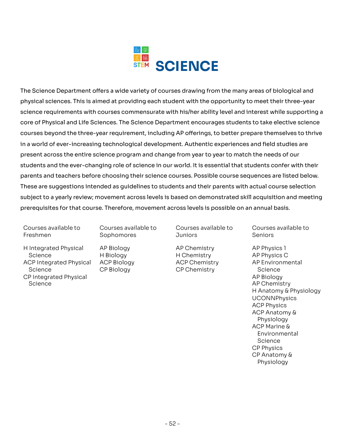

The Science Department offers a wide variety of courses drawing from the many areas of biological and physical sciences. This is aimed at providing each student with the opportunity to meet their three-year requirements with courses commensurate with his/her ability level and interest while supporting a core of Physical and Life Sciences. The Science Department encourages students to take elective science courses beyond the three-year requirement, including AP offerings, to better prepare themselves to thrive in a world of ever-increasing technological development. Authentic experiences and field studies are across the entire science program and change from year to year to match the needs of our students and the ever-changing role of science in our world. It is essential that students confer with their parents and teachers before choosing their science courses. Possible course sequences are listed below. These are suggestions intended as guidelines to students and their parents with actual course selection to a yearly review; movement across levels is based on demonstrated skill acquisition and meeting prerequisites for that course. Therefore, movement across levels is possible on an annual basis. The Science Department offers a wide variety of courses drawing from the many areas of biological and<br>physical sciences. This is aimed at providing each student with the opportunity to meet their three-year<br>science require in a world of ever-increasing technological development. Authentic experiences and field studies are<br>present across the entire science program and change from year to year to match the needs of our<br>students and the ever-ch parents and teachers before choosing their science courses. Possible course sequences are listed below.<br>These are suggestions intended as guidelines to students and their parents with actual course selection<br>subject to a y

Courses available to Freshmen Courses available to Courses available to Courses available to Courses available to

- Sophomores
- H Integrated Physical Science ACP Integrated Physical ACP Biology ACP Chemistry AP Environmental Science CP Integrated Physical Science Science H Biology H Chemistry AP Physics C Science CP Biology CP Chemistry Science ScienceAP Biology
- AP Biology Freshmen Sophomores Juniors SeniorsH Integrated Physical AP Biology AP Chemistry AP Physics 1

H Biology **ACP Biology** CP Biology

Courses available to **Juniors** 

AP Chemistry **ACP Chemistry**  Courses available to **Seniors** 

AP Physics 1 AP Physics C AP Environmental Science AP Biology AP Chemistry H Anatomy & Physiology UCONNPhysics ACP Physics ACP Anatomy & Physiology Physiology<br>ACP Marine & Environmental Science CP Physics CP Anatomy & Physiology Physiology<br>-<br>52 -<br>-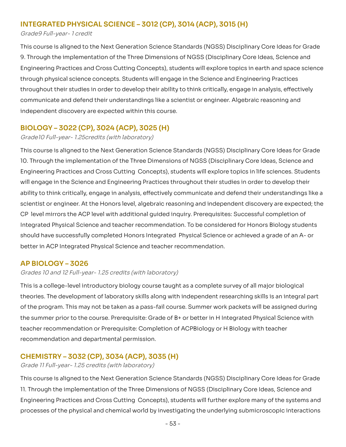## **INTEGRATED PHYSICAL SCIENCE – 3012 (CP), 3014 (ACP), 3015 (H)**

Grade9 Full-year- 1 credit

 This course is aligned to the Next Generation Science Standards (NGSS) Disciplinary Core Ideas for Grade 9. Through the implementation of the Three Dimensions of NGSS (Disciplinary Core Ideas, Science and Engineering Practices and Cross Cutting Concepts), students will explore topics in earth and space science through physical science concepts. Students will engage in the Science and Engineering Practices throughout their studies in order to develop their ability to think critically, engage in analysis, effectively communicate and defend their understandings like a scientist or engineer. Algebraic reasoning and independent discovery are expected within this course. 9. Through the implementation of the Three Dimensions of NGSS (Disciplinary Core Ideas, Science and<br>Engineering Practices and Cross Cutting Concepts), students will explore topics in earth and space science<br>through physica

## **BIOLOGY – 3022 (CP), 3024 (ACP), 3025 (H)**

Grade10 Full-year- 1.25credits (with laboratory)

 This course is aligned to the Next Generation Science Standards (NGSS) Disciplinary Core Ideas for Grade 10. Through the implementation of the Three Dimensions of NGSS (Disciplinary Core Ideas, Science and Engineering Practices and Cross Cutting Concepts), students will explore topics in life sciences. Students will engage in the Science and Engineering Practices throughout their studies in order to develop their 10. Through the implementation of the Three Dimensions of NGSS (Disciplinary Core Ideas, Science and<br>Engineering Practices and Cross Cutting Concepts), students will explore topics in life sciences. Students<br>will engage i scientist or engineer. At the Honors level, algebraic reasoning and independent discovery are expected; the scientist or engineer. At the Honors level, algebraic reasoning and independent discovery are expected; the<br>CP level mirrors the ACP level with additional guided inquiry. Prerequisites: Successful completion of Integrated Physical Science and teacher recommendation. To be considered for Honors Biology students should have successfully completed Honors Integrated Physical Science or achieved a grade of an A- or<br>better in ACP Integrated Physical Science and teacher recommendation. better in ACP Integrated Physical Science and teacher recommendation.

## **AP BIOLOGY – 3026**

Grades 10 and 12 [Full-year-](https://Full-year-1.25) 1.25 credits (with laboratory)

This is a college-level introductory biology course taught as a complete survey of all major biological theories. The development of laboratory skills along with independent researching skills is an integral part the program. This may not be taken as a pass-fail course. Summer work packets will be assigned during the summer prior to the course. Prerequisite: Grade of B+ or better in H Integrated Physical Science with teacher recommendation or Prerequisite: Completion of ACPBiology or H Biology with teacher recommendation and departmental permission. This is a college-level introductory biology course taught as a complete survey of all major biological<br>theories. The development of laboratory skills along with independent researching skills is an integral part<br>of the pr

## **CHEMISTRY – 3032 (CP), 3034 (ACP), 3035 (H)**

Grade 11 [Full-year-](https://Full-year-1.25) 1.25 credits (with laboratory)

 This course is aligned to the Next Generation Science Standards (NGSS) Disciplinary Core Ideas for Grade 11. Through the implementation of the Three Dimensions of NGSS (Disciplinary Core Ideas, Science and Practices and Cross Cutting Concepts), students will further explore many of the systems and processes of the physical and chemical world by investigating the underlying submicroscopic interactions 11. Through the implementation of the Three Dimensions of NGSS (Disciplinary Core Ideas, Science and<br>Engineering Practices and Cross Cutting Concepts), students will further explore many of the systems and<br>processes of th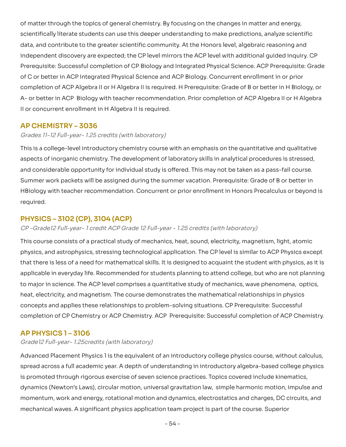of matter through the topics of general chemistry. By focusing on the changes in matter and energy, scientifically literate students can use this deeper understanding to make predictions, analyze scientific data, and contribute to the greater scientific community. At the Honors level, algebraic reasoning and independent discovery are expected; the CP level mirrors the ACP level with additional quided inquiry. CP Prerequisite: Successful completion of CP Biology and Integrated Physical Science. ACP Prerequisite: Grade of C or better in ACP Integrated Physical Science and ACP Biology. Concurrent enrollment in or prior completion of ACP Algebra II or H Algebra II is required. H Prerequisite: Grade of B or better in H Biology, or A- or better in ACP Biology with teacher recommendation. Prior completion of ACP Algebra II or H Algebra II or concurrent enrollment in H Algebra II is required. of matter through the topics of general chemistry. By focusing on the changes in matter and energy,<br>scientifically literate students can use this deeper understanding to make predictions, analyze scientific<br>data, and contr

## **AP CHEMISTRY – 3036**

#### Grades 11-12 [Full-year-](https://Full-year-1.25) 1.25 credits (with laboratory)

This is a college-level introductory chemistry course with an emphasis on the quantitative and qualitative aspects of inorganic chemistry. The development of laboratory skills in analytical procedures is stressed, and considerable opportunity for individual study is offered. This may not be taken as a pass-fail course. Summer work packets will be assigned during the summer vacation. Prerequisite: Grade of B or better in HBiology with teacher recommendation. Concurrent or prior enrollment in Honors Precalculus or beyond is required. This is a college-level introductory chemistry course with an emphasis on the quantitative and qualitative<br>aspects of inorganic chemistry. The development of laboratory skills in analytical procedures is stressed,<br>and cons

## **PHYSICS – 3102 (CP), 3104 (ACP)**

#### CP -Grade12 Full-year- 1 credit ACP Grade 12 Full-year - 1.25 credits (with laboratory)

This course consists of a practical study of mechanics, heat, sound, electricity, magnetism, light, atomic physics, and astrophysics, stressing technological application. The CP level is similar to ACP Physics except that there is less of a need for mathematical skills. It is designed to acquaint the student with physics, as it is applicable in everyday life. Recommended for students planning to attend college, but who are not planning to major in science. The ACP level comprises a quantitative study of mechanics, wave phenomena, optics, heat, electricity, and magnetism. The course demonstrates the mathematical relationships in physics concepts and applies these relationships to problem-solving situations. CP Prerequisite: Successful completion of CP Chemistry or ACP Chemistry. ACP Prerequisite: Successful completion of ACP Chemistry. This course consists of a practical study of mechanics, heat, sound, electricity, magnetism, light, atomic<br>physics, and astrophysics, stressing technological application. The CP level is similar to ACP Physics except<br>that

#### **AP PHYSICS 1 – 3106**

#### Grade12 Full-year- 1.25credits (with laboratory)

Advanced Placement Physics 1 is the equivalent of an introductory college physics course, without calculus, across a full academic year. A depth of understanding in introductory algebra-based college physics is promoted through rigorous exercise of seven science practices. Topics covered include kinematics, dynamics (Newton's Laws), circular motion, universal gravitation law, simple harmonic motion, impulse and momentum, work and energy, rotational motion and dynamics, electrostatics and charges, DC circuits, and mechanical waves. A significant physics application team project is part of the course. Superior<br>- 54 -Advanced Placement Physics 1 is the equivalent of an introductory college physics course, without calculus,<br>spread across a full academic year. A depth of understanding in introductory algebra-based college physics<br>is prom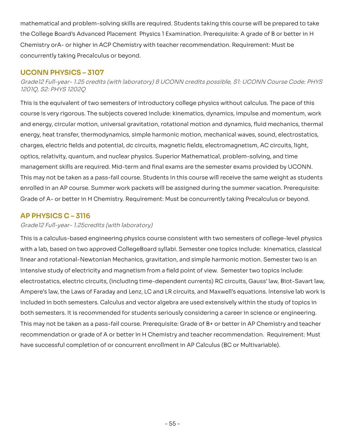mathematical and problem-solving skills are required. Students taking this course will be prepared to take College Board's Advanced Placement Physics 1 Examination. Prerequisite: A grade of B or better in H Chemistry or A- or higher in ACP Chemistry with teacher recommendation. Requirement: Must be concurrently taking Precalculus or beyond. mathematical and problem-solving skills are required. Students taking this course will be prepared to take<br>the College Board's Advanced Placement Physics 1 Examination. Prerequisite: A grade of B or better in H<br>Chemistry

## **UCONN PHYSICS – 3107**

Grade12 Full-year- 1.25 credits (with laboratory) 8 UCONN credits possible, S1: UCONN Course Code: PHYS<br>1201Q, S2: PHYS 1202Q 12010, S2: PHYS 12020

This is the equivalent of two semesters of introductory college physics without calculus. The pace of this course is very rigorous. The subjects covered include: kinematics, dynamics, impulse and momentum, work energy, circular motion, universal gravitation, rotational motion and dynamics, fluid mechanics, thermal energy, heat transfer, thermodynamics, simple harmonic motion, mechanical waves, sound, electrostatics, charges, electric fields and potential, dc circuits, magnetic fields, electromagnetism, AC circuits, light, optics, relativity, quantum, and nuclear physics. Superior Mathematical, problem-solving, and time management skills are required. Mid-term and final exams are the semester exams provided by UCONN. This may not be taken as a pass-fail course. Students in this course will receive the same weight as students enrolled in an AP course. Summer work packets will be assigned during the summer vacation. Prerequisite: Grade of A- or better in H Chemistry. Requirement: Must be concurrently taking Precalculus or beyond. This is the equivalent of two semesters of introductory college physics without calculus. The pace of this<br>course is very rigorous. The subjects covered include: kinematics, dynamics, impulse and momentum, work<br>and energy, charges, electric fields and potential, dc circuits, magnetic fields, electromagnetism, AC circuits, light,<br>optics, relativity, quantum, and nuclear physics. Superior Mathematical, problem-solving, and time<br>management skil

## **AP PHYSICS C – 3116**

### Grade12 Full-year- 1.25credits (with laboratory)

 This is a calculus-based engineering physics course consistent with two semesters of college-level physics with a lab, based on two approved CollegeBoard syllabi. Semester one topics include: kinematics, classical linear and rotational-Newtonian Mechanics, gravitation, and simple harmonic motion. Semester two is an intensive study of electricity and magnetism from a field point of view. Semester two topics include: electrostatics, electric circuits, (including time-dependent currents) RC circuits, Gauss' law, Biot-Savart law, Ampere's law, the Laws of Faraday and Lenz, LC and LR circuits, and Maxwell's equations. Intensive lab work is included in both semesters. Calculus and vector algebra are used extensively within the study of topics in both semesters. It is recommended for students seriously considering a career in science or engineering. This may not be taken as a pass-fail course. Prerequisite: Grade of B+ or better in AP Chemistry and teacher recommendation or grade of A or better in H Chemistry and teacher recommendation. Requirement: Must have successful completion of or concurrent enrollment in AP Calculus (BC or Multivariable). with a lab, based on two approved CollegeBoard syllabi. Semester one topics include: kinematics, classical<br>linear and rotational-Newtonian Mechanics, gravitation, and simple harmonic motion. Semester two is an<br>intensive st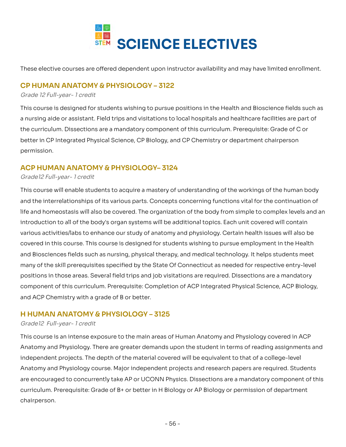

These elective courses are offered dependent upon instructor availability and may have limited enrollment.

## **CP HUMAN ANATOMY & PHYSIOLOGY – 3122**

#### Grade 12 Full-year- 1 credit

This course is designed for students wishing to pursue positions in the Health and Bioscience fields such as nursing aide or assistant. Field trips and visitations to local hospitals and healthcare facilities are part of the curriculum. Dissections are a mandatory component of this curriculum. Prerequisite: Grade of C or better in CP Integrated Physical Science, CP Biology, and CP Chemistry or department chairperson<br>permission. permission. This course is designed for students wishing to pursue positions in the Health and Bioscience fields such as<br>a nursing aide or assistant. Field trips and visitations to local hospitals and healthcare facilities are part of

## **ACP HUMAN ANATOMY & PHYSIOLOGY– 3124**

#### Grade12 Full-year- 1 credit

This course will enable students to acquire a mastery of understanding of the workings of the human body and the interrelationships of its various parts. Concepts concerning functions vital for the continuation of This course will enable students to acquire a mastery of understanding of the workings of the human body<br>and the interrelationships of its various parts. Concepts concerning functions vital for the continuation of<br>life and introduction to all of the body's organ systems will be additional topics. Each unit covered will contain various activities/labs to enhance our study of anatomy and physiology. Certain health issues will also be covered in this course. This course is designed for students wishing to pursue employment in the Health and Biosciences fields such as nursing, physical therapy, and medical technology. It helps students meet many of the skill prerequisites specified by the State Of Connecticut as needed for respective entry-level positions in those areas. Several field trips and job visitations are required. Dissections are a mandatory of this curriculum. Prerequisite: Completion of ACP Integrated Physical Science, ACP Biology, and ACP Chemistry with a grade of B or better. and Biosciences fields such as nursing, physical therapy, and medical technology. It helps students meet<br>many of the skill prerequisites specified by the State Of Connecticut as needed for respective entry-level<br>positions

## **H HUMAN ANATOMY & PHYSIOLOGY – 3125**

#### Grade12 Full-year- 1 credit

This course is an intense exposure to the main areas of Human Anatomy and Physiology covered in ACP This course is an intense exposure to the main areas of Human Anatomy and Physiology covered in ACP<br>Anatomy and Physiology. There are greater demands upon the student in terms of reading assignments and independent projects. The depth of the material covered will be equivalent to that of a college-level independent projects. The depth of the material covered will be equivalent to that of a college-level<br>Anatomy and Physiology course. Major independent projects and research papers are required. Students are encouraged to concurrently take AP or UCONN Physics. Dissections are a mandatory component of this Prerequisite: Grade of B+ or better in H Biology or AP Biology or permission of department chairperson. are encouraged to concurrently take AP or UCONN Physics. Dissections are a mandatory component of this<br>curriculum. Prerequisite: Grade of B+ or better in H Biology or AP Biology or permission of department<br>chairperson.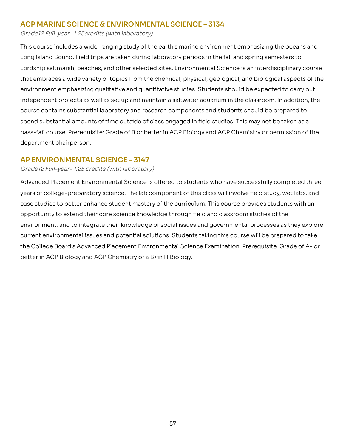## **ACP MARINE SCIENCE & ENVIRONMENTAL SCIENCE – 3134**

Grade12 Full-year- 1.25credits (with laboratory)

This course includes a wide-ranging study of the earth's marine environment emphasizing the oceans and Long Island Sound. Field trips are taken during laboratory periods in the fall and spring semesters to Lordship saltmarsh, beaches, and other selected sites. Environmental Science is an interdisciplinary course that embraces a wide variety of topics from the chemical, physical, geological, and biological aspects of the environment emphasizing qualitative and quantitative studies. Students should be expected to carry out independent projects as well as set up and maintain a saltwater aquarium in the classroom. In addition, the course contains substantial laboratory and research components and students should be prepared to spend substantial amounts of time outside of class engaged in field studies. This may not be taken as a course. Prerequisite: Grade of B or better in ACP Biology and ACP Chemistry or permission of the department chairperson. This course includes a wide-ranging study of the earth's marine environment emphasizing the oceans and<br>Long Island Sound. Field trips are taken during laboratory periods in the fall and spring semesters to<br>Lordship saltmar spend substantial amounts of time outside of class engaged in field studies. This may not be taken as a<br>pass-fail course. Prerequisite: Grade of B or better in ACP Biology and ACP Chemistry or permission of the<br>department

## **AP ENVIRONMENTAL SCIENCE – 3147**

#### Grade12 [Full-year-](https://Full-year-1.25) 1.25 credits (with laboratory)

Advanced Placement Environmental Science is offered to students who have successfully completed three years of college-preparatory science. The lab component of this class will involve field study, wet labs, and case studies to better enhance student mastery of the curriculum. This course provides students with an opportunity to extend their core science knowledge through field and classroom studies of the environment, and to integrate their knowledge of social issues and governmental processes as they explore current environmental issues and potential solutions. Students taking this course will be prepared to take the College Board's Advanced Placement Environmental Science Examination. Prerequisite: Grade of A- or better in ACP Biology and ACP Chemistry or a B+in H Biology. Advanced Placement Environmental Science is offered to students who have successfully completed three<br>years of college-preparatory science. The lab component of this class will involve field study, wet labs, and<br>case studi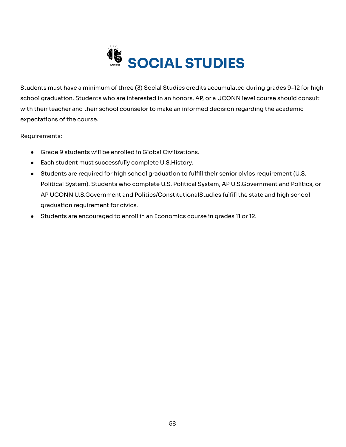

Students must have a minimum of three (3) Social Studies credits accumulated during grades 9-12 for high school graduation. Students who are interested in an honors, AP, or a UCONN level course should consult Students must have a minimum of three (3) Social Studies credits accumulated during grades 9-12 for high<br>school graduation. Students who are interested in an honors, AP, or a UCONN level course should consult<br>with their te expectations of the course.

Requirements:

- Grade 9 students will be enrolled in Global Civilizations.
- Each student must successfully complete U.S.History.
- Students are required for high school graduation to fulfill their senior civics requirement (U.S. ● Students are required for high school graduation to fulfill their senior civics requirement (U.S.<br>Political System). Students who complete U.S. Political System, AP U.S.Government and Politics, or AP UCONN U.S.Government and Politics/ConstitutionalStudies fulfill the state and high school<br>graduation requirement for civics. graduation requirement for civics.
- Students are encouraged to enroll in an Economics course in grades 11 or 12.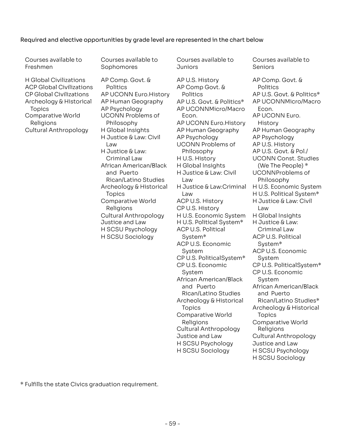#### Required and elective opportunities by grade level are represented in the chart below

 Courses available to Freshmen

 Courses available to Sophomores Sophomores<br>AP Comp. Govt. &

Courses available to Juniors

 H Global Civilizations ACP Global Civilizations CP Global Civilizations Archeology & Historical Topics Comparative World Religions Cultural Anthropology

 Politics AP UCONN Euro.History AP Human Geography AP Psychology UCONN Problems of Philosophy H Global Insights H Justice & Law: Civil Law H Justice & Law: Criminal Law African American/Black and Puerto Rican/Latino Studies Rican/Latino Studies<br>Archeology & Historical Topics Topics<br>Comparative World Religions Cultural Anthropology Justice and Law H SCSU Psychology H SCSU Sociology Courses available to<br>
Sophomores<br>
AP Comp. Govt. & AP U.S. History<br>
Politics AP Comp Govt. & AP U.S. History<br>
Politics AP Comp Govt. & Politics<br>
AP UCONN Euro. History Politics<br>
Philosophy AP U.S. Govt. & Politic<br>
MENOSOPY

Juniors<br>AP U.S. History AP Comp Govt. & Politics AP U.S. Govt. & Politics\* AP U.S. Govt. & Politics\*<br>AP UCONNMicro/Macro Econ. AP UCONN Euro. History AP UCONN Euro.History<br>AP Human Geography AP Psychology UCONN Problems of Philosophy H U.S. History H Global Insights H Justice & Law: Civil Law H Justice & Law:Criminal Law ACP U.S. History CP U.S. History H U.S. Economic System H U.S. Political System\*<br>ACP U.S. Political ACP U.S. Political System\* ACP U.S. Economic System CP U.S. PoliticalSystem\* CP U.S. Economic System African American/Black and Puerto Rican/Latino Studies Archeology & Historical Topics Comparative World Religions Cultural Anthropology Justice and Law H SCSU Psychology H SCSU Sociology Courses available to<br>
Courses available to<br>
Seniors<br>
AP U.S. History<br>
AP Comp Govt. & Politics<br>
Politics<br>
POICINMICOM EVICON<br>
POICINMICOM EVICON EVICON<br>
FOUR EVICON EVICON EVICON<br>
AP UCONN Problems of<br>
AP UCONN Problems of

Courses available to Seniors

 AP Comp. Govt. & Politics AP U.S. Govt. & Politics\* AP UCONNMicro/Macro Econ. AP UCONN Euro. History AP Human Geography AP Psychology AP U.S. History AP U.S. Govt. & Pol./ UCONN Const. Studies (We The People) \* UCONNProblems of Philosophy H U.S. Economic System H U.S. Political System\*<br>H Justice & Law: Civil H Justice & Law: Civil Law H Global Insights H Justice & Law: Criminal Law ACP U.S. Political System\* ACP U.S. Economic System CP U.S. PoliticalSystem\*<br>CP U.S. Economic CP U.S. Economic System African American/Black and Puerto Rican/Latino Studies\* Archeology & Historical Topics Comparative World Religions Cultural Anthropology Justice and Law H SCSU Psychology H SCSU Sociology

\* Fulfills the state Civics graduation requirement.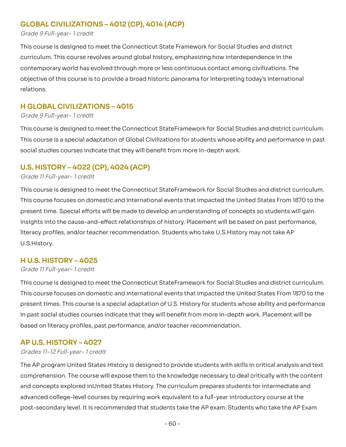## **GLOBAL CIVILIZATIONS – 4012 (CP), 4014 (ACP)**

#### Grade 9 Full-year- 1 credit

 This course is designed to meet the Connecticut State Framework for Social Studies and district curriculum. This course revolves around global history, emphasizing how interdependence in the contemporary world has evolved through more or less continuous contact among civilizations. The of this course is to provide a broad historic panorama for interpreting today's international relations. curriculum. This course revolves around global history, emphasizing how interdependence in the<br>contemporary world has evolved through more or less continuous contact among civilizations. The<br>objective of this course is to

## **H GLOBAL CIVILIZATIONS – 4015**

#### Grade 9 Full-year- 1 credit

This course is designed to meet the Connecticut StateFramework for Social Studies and district curriculum. course is a special adaptation of Global Civilizations for students whose ability and performance in past social studies courses indicate that they will benefit from more in-depth work. This course is designed to meet the Connecticut StateFramework for Social Studies and district curriculum.<br>This course is a special adaptation of Global Civilizations for students whose ability and performance in past<br>soci

## **U.S. HISTORY – 4022 (CP), 4024 (ACP)**

#### Grade 11 Full-year- 1 credit

This course is designed to meet the Connecticut StateFramework for Social Studies and district curriculum. course focuses on domestic and international events that impacted the United States From 1870 to the present time. Special efforts will be made to develop an understanding of concepts so students will gain insights into the cause-and-effect relationships of history. Placement will be based on past performance, literacy profiles, and/or teacher recommendation. Students who take U.S.History may not take AP<br>U.S.History. U.S.History. This course is designed to meet the Connecticut StateFramework for Social Studies and district curriculum.<br>This course focuses on domestic and international events that impacted the United States From 1870 to the<br>present t

## **H U.S. HISTORY – 4025**

#### Grade 11 Full-year- 1 credit

This course is designed to meet the Connecticut StateFramework for Social Studies and district curriculum. This course focuses on domestic and international events that impacted the United States From 1870 to the This course is designed to meet the Connecticut StateFramework for Social Studies and district curriculum.<br>This course focuses on domestic and international events that impacted the United States From 1870 to the<br>present t in past social studies courses indicate that they will benefit from more in-depth work. Placement will be in past social studies courses indicate that they will benefit from more in-depth work. Placement will be<br>based on literacy profiles, past performance, and/or teacher recommendation.

## **AP U.S. HISTORY – 4027**

#### Grades 11-12 Full-year- 1 credit

The AP program United States History is designed to provide students with skills in critical analysis and text The AP program United States History is designed to provide students with skills in critical analysis and text<br>comprehension. The course will expose them to the knowledge necessary to deal critically with the content and concepts explored in United States History. The curriculum prepares students for intermediate and college-level courses by requiring work equivalent to a full-year introductory course at the post-secondary level. It is recommended that students take the AP exam. Students who take the AP Exam and concepts explored inUnited States History. The curriculum prepares students for intermediate and<br>advanced college-level courses by requiring work equivalent to a full-year introductory course at the<br>post-secondary leve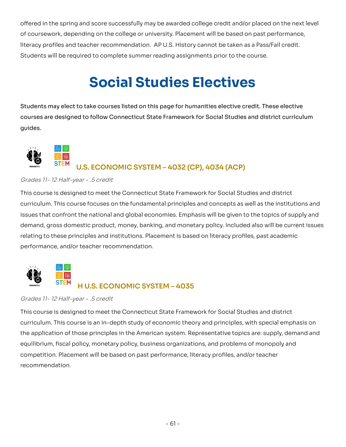offered in the spring and score successfully may be awarded college credit and/or placed on the next level coursework, depending on the college or university. Placement will be based on past performance, literacy profiles and teacher recommendation. AP U.S. History cannot be taken as a Pass/Fail credit. Students will be required to complete summer reading assignments prior to the course. offered in the spring and score successfully may be awarded college credit and/or placed on the next level<br>of coursework, depending on the college or university. Placement will be based on past performance,<br>literacy profil

## **Social Studies Electives**

Students may elect to take courses listed on this page for humanities elective credit. These elective are designed to follow Connecticut State Framework for Social Studies and district curriculum quides. Students may elect to take courses listed on this page for humanities elective credit. These elective<br>courses are designed to follow Connecticut State Framework for Social Studies and district curriculum<br>guides.



## **U.S. ECONOMIC SYSTEM – 4032 (CP), 4034 (ACP)**

#### Grades 11- 12 Half-year - .5 credit

 This course is designed to meet the Connecticut State Framework for Social Studies and district curriculum. This course focuses on the fundamental principles and concepts as well as the institutions and issues that confront the national and global economies. Emphasis will be given to the topics of supply and demand, gross domestic product, money, banking, and monetary policy. Included also will be current issues to these principles and institutions. Placement is based on literacy profiles, past academic performance, and/or teacher recommendation. demand, gross domestic product, money, banking, and monetary policy. Included also will be current issues<br>relating to these principles and institutions. Placement is based on literacy profiles, past academic<br>performance, a



## **H U.S. ECONOMIC SYSTEM – 4035**

Grades 11- 12 Half-year - .5 credit

 This course is designed to meet the Connecticut State Framework for Social Studies and district curriculum. This course is an in-depth study of economic theory and principles, with special emphasis on the application of those principles in the American system. Representative topics are: supply, demand and fiscal policy, monetary policy, business organizations, and problems of monopoly and competition. Placement will be based on past performance, literacy profiles, and/or teacher recommendation. the application of those principles in the American system. Representative topics are: supply, demand and<br>equilibrium, fiscal policy, monetary policy, business organizations, and problems of monopoly and<br>competition. Place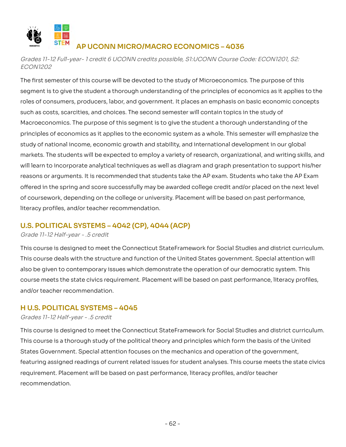

## **AP UCONN MICRO/MACRO ECONOMICS – 4036**

 Grades 11-12 Full-year- 1 credit 6 UCONN credits possible, S1:UCONN Course Code: ECON1201, S2: ECON1202

 The first semester of this course will be devoted to the study of Microeconomics. The purpose of this segment is to give the student a thorough understanding of the principles of economics as it applies to the of consumers, producers, labor, and government. It places an emphasis on basic economic concepts such as costs, scarcities, and choices. The second semester will contain topics in the study of Macroeconomics. The purpose of this segment is to give the student a thorough understanding of the principles of economics as it applies to the economic system as a whole. This semester will emphasize the principles of economics as it applies to the economic system as a whole. This semester will emphasize the<br>study of national income, economic growth and stability, and international development in our global markets. The students will be expected to employ a variety of research, organizational, and writing skills, and will learn to incorporate analytical techniques as well as diagram and graph presentation to support his/her or arguments. It is recommended that students take the AP exam. Students who take the AP Exam offered in the spring and score successfully may be awarded college credit and/or placed on the next level of coursework, depending on the college or university. Placement will be based on past performance, literacy profiles, and/or teacher recommendation. segment is to give the student a thorough understanding of the principles of economics as it applies to the<br>roles of consumers, producers, labor, and government. It places an emphasis on basic economic concepts<br>such as cos will learn to incorporate analytical techniques as well as diagram and graph presentation to support his/her<br>reasons or arguments. It is recommended that students take the AP exam. Students who take the AP Exam<br>offered in

## **U.S. POLITICAL SYSTEMS – 4042 (CP), 4044 (ACP)**

Grade 11-12 Half-year - .5 credit

This course is designed to meet the Connecticut StateFramework for Social Studies and district curriculum. This course deals with the structure and function of the United States government. Special attention will be given to contemporary issues which demonstrate the operation of our democratic system. This course meets the state civics requirement. Placement will be based on past performance, literacy profiles, and/or teacher recommendation. This course is designed to meet the Connecticut StateFramework for Social Studies and district curriculum.<br>This course deals with the structure and function of the United States government. Special attention will<br>also be g

## **H U.S. POLITICAL SYSTEMS – 4045**

#### Grades 11-12 Half-year - .5 credit

This course is designed to meet the Connecticut StateFramework for Social Studies and district curriculum. This course is a thorough study of the political theory and principles which form the basis of the United States Government. Special attention focuses on the mechanics and operation of the government, featuring assigned readings of current related issues for student analyses. This course meets the state civics requirement. Placement will be based on past performance, literacy profiles, and/or teacher recommendation. This course is designed to meet the Connecticut StateFramework for Social Studies and district curriculum.<br>This course is a thorough study of the political theory and principles which form the basis of the United<br>States Go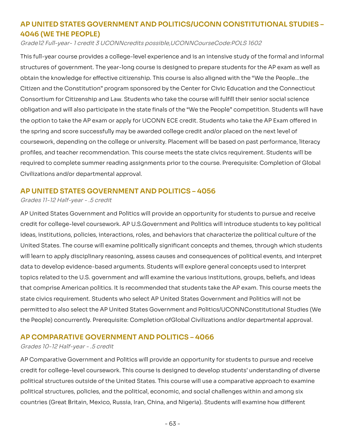## **AP UNITED STATES GOVERNMENT AND POLITICS/UCONN CONSTITUTIONAL STUDIES –4046 (WE THE PEOPLE) 4046 (WE THE PEOPLE)**

Grade12 Full-year- 1 credit 3 UCONNcredits possible,UCONNCourseCode:POLS 1602

 This full-year course provides a college-level experience and is an intensive study of the formal and informal structures of government. The year-long course is designed to prepare students for the AP exam as well as obtain the knowledge for effective citizenship. This course is also aligned with the "We the People...the Citizen and the Constitution" program sponsored by the Center for Civic Education and the Connecticut structures of government. The year-long course is designed to prepare students for the AP exam as well as<br>obtain the knowledge for effective citizenship. This course is also aligned with the "We the People…the<br>Citizen and obligation and will also participate in the state finals of the "We the People" competition. Students will have the option to take the AP exam or apply for UCONN ECE credit. Students who take the AP Exam offered in the spring and score successfully may be awarded college credit and/or placed on the next level of coursework, depending on the college or university. Placement will be based on past performance, literacy profiles, and teacher recommendation. This course meets the state civics requirement. Students will be required to complete summer reading assignments prior to the course. Prerequisite: Completion of Global Civilizations and/or departmental approval. obligation and will also participate in the state finals of the "We the People" competition. Students will have<br>the option to take the AP exam or apply for UCONN ECE credit. Students who take the AP Exam offered in<br>the spr

## **AP UNITED STATES GOVERNMENT AND POLITICS – 4056**

Grades 11-12 Half-year - .5 credit

 AP United States Government and Politics will provide an opportunity for students to pursue and receive credit for college-level coursework. AP U.S.Government and Politics will introduce students to key political credit for college-level coursework. AP U.S.Government and Politics will introduce students to key political<br>ideas, institutions, policies, interactions, roles, and behaviors that characterize the political culture of the United States. The course will examine politically significant concepts and themes, through which students will learn to apply disciplinary reasoning, assess causes and consequences of political events, and interpret data to develop evidence-based arguments. Students will explore general concepts used to interpret topics related to the U.S. government and will examine the various institutions, groups, beliefs, and ideas United States. The course will examine politically significant concepts and themes, through which students<br>will learn to apply disciplinary reasoning, assess causes and consequences of political events, and interpret<br>data state civics requirement. Students who select AP United States Government and Politics will not be state civics requirement. Students who select AP United States Government and Politics will not be<br>permitted to also select the AP United States Government and Politics/UCONNConstitutional Studies (We the People) concurrently. Prerequisite: Completion ofGlobal Civilizations and/or departmental approval.

## **AP COMPARATIVE GOVERNMENT AND POLITICS – 4066**

#### Grades 10-12 Half-year - .5 credit

 AP Comparative Government and Politics will provide an opportunity for students to pursue and receive credit for college-level coursework. This course is designed to develop students' understanding of diverse structures outside of the United States. This course will use a comparative approach to examine political structures, policies, and the political, economic, and social challenges within and among six countries (Great Britain, Mexico, Russia, Iran, China, and Nigeria). Students will examine how different credit for college-level coursework. This course is designed to develop students' understanding of diverse<br>political structures outside of the United States. This course will use a comparative approach to examine<br>political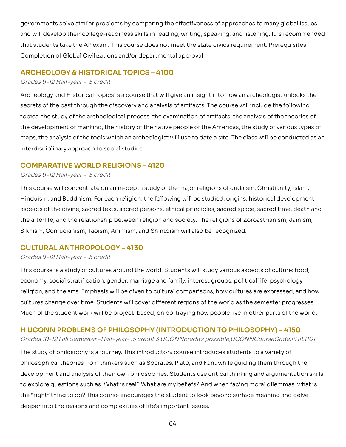governments solve similar problems by comparing the effectiveness of approaches to many global issues and will develop their college-readiness skills in reading, writing, speaking, and listening. It is recommended that students take the AP exam. This course does not meet the state civics requirement. Prerequisites:<br>Completion of Global Civilizations and/or departmental approval Completion of Global Civilizations and/or departmental approval

## **ARCHEOLOGY & HISTORICAL TOPICS – 4100**

#### Grades 9-12 Half-year - .5 credit

Archeology and Historical Topics Is a course that will give an insight into how an archeologist unlocks the of the past through the discovery and analysis of artifacts. The course will include the following topics: the study of the archeological process, the examination of artifacts, the analysis of the theories of the development of mankind, the history of the native people of the Americas, the study of various types of the analysis of the tools which an archeologist will use to date a site. The class will be conducted as an interdisciplinary approach to social studies. Archeology and Historical Topics Is a course that will give an insight into how an archeologist unlocks the<br>secrets of the past through the discovery and analysis of artifacts. The course will include the following<br>topics: the development of mankind, the history of the native people of the Americas, the study of various types of<br>maps, the analysis of the tools which an archeologist will use to date a site. The class will be conducted as an<br>i

## **COMPARATIVE WORLD RELIGIONS – 4120**

#### Grades 9-12 Half-year - .5 credit

 This course will concentrate on an in-depth study of the major religions of Judaism, Christianity, Islam, Hinduism, and Buddhism. For each religion, the following will be studied: origins, historical development, aspects of the divine, sacred texts, sacred persons, ethical principles, sacred space, sacred time, death and Hinduism, and Buddhism. For each religion, the following will be studied: origins, historical development,<br>aspects of the divine, sacred texts, sacred persons, ethical principles, sacred space, sacred time, death and<br>the a Sikhism, Confucianism, Taoism, Animism, and Shintoism will also be recognized.

## **CULTURAL ANTHROPOLOGY – 4130**

#### Grades 9-12 Half-year - .5 credit

This course is a study of cultures around the world. Students will study various aspects of culture: food, economy, social stratification, gender, marriage and family, interest groups, political life, psychology, and the arts. Emphasis will be given to cultural comparisons, how cultures are expressed, and how cultures change over time. Students will cover different regions of the world as the semester progresses. Much of the student work will be project-based, on portraying how people live in other parts of the world. This course is a study of cultures around the world. Students will study various aspects of culture: food,<br>economy, social stratification, gender, marriage and family, interest groups, political life, psychology,<br>religion,

## **H UCONN PROBLEMS OF PHILOSOPHY (INTRODUCTION TO PHILOSOPHY) – 4150**

Grades 10-12 Fall Semester –Half-year- .5 credit 3 UCONNcredits possible,UCONNCourseCode:PHIL1101

The study of philosophy is a journey. This introductory course introduces students to a variety of theories from thinkers such as Socrates, Plato, and Kant while guiding them through the development and analysis of their own philosophies. Students use critical thinking and argumentation skills to explore questions such as: What is real? What are my beliefs? And when facing moral dilemmas, what is "right" thing to do? This course encourages the student to look beyond surface meaning and delve deeper into the reasons and complexities of life's important issues. The study of philosophy is a journey. This introductory course introduces students to a variety of<br>philosophical theories from thinkers such as Socrates, Plato, and Kant while guiding them through the<br>development and analy to explore questions such as: What is real? What are my beliefs? And when facing moral dilemmas, what is<br>the "right" thing to do? This course encourages the student to look beyond surface meaning and delve<br>deeper into the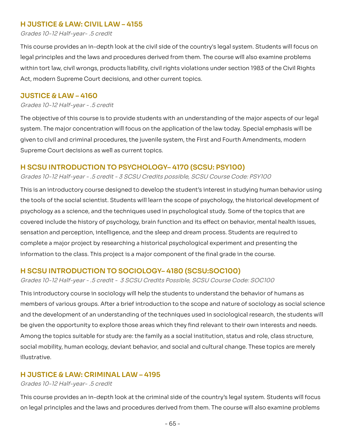## **H JUSTICE & LAW: CIVIL LAW – 4155**

Grades 10-12 Half-year- .5 credit

This course provides an in-depth look at the civil side of the country's legal system. Students will focus on legal principles and the laws and procedures derived from them. The course will also examine problems tort law, civil wrongs, products liability, civil rights violations under section 1983 of the Civil Rights Act, modern Supreme Court decisions, and other current topics. This course provides an in-depth look at the civil side of the country's legal system. Students will focus on<br>legal principles and the laws and procedures derived from them. The course will also examine problems<br>within tor

## **JUSTICE & LAW – 4160**

#### Grades 10-12 Half-year - .5 credit

The objective of this course is to provide students with an understanding of the major aspects of our legal The major concentration will focus on the application of the law today. Special emphasis will be given to civil and criminal procedures, the juvenile system, the First and Fourth Amendments, modern Supreme Court decisions as well as current topics. The objective of this course is to provide students with an understanding of the major aspects of our legal<br>system. The major concentration will focus on the application of the law today. Special emphasis will be<br>given to

## **H SCSU INTRODUCTION TO PSYCHOLOGY– 4170 (SCSU: PSY100)**

#### Grades 10-12 Half-year - .5 credit - 3 SCSU Credits possible, SCSU Course Code: PSY100

This is an introductory course designed to develop the student's interest in studying human behavior using tools of the social scientist. Students will learn the scope of psychology, the historical development of psychology as a science, and the techniques used in psychological study. Some of the topics that are covered include the history of psychology, brain function and its effect on behavior, mental health issues, sensation and perception, intelligence, and the sleep and dream process. Students are required to a major project by researching a historical psychological experiment and presenting the information to the class. This project is a major component of the final grade in the course. This is an introductory course designed to develop the student's interest in studying human behavior using<br>the tools of the social scientist. Students will learn the scope of psychology, the historical development of<br>psych sensation and perception, intelligence, and the sleep and dream process. Students are required to<br>complete a major project by researching a historical psychological experiment and presenting the<br>information to the class. T

## **H SCSU INTRODUCTION TO SOCIOLOGY– 4180 (SCSU:SOC100)**

Grades 10-12 Half-year - .5 credit - 3 SCSU Credits Possible, SCSU Course Code: SOC100

This introductory course in sociology will help the students to understand the behavior of humans as of various groups. After a brief introduction to the scope and nature of sociology as social science and the development of an understanding of the techniques used in sociological research, the students will be given the opportunity to explore those areas which they find relevant to their own interests and needs. Among the topics suitable for study are: the family as a social institution, status and role, class structure, mobility, human ecology, deviant behavior, and social and cultural change. These topics are merely illustrative. This introductory course in sociology will help the students to understand the behavior of humans as<br>members of various groups. After a brief introduction to the scope and nature of sociology as social science<br>and the deve Among the topics suitable for study are: the family as a social institution, status and role, class structure,<br>social mobility, human ecology, deviant behavior, and social and cultural change. These topics are merely<br>illus

## **H JUSTICE & LAW: CRIMINAL LAW – 4195**

#### Grades 10-12 Half-year- .5 credit

 This course provides an in-depth look at the criminal side of the country's legal system. Students will focus on legal principles and the laws and procedures derived from them. The course will also examine problems<br>- 65 -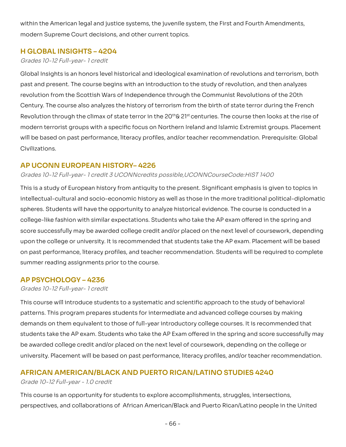within the American legal and justice systems, the juvenile system, the First and Fourth Amendments,<br>modern Supreme Court decisions, and other current topics. modern Supreme Court decisions, and other current topics.

## **H GLOBAL INSIGHTS – 4204**

#### Grades 10-12 Full-year- 1 credit

Global Insights is an honors level historical and ideological examination of revolutions and terrorism, both past and present. The course begins with an introduction to the study of revolution, and then analyzes revolution from the Scottish Wars of Independence through the Communist Revolutions of the 20th Century. The course also analyzes the history of terrorism from the birth of state terror during the French Revolution through the climax of state terror in the 20<sup>th</sup>& 21<sup>st</sup> centuries. The course then looks at the rise of modern terrorist groups with a specific focus on Northern Ireland and Islamic Extremist groups. Placement will be based on past performance, literacy profiles, and/or teacher recommendation. Prerequisite: Global Civilizations. Global Insights is an honors level historical and ideological examination of revolutions and terrorism, both<br>past and present. The course begins with an introduction to the study of revolution, and then analyzes<br>revolution

## **AP UCONN EUROPEAN HISTORY– 4226**

#### Grades 10-12 Full-year- 1 credit 3 UCONNcredits possible,UCONNCourseCode:HIST 1400

This is a study of European history from antiquity to the present. Significant emphasis is given to topics in and socio-economic history as well as those in the more traditional political-diplomatic spheres. Students will have the opportunity to analyze historical evidence. The course is conducted in a college-like fashion with similar expectations. Students who take the AP exam offered in the spring and score successfully may be awarded college credit and/or placed on the next level of coursework, depending upon the college or university. It is recommended that students take the AP exam. Placement will be based on past performance, literacy profiles, and teacher recommendation. Students will be required to complete<br>summer reading assignments prior to the course. summer reading assignments prior to the course. This is a study of European history from antiquity to the present. Significant emphasis is given to topics in<br>intellectual-cultural and socio-economic history as well as those in the more traditional political-diplomatic<br>s

## **AP PSYCHOLOGY – 4236**

#### Grades 10-12 Full-year- 1 credit

 This course will introduce students to a systematic and scientific approach to the study of behavioral patterns. This program prepares students for intermediate and advanced college courses by making demands on them equivalent to those of full-year introductory college courses. It is recommended that students take the AP exam. Students who take the AP Exam offered in the spring and score successfully may awarded college credit and/or placed on the next level of coursework, depending on the college or university. Placement will be based on past performance, literacy profiles, and/or teacher recommendation. patterns. This program prepares students for intermediate and advanced college courses by making<br>demands on them equivalent to those of full-year introductory college courses. It is recommended that<br>students take the AP ex

## **AFRICAN AMERICAN/BLACK AND PUERTO RICAN/LATINO STUDIES 4240**

#### Grade 10-12 Full-year - 1.0 credit

This course is an opportunity for students to explore accomplishments, struggles, intersections, and collaborations of African American/Black and Puerto Rican/Latino people in the United This course is an opportunity for students to explore accomplishments, struggles, intersections,<br>perspectives, and collaborations of African American/Black and Puerto Rican/Latino people in the United<br>- 66 -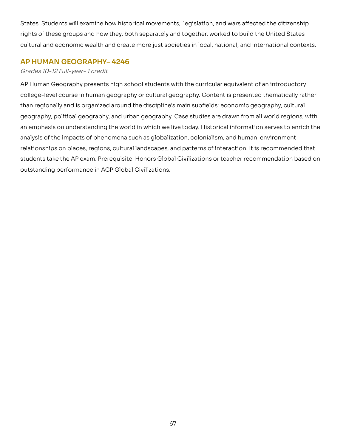States. Students will examine how historical movements, legislation, and wars affected the citizenship States. Students will examine how historical movements, legislation, and wars affected the citizenship<br>rights of these groups and how they, both separately and together, worked to build the United States cultural and economic wealth and create more just societies in local, national, and international contexts.

## **AP HUMAN GEOGRAPHY– 4246**

### Grades 10-12 Full-year- 1 credit

AP Human Geography presents high school students with the curricular equivalent of an introductory college-level course in human geography or cultural geography. Content is presented thematically rather than regionally and is organized around the discipline's main subfields: economic geography, cultural geography, political geography, and urban geography. Case studies are drawn from all world regions, with emphasis on understanding the world in which we live today. Historical information serves to enrich the analysis of the impacts of phenomena such as globalization, colonialism, and human-environment relationships on places, regions, cultural landscapes, and patterns of interaction. It is recommended that take the AP exam. Prerequisite: Honors Global Civilizations or teacher recommendation based on outstanding performance in ACP Global Civilizations. AP Human Geography presents high school students with the curricular equivalent of an introductory<br>college-level course in human geography or cultural geography. Content is presented thematically rather<br>than regionally and relationships on places, regions, cultural landscapes, and patterns of interaction. It is recommended that<br>students take the AP exam. Prerequisite: Honors Global Civilizations or teacher recommendation based on<br>outstanding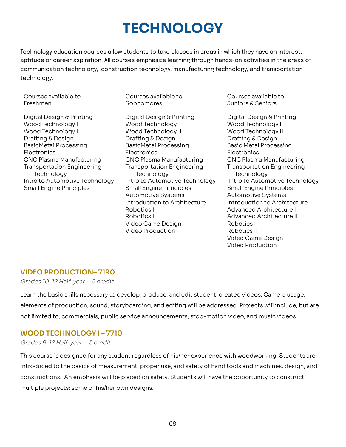# **TECHNOLOGY**

Technology education courses allow students to take classes in areas in which they have an interest, aptitude or career aspiration. All courses emphasize learning through hands-on activities in the areas of communication technology, construction technology, manufacturing technology, and transportation technology.

Courses available to Freshmen

Digital Design & Printing Wood Technology I Wood Technology II Drafting & Design **BasicMetal Processing** Electronics CNC Plasma Manufacturing **Transportation Engineering** Technology Intro to Automotive Technology **Small Engine Principles** Freshmen Sophomores Juniors & SeniorsDigital Design & Printing Digital Design & Printing Digital Design & Printing

 Courses available to Courses available to Courses available to Sophomores

Digital Design & Printing Wood Technology I Wood Technology I Wood Technology I Wood Technology II Wood Technology II Wood Technology II Drafting & Design Drafting & Design Drafting & Design **BasicMetal Processing**  Electronics Electronics Electronics CNC Plasma Manufacturing **Transportation Engineering** Technology Intro to Automotive Technology Small Engine Principles Small Engine Principles Small Engine Principles Automotive Systems Automotive Systems Introduction to Architecture Funtroduction to Architecture Robotics L Robotics II Video Game Design Robotics I Video Production Robotics II BasicMetal Processing BasicMetal Processing Basic Metal Processing CNC Plasma Manufacturing CNC Plasma Manufacturing CNC Plasma Manufacturing Robotics I and a second research Advanced Architecture I Robotics II and a second and a Advanced Architecture II

Courses available to Juniors & Seniors

Digital Design & Printing Wood Technology I Wood Technology II Drafting & Design Electronics **Transportation Engineering** Technology Intro to Automotive Technology **Small Engine Principles Automotive Systems** Introduction to Architecture Robotics I Robotics II Video Game Design Video ProductionTransportation Engineering Transportation Engineering Transportation Engineering<br>Technology Technology Technology Technology Intro to Automotive Technology<br>Intro to Automotive Technology Intro to Automotive Technology Intr

## **VIDEO PRODUCTION– 7190**

Grades 10-12 Half-year - .5 credit

 Learn the basic skills necessary to develop, produce, and edit student-created videos. Camera usage, elements of production, sound, storyboarding, and editing will be addressed. Projects will include, but are not limited to, commercials, public service announcements, stop-motion video, and music videos.

## **WOOD TECHNOLOGY I – 7710**

#### Grades 9-12 Half-year - .5 credit

 This course is designed for any student regardless of his/her experience with woodworking. Students are introduced to the basics of measurement, proper use, and safety of hand tools and machines, design, and An emphasis will be placed on safety. Students will have the opportunity to construct multiple projects; some of his/her own designs. introduced to the basics of measurement, proper use, and safety of hand tools and machines, design, and<br>constructions. An emphasis will be placed on safety. Students will have the opportunity to construct<br>multiple project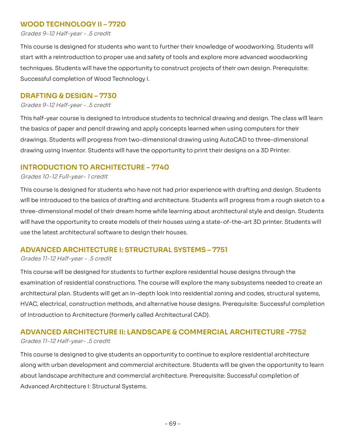## **WOOD TECHNOLOGY II – 7720**

Grades 9-12 Half-year - .5 credit

This course is designed for students who want to further their knowledge of woodworking. Students will This course is designed for students who want to further their knowledge of woodworking. Students will<br>start with a reintroduction to proper use and safety of tools and explore more advanced woodworking techniques. Students will have the opportunity to construct projects of their own design. Prerequisite: Successful completion of Wood Technology I.

## **DRAFTING & DESIGN – 7730**

Grades 9-12 Half-year - .5 credit

 This half-year course is designed to introduce students to technical drawing and design. The class will learn the basics of paper and pencil drawing and apply concepts learned when using computers for their Students will progress from two-dimensional drawing using AutoCAD to three-dimensional drawing using Inventor. Students will have the opportunity to print their designs on a 3D Printer. the basics of paper and pencil drawing and apply concepts learned when using computers for their<br>drawings. Students will progress from two-dimensional drawing using AutoCAD to three-dimensional<br>drawing using Inventor. Stud

## **INTRODUCTION TO ARCHITECTURE – 7740**

#### Grades 10-12 Full-year- 1 credit

This course is designed for students who have not had prior experience with drafting and design. Students be introduced to the basics of drafting and architecture. Students will progress from a rough sketch to a three-dimensional model of their dream home while learning about architectural style and design. Students will have the opportunity to create models of their houses using a state-of-the-art 3D printer. Students will use the latest architectural software to design their houses. This course is designed for students who have not had prior experience with drafting and design. Students<br>will be introduced to the basics of drafting and architecture. Students will progress from a rough sketch to a<br>three

## **ADVANCED ARCHITECTURE I: STRUCTURAL SYSTEMS – 7751**

#### Grades 11-12 Half-year - .5 credit

This course will be designed for students to further explore residential house designs through the examination of residential constructions. The course will explore the many subsystems needed to create an architectural plan. Students will get an in-depth look into residential zoning and codes, structural systems, electrical, construction methods, and alternative house designs. Prerequisite: Successful completion of Introduction to Architecture (formerly called Architectural CAD). This course will be designed for students to further explore residential house designs through the<br>examination of residential constructions. The course will explore the many subsystems needed to create an<br>architectural pla

## **ADVANCED ARCHITECTURE II: LANDSCAPE & COMMERCIAL ARCHITECTURE -7752**

#### Grades 11-12 Half-year- .5 credit

 This course is designed to give students an opportunity to continue to explore residential architecture along with urban development and commercial architecture. Students will be given the opportunity to learn about landscape architecture and commercial architecture. Prerequisite: Successful completion of Advanced Architecture I: Structural Systems.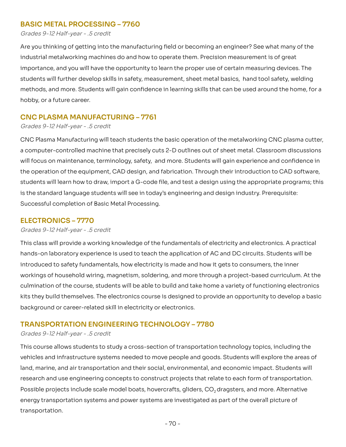## **BASIC METAL PROCESSING – 7760**

Grades 9-12 Half-year - .5 credit

Are you thinking of getting into the manufacturing field or becoming an engineer? See what many of the industrial metalworking machines do and how to operate them. Precision measurement is of great and you will have the opportunity to learn the proper use of certain measuring devices. The students will further develop skills in safety, measurement, sheet metal basics, hand tool safety, welding methods, and more. Students will gain confidence in learning skills that can be used around the home, for a<br>hobby, or a future career. hobby, or a future career. Are you thinking of getting into the manufacturing field or becoming an engineer? See what many of the<br>industrial metalworking machines do and how to operate them. Precision measurement is of great<br>importance, and you will

## **CNC PLASMA MANUFACTURING – 7761**

Grades 9-12 Half-year - .5 credit

CNC Plasma Manufacturing will teach students the basic operation of the metalworking CNC plasma cutter, computer-controlled machine that precisely cuts 2-D outlines out of sheet metal. Classroom discussions will focus on maintenance, terminology, safety, and more. Students will gain experience and confidence in the operation of the equipment, CAD design, and fabrication. Through their introduction to CAD software, students will learn how to draw, import a G-code file, and test a design using the appropriate programs; this the standard language students will see in today's engineering and design industry. Prerequisite: Successful completion of Basic Metal Processing. CNC Plasma Manufacturing will teach students the basic operation of the metalworking CNC plasma cutter,<br>a computer-controlled machine that precisely cuts 2-D outlines out of sheet metal. Classroom discussions<br>will focus on students will learn how to draw, import a G-code file, and test a design using the appropriate programs; this<br>is the standard language students will see in today's engineering and design industry. Prerequisite:<br>Successful

## **ELECTRONICS – 7770**

Grades 9-12 Half-year - .5 credit

This class will provide a working knowledge of the fundamentals of electricity and electronics. A practical hands-on laboratory experience is used to teach the application of AC and DC circuits. Students will be introduced to safety fundamentals, how electricity is made and how it gets to consumers, the inner workings of household wiring, magnetism, soldering, and more through a project-based curriculum. At the culmination of the course, students will be able to build and take home a variety of functioning electronics kits they build themselves. The electronics course is designed to provide an opportunity to develop a basic background or career-related skill in electricity or electronics. This class will provide a working knowledge of the fundamentals of electricity and electronics. A practical<br>hands-on laboratory experience is used to teach the application of AC and DC circuits. Students will be<br>introduced

## **TRANSPORTATION ENGINEERING TECHNOLOGY – 7780**

#### Grades 9-12 Half-year - .5 credit

 This course allows students to study a cross-section of transportation technology topics, including the vehicles and infrastructure systems needed to move people and goods. Students will explore the areas of vehicles and infrastructure systems needed to move people and goods. Students will explore the areas of<br>land, marine, and air transportation and their social, environmental, and economic impact. Students will research and use engineering concepts to construct projects that relate to each form of transportation. Possible projects include scale model boats, hovercrafts, gliders, CO<sub>2</sub> dragsters, and more. Alternative Possible projects include scale model boats, hovercrafts, gliders, CO<sub>2</sub> dragsters, and more. Alternative<br>energy transportation systems and power systems are investigated as part of the overall picture of transportation.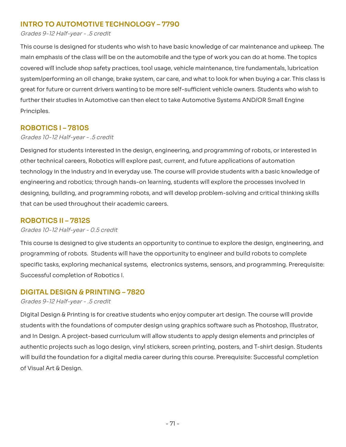## **INTRO TO AUTOMOTIVE TECHNOLOGY – 7790**

#### Grades 9-12 Half-year - .5 credit

This course is designed for students who wish to have basic knowledge of car maintenance and upkeep. The main emphasis of the class will be on the automobile and the type of work you can do at home. The topics will include shop safety practices, tool usage, vehicle maintenance, tire fundamentals, lubrication system/performing an oil change, brake system, car care, and what to look for when buying a car. This class is great for future or current drivers wanting to be more self-sufficient vehicle owners. Students who wish to further their studies in Automotive can then elect to take Automotive Systems AND/OR Small Engine<br>Principles. Principles. This course is designed for students who wish to have basic knowledge of car maintenance and upkeep. The<br>main emphasis of the class will be on the automobile and the type of work you can do at home. The topics<br>covered will

## **ROBOTICS I – 7810S**

#### Grades 10-12 Half-year - .5 credit

Designed for students interested in the design, engineering, and programming of robots, or interested in other technical careers, Robotics will explore past, current, and future applications of automation technology in the industry and in everyday use. The course will provide students with a basic knowledge of Designed for students interested in the design, engineering, and programming of robots, or interested in<br>other technical careers, Robotics will explore past, current, and future applications of automation<br>technology in the designing, building, and programming robots, and will develop problem-solving and critical thinking skills<br>that can be used throughout their academic careers. that can be used throughout their academic careers.

## **ROBOTICS II – 7812S**

#### Grades 10-12 Half-year - 0.5 credit

This course is designed to give students an opportunity to continue to explore the design, engineering, and programming of robots. Students will have the opportunity to engineer and build robots to complete This course is designed to give students an opportunity to continue to explore the design, engineering, and<br>programming of robots. Students will have the opportunity to engineer and build robots to complete<br>specific tasks Successful completion of Robotics I.

## **DIGITAL DESIGN & PRINTING – 7820**

#### Grades 9-12 Half-year - .5 credit

Digital Design & Printing is for creative students who enjoy computer art design. The course will provide Digital Design & Printing is for creative students who enjoy computer art design. The course will provide<br>students with the foundations of computer design using graphics software such as Photoshop, Illustrator, and In Design. A project-based curriculum will allow students to apply design elements and principles of projects such as logo design, vinyl stickers, screen printing, posters, and T-shirt design. Students will build the foundation for a digital media career during this course. Prerequisite: Successful completion of Visual Art & Design. and In Design. A project-based curriculum will allow students to apply design elements and principles of<br>authentic projects such as logo design, vinyl stickers, screen printing, posters, and T-shirt design. Students<br>will b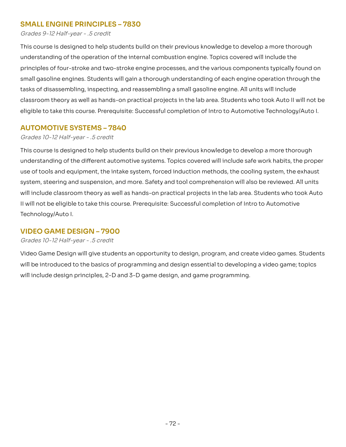# <span id="page-72-0"></span> **SMALL ENGINE PRINCIPLES – 7830**

<span id="page-72-1"></span>Grades 9-12 Half-year - .5 credit

 This course is designed to help students build on their previous knowledge to develop a more thorough understanding of the operation of the internal combustion engine. Topics covered will include the principles of four-stroke and two-stroke engine processes, and the various components typically found on small gasoline engines. Students will gain a thorough understanding of each engine operation through the tasks of disassembling, inspecting, and reassembling a small gasoline engine. All units will include classroom theory as well as hands-on practical projects in the lab area. Students who took Auto II will not be eligible to take this course. Prerequisite: Successful completion of Intro to Automotive Technology/Auto I. understanding of the operation of the internal combustion engine. Topics covered will include the<br>principles of four-stroke and two-stroke engine processes, and the various components typically found on<br>small gasoline engi

# <span id="page-72-2"></span> **AUTOMOTIVE SYSTEMS – 7840**

### <span id="page-72-3"></span>Grades 10-12 Half-year - .5 credit

 This course is designed to help students build on their previous knowledge to develop a more thorough understanding of the different automotive systems. Topics covered will include safe work habits, the proper understanding of the different automotive systems. Topics covered will include safe work habits, the proper<br>use of tools and equipment, the intake system, forced induction methods, the cooling system, the exhaust system, steering and suspension, and more. Safety and tool comprehension will also be reviewed. All units include classroom theory as well as hands-on practical projects in the lab area. Students who took Auto Il will not be eligible to take this course. Prerequisite: Successful completion of Intro to Automotive Technology/Auto I. system, steering and suspension, and more. Safety and tool comprehension will also be reviewed. All units<br>will include classroom theory as well as hands-on practical projects in the lab area. Students who took Auto<br>II will

# <span id="page-72-4"></span> **VIDEO GAME DESIGN – 7900**

## <span id="page-72-5"></span>Grades 10-12 Half-year - .5 credit

Video Game Design will give students an opportunity to design, program, and create video games. Students be introduced to the basics of programming and design essential to developing a video game; topics will include design principles, 2-D and 3-D game design, and game programming. Video Game Design will give students an opportunity to design, program, and create video games. Students<br>will be introduced to the basics of programming and design essential to developing a video game; topics<br>will include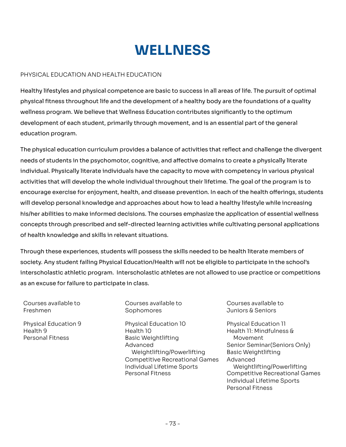# **WELLNESS**

## <span id="page-73-0"></span>PHYSICAL EDUCATION AND HEALTH EDUCATION

Healthy lifestyles and physical competence are basic to success in all areas of life. The pursuit of optimal Healthy lifestyles and physical competence are basic to success in all areas of life. The pursuit of optimal<br>physical fitness throughout life and the development of a healthy body are the foundations of a quality wellness program. We believe that Wellness Education contributes significantly to the optimum of each student, primarily through movement, and is an essential part of the general education program. wellness program. We believe that Wellness Education contributes significantly to the optimum<br>development of each student, primarily through movement, and is an essential part of the general<br>education program.

 The physical education curriculum provides a balance of activities that reflect and challenge the divergent needs of students in the psychomotor, cognitive, and affective domains to create a physically literate needs of students in the psychomotor, cognitive, and affective domains to create a physically literate<br>individual. Physically literate individuals have the capacity to move with competency in various physical activities that will develop the whole individual throughout their lifetime. The goal of the program is to activities that will develop the whole individual throughout their lifetime. The goal of the program is to<br>encourage exercise for enjoyment, health, and disease prevention. In each of the health offerings, students will develop personal knowledge and approaches about how to lead a healthy lifestyle while increasing his/her abilities to make informed decisions. The courses emphasize the application of essential wellness through prescribed and self-directed learning activities while cultivating personal applications of health knowledge and skills in relevant situations. his/her abilities to make informed decisions. The courses emphasize the application of essential wellness<br>concepts through prescribed and self-directed learning activities while cultivating personal applications<br>of health

Through these experiences, students will possess the skills needed to be health literate members of society. Any student failing Physical Education/Health will not be eligible to participate in the school's athletic program. Interscholastic athletes are not allowed to use practice or competitions as an excuse for failure to participate in class. Through these experiences, students will possess the skills needed to be health literate members of<br>society. Any student failing Physical Education/Health will not be eligible to participate in the school's<br>interscholastic

Courses available to Freshmen Freshmen Sophomores Juniors & Seniors

Physical Education 9 Health 9 **Personal Fitness** 

 Courses available to Courses available to Courses available to Sophomores

 Physical Education 9 Physical Education 10 Physical Education 11 Health 10 Personal Fitness Basic Weightlifting Movement Advanced Weightlifting/Powerlifting Basic Weightlifting Competitive Recreational Games Advanced Individual Lifetime Sports Personal Fitness Health 9 Health 10 Health 11: Mindfulness & Advanced Senior Seminar(Seniors Only)

Courses available to

**Physical Education 11** Movement **Basic Weightlifting** Advanced Weightlifting/Powerlifting Weightlifting/Powerlifting<br>Competitive Recreational Games Individual Lifetime Sports Personal Fitness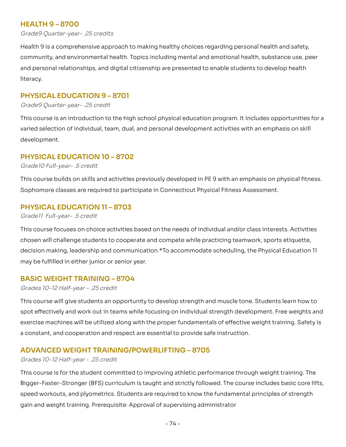# <span id="page-74-0"></span> **HEALTH 9 – 8700**

<span id="page-74-1"></span>Grade9 [Quarter-year-](https://Quarter-year-.25) .25 credits

Health 9 is a comprehensive approach to making healthy choices regarding personal health and safety, and environmental health. Topics including mental and emotional health, substance use, peer and personal relationships, and digital citizenship are presented to enable students to develop health Health 9 is a comprehensive approach to making healthy choices regarding personal health and safety,<br>community, and environmental health. Topics including mental and emotional health, substance use, peer<br>and personal relat

# <span id="page-74-2"></span> **PHYSICAL EDUCATION 9 – 8701**

<span id="page-74-3"></span>Grade9 [Quarter-year-](https://Quarter-year-.25) .25 credit

 This course is an introduction to the high school physical education program. It Includes opportunities for a varied selection of individual, team, dual, and personal development activities with an emphasis on skill<br>development. development.

# <span id="page-74-4"></span> **PHYSICAL EDUCATION 10 – 8702**

<span id="page-74-5"></span>Grade10 Full-year- .5 credit

This course builds on skills and activities previously developed in PE 9 with an emphasis on physical fitness.<br>Sophomore classes are required to participate in Connecticut Physical Fitness Assessment. Sophomore classes are required to participate in Connecticut Physical Fitness Assessment.

# <span id="page-74-6"></span> **PHYSICAL EDUCATION 11 – 8703**

<span id="page-74-7"></span>Grade11 Full-year- .5 credit

This course focuses on choice activities based on the needs of individual and/or class interests. Activities chosen will challenge students to cooperate and compete while practicing teamwork, sports etiquette, This course focuses on choice activities based on the needs of individual and/or class interests. Activities<br>chosen will challenge students to cooperate and compete while practicing teamwork, sports etiquette,<br>decision mak may be fulfilled in either junior or senior year.

# <span id="page-74-8"></span> **BASIC WEIGHT TRAINING – 8704**

#### <span id="page-74-9"></span>Grades 10-12 Half-year - .25 credit

 This course will give students an opportunity to develop strength and muscle tone. Students learn how to spot effectively and work out in teams while focusing on individual strength development. Free weights and machines will be utilized along with the proper fundamentals of effective weight training. Safety is a constant, and cooperation and respect are essential to provide safe instruction. spot effectively and work out in teams while focusing on individual strength development. Free weights and<br>exercise machines will be utilized along with the proper fundamentals of effective weight training. Safety is<br>a con

# <span id="page-74-10"></span> **ADVANCED WEIGHT TRAINING/POWERLIFTING – 8705**

#### <span id="page-74-11"></span>Grades 10-12 Half-year - .25 credit

This course is for the student committed to improving athletic performance through weight training. The Bigger-Faster-Stronger (BFS) curriculum is taught and strictly followed. The course includes basic core lifts, workouts, and plyometrics. Students are required to know the fundamental principles of strength gain and weight training. Prerequisite: Approval of supervising administrator This course is for the student committed to improving athletic performance through weight training. The<br>Bigger-Faster-Stronger (BFS) curriculum is taught and strictly followed. The course includes basic core lifts,<br>speed w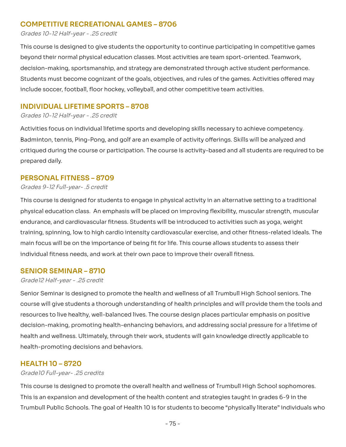# <span id="page-75-0"></span> **COMPETITIVE RECREATIONAL GAMES – 8706**

#### <span id="page-75-1"></span>Grades 10-12 Half-year - .25 credit

This course is designed to give students the opportunity to continue participating in competitive games This course is designed to give students the opportunity to continue participating in competitive games<br>beyond their normal physical education classes. Most activities are team sport-oriented. Teamwork, decision-making, sportsmanship, and strategy are demonstrated through active student performance. Students must become cognizant of the goals, objectives, and rules of the games. Activities offered may Students must become cognizant of the goals, objectives, and rules of the games. Activities offered may<br>include soccer, football, floor hockey, volleyball, and other competitive team activities.

# <span id="page-75-2"></span> **INDIVIDUAL LIFETIME SPORTS – 8708**

#### <span id="page-75-3"></span>Grades 10-12 Half-year - .25 credit

Activities focus on individual lifetime sports and developing skills necessary to achieve competency. tennis, Ping-Pong, and golf are an example of activity offerings. Skills will be analyzed and critiqued during the course or participation. The course is activity-based and all students are required to be prepared daily. Activities focus on individual lifetime sports and developing skills necessary to achieve competency.<br>Badminton, tennis, Ping-Pong, and golf are an example of activity offerings. Skills will be analyzed and<br>critiqued durin

## <span id="page-75-4"></span> **PERSONAL FITNESS – 8709**

#### <span id="page-75-5"></span>Grades 9-12 Full-year- .5 credit

This course is designed for students to engage in physical activity in an alternative setting to a traditional This course is designed for students to engage in physical activity in an alternative setting to a traditional<br>physical education class. An emphasis will be placed on improving flexibility, muscular strength, muscular endurance, and cardiovascular fitness. Students will be introduced to activities such as yoga, weight spinning, low to high cardio intensity cardiovascular exercise, and other fitness-related ideals. The main focus will be on the importance of being fit for life. This course allows students to assess their individual fitness needs, and work at their own pace to improve their overall fitness. endurance, and cardiovascular fitness. Students will be introduced to activities such as yoga, weight<br>training, spinning, low to high cardio intensity cardiovascular exercise, and other fitness-related ideals. The<br>main foc

## <span id="page-75-6"></span> **SENIOR SEMINAR – 8710**

#### <span id="page-75-7"></span>Grade12 Half-year - .25 credit

Senior Seminar is designed to promote the health and wellness of all Trumbull High School seniors. The Senior Seminar is designed to promote the health and wellness of all Trumbull High School seniors. The<br>course will give students a thorough understanding of health principles and will provide them the tools and resources to live healthy, well-balanced lives. The course design places particular emphasis on positive promoting health-enhancing behaviors, and addressing social pressure for a lifetime of health and wellness. Ultimately, through their work, students will gain knowledge directly applicable to health-promoting decisions and behaviors. resources to live healthy, well-balanced lives. The course design places particular emphasis on positive<br>decision-making, promoting health-enhancing behaviors, and addressing social pressure for a lifetime of<br>health and we

## <span id="page-75-8"></span> **HEALTH 10 – 8720**

#### <span id="page-75-9"></span>Grade10 [Full-year-](https://Full-year-.25) .25 credits

This course is designed to promote the overall health and wellness of Trumbull High School sophomores. is an expansion and development of the health content and strategies taught in grades 6-9 in the Trumbull Public Schools. The goal of Health 10 is for students to become "physically literate" individuals who This course is designed to promote the overall health and wellness of Trumbull High School sophomores.<br>This is an expansion and development of the health content and strategies taught in grades 6-9 in the<br>Trumbull Public S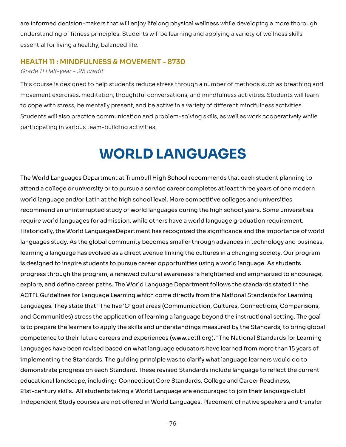are informed decision-makers that will enjoy lifelong physical wellness while developing a more thorough of fitness principles. Students will be learning and applying a variety of wellness skills essential for living a healthy, balanced life. are informed decision-makers that will enjoy lifelong physical wellness while developing a more thorough<br>understanding of fitness principles. Students will be learning and applying a variety of wellness skills<br>essential fo

## <span id="page-76-0"></span> **HEALTH 11 : MINDFULNESS & MOVEMENT – 8730**

### <span id="page-76-1"></span>Grade 11 Half-year - .25 credit

This course is designed to help students reduce stress through a number of methods such as breathing and movement exercises, meditation, thoughtful conversations, and mindfulness activities. Students will learn cope with stress, be mentally present, and be active in a variety of different mindfulness activities. Students will also practice communication and problem-solving skills, as well as work cooperatively while participating in various team-building activities. This course is designed to help students reduce stress through a number of methods such as breathing and<br>movement exercises, meditation, thoughtful conversations, and mindfulness activities. Students will learn<br>to cope wit

# **WORLD LANGUAGES**

<span id="page-76-2"></span>The World Languages Department at Trumbull High School recommends that each student planning to attend a college or university or to pursue a service career completes at least three years of one modern world language and/or Latin at the high school level. More competitive colleges and universities recommend an uninterrupted study of world languages during the high school years. Some universities require world languages for admission, while others have a world language graduation requirement. Historically, the World LanguagesDepartment has recognized the significance and the importance of world languages study. As the global community becomes smaller through advances in technology and business, learning a language has evolved as a direct avenue linking the cultures in a changing society. Our program is designed to inspire students to pursue career opportunities using a world language. As students through the program, a renewed cultural awareness is heightened and emphasized to encourage, explore, and define career paths. The World Language Department follows the standards stated in the ACTFL Guidelines for Language Learning which come directly from the National Standards for Learning Languages. They state that "The five 'C' goal areas (Communication, Cultures, Connections, Comparisons, Communities) stress the application of learning a language beyond the instructional setting. The goal is to prepare the learners to apply the skills and understandings measured by the Standards, to bring global competence to their future careers and experiences (www.actfl.org)." The National Standards for Learning Languages have been revised based on what language educators have learned from more than 15 years of implementing the Standards. The quiding principle was to clarify what language learners would do to demonstrate progress on each Standard. These revised Standards include language to reflect the current educational landscape, including: Connecticut Core Standards, College and Career Readiness, skills. All students taking a World Language are encouraged to join their language club! Independent Study courses are not offered in World Languages. Placement of native speakers and transfer The World Languages Department at Trumbull High School recommends that each student planning to<br>attend a college or university or to pursue a service career completes at least three years of one modern<br>world language and/o learning a language has evolved as a direct avenue linking the cultures in a changing society. Our program<br>is designed to inspire students to pursue career opportunities using a world language. As students<br>progress through ACTFL Guidelines for Language Learning which come directly from the National Standards for Learning<br>Languages. They state that "The five 'C' goal areas (Communication, Cultures, Connections, Comparisons,<br>and Communities) s Languages have been revised based on what language educators have learned from more than 15 years of<br>implementing the Standards. The guiding principle was to clarify what language learners would do to<br>demonstrate progress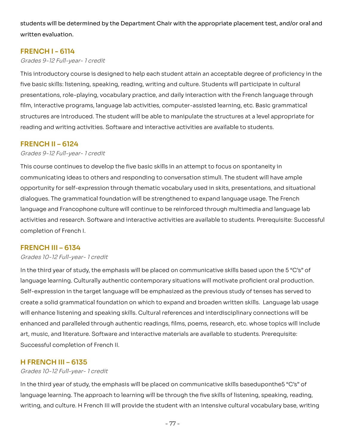students will be determined by the Department Chair with the appropriate placement test, and/or oral and<br>written evaluation. written evaluation.

# <span id="page-77-0"></span> **FRENCH I - 6114**

## <span id="page-77-1"></span>Grades 9-12 Full-year- 1 credit

This introductory course is designed to help each student attain an acceptable degree of proficiency in the basic skills: listening, speaking, reading, writing and culture. Students will participate in cultural presentations, role-playing, vocabulary practice, and daily interaction with the French language through film, interactive programs, language lab activities, computer-assisted learning, etc. Basic grammatical are introduced. The student will be able to manipulate the structures at a level appropriate for reading and writing activities. Software and interactive activities are available to students. This introductory course is designed to help each student attain an acceptable degree of proficiency in the<br>five basic skills: listening, speaking, reading, writing and culture. Students will participate in cultural<br>presen film, interactive programs, language lab activities, computer-assisted learning, etc. Basic grammatical<br>structures are introduced. The student will be able to manipulate the structures at a level appropriate for<br>reading an

# <span id="page-77-2"></span> **FRENCH II – 6124**

### <span id="page-77-3"></span>Grades 9-12 Full-year- 1 credit

This course continues to develop the five basic skills in an attempt to focus on spontaneity in communicating ideas to others and responding to conversation stimuli. The student will have ample opportunity for self-expression through thematic vocabulary used in skits, presentations, and situational dialogues. The grammatical foundation will be strengthened to expand language usage. The French language and Francophone culture will continue to be reinforced through multimedia and language lab activities and research. Software and interactive activities are available to students. Prerequisite: Successful completion of French I. This course continues to develop the five basic skills in an attempt to focus on spontaneity in<br>communicating ideas to others and responding to conversation stimuli. The student will have ample<br>opportunity for self-express

# <span id="page-77-4"></span> **FRENCH III – 6134**

#### <span id="page-77-5"></span>Grades 10-12 Full-year- 1 credit

In the third year of study, the emphasis will be placed on communicative skills based upon the 5 "C's" of In the third year of study, the emphasis will be placed on communicative skills based upon the 5 "C's" of<br>language learning. Culturally authentic contemporary situations will motivate proficient oral production. Self-expression in the target language will be emphasized as the previous study of tenses has served to a solid grammatical foundation on which to expand and broaden written skills. Language lab usage will enhance listening and speaking skills. Cultural references and interdisciplinary connections will be enhanced and paralleled through authentic readings, films, poems, research, etc. whose topics will include enhanced and paralleled through authentic readings, films, poems, research, etc. whose topics will include<br>art, music, and literature. Software and interactive materials are available to students. Prerequisite: Successful completion of French II. Self-expression in the target language will be emphasized as the previous study of tenses has served to<br>create a solid grammatical foundation on which to expand and broaden written skills. Language lab usage<br>will enhance

# <span id="page-77-6"></span> **H FRENCH III – 6135**

## <span id="page-77-7"></span>Grades 10-12 Full-year- 1 credit

In the third year of study, the emphasis will be placed on communicative skills baseduponthe5 "C's" of language learning. The approach to learning will be through the five skills of listening, speaking, reading, and culture. H French III will provide the student with an intensive cultural vocabulary base, writing In the third year of study, the emphasis will be placed on communicative skills baseduponthe5 "C's" of<br>language learning. The approach to learning will be through the five skills of listening, speaking, reading,<br>writing, a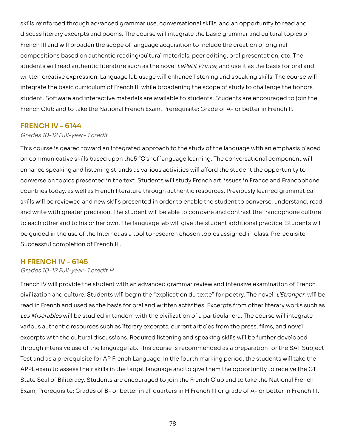skills reinforced through advanced grammar use, conversational skills, and an opportunity to read and skills reinforced through advanced grammar use, conversational skills, and an opportunity to read and<br>discuss literary excerpts and poems. The course will integrate the basic grammar and cultural topics of French III and will broaden the scope of language acquisition to include the creation of original compositions based on authentic reading/cultural materials, peer editing, oral presentation, etc. The students will read authentic literature such as the novel LePetit Prince, and use it as the basis for oral and written creative expression. Language lab usage will enhance listening and speaking skills. The course will integrate the basic curriculum of French III while broadening the scope of study to challenge the honors student. Software and interactive materials are available to students. Students are encouraged to join the compositions based on authentic reading/cultural materials, peer editing, oral presentation, etc. The<br>students will read authentic literature such as the novel *LePetit Prince*, and use it as the basis for oral and<br>written

## <span id="page-78-0"></span> **FRENCH IV – 6144**

### <span id="page-78-1"></span>Grades 10-12 Full-year- 1 credit

This course is geared toward an integrated approach to the study of the language with an emphasis placed on communicative skills based upon the 5"C's" of language learning. The conversational component will enhance speaking and listening strands as various activities will afford the student the opportunity to on topics presented in the text. Students will study French art, issues in France and Francophone countries today, as well as French literature through authentic resources. Previously learned grammatical skills will be reviewed and new skills presented in order to enable the student to converse, understand, read, and write with greater precision. The student will be able to compare and contrast the francophone culture each other and to his or her own. The language lab will give the student additional practice. Students will be quided in the use of the Internet as a tool to research chosen topics assigned in class. Prerequisite: Successful completion of French III. This course is geared toward an integrated approach to the study of the language with an emphasis placed<br>on communicative skills based upon the5 "C's" of language learning. The conversational component will<br>enhance speakin and write with greater precision. The student will be able to compare and contrast the francophone culture<br>to each other and to his or her own. The language lab will give the student additional practice. Students will<br>be g

## <span id="page-78-2"></span> **H FRENCH IV – 6145**

#### <span id="page-78-3"></span>Grades 10-12 Full-year- 1 credit H

French IV will provide the student with an advanced grammar review and intensive examination of French and culture. Students will begin the "explication du texte" for poetry. The novel, L'Etranger, will be read in French and used as the basis for oral and written activities. Excerpts from other literary works such as *Les Misérables* will be studied in tandem with the civilization of a particular era. The course will integrate<br>various authentic resources such as literary excerpts, current articles from the press, films, and novel various authentic resources such as literary excerpts, current articles from the press, films, and novel excerpts with the cultural discussions. Required listening and speaking skills will be further developed through intensive use of the language lab. This course is recommended as a preparation for the SAT Subject Test and as a prerequisite for AP French Language. In the fourth marking period, the students will take the exam to assess their skills in the target language and to give them the opportunity to receive the CT State Seal of Biliteracy. Students are encouraged to join the French Club and to take the National French Exam, Prerequisite: Grades of B- or better in all quarters in H French III or grade of A- or better in French III. French IV will provide the student with an advanced grammar review and intensive examination of French<br>civilization and culture. Students will begin the "explication du texte" for poetry. The novel, *L'Etranger*, will be<br>r through intensive use of the language lab. This course is recommended as a preparation for the SAT Subject<br>Test and as a prerequisite for AP French Language. In the fourth marking period, the students will take the<br>APPL ex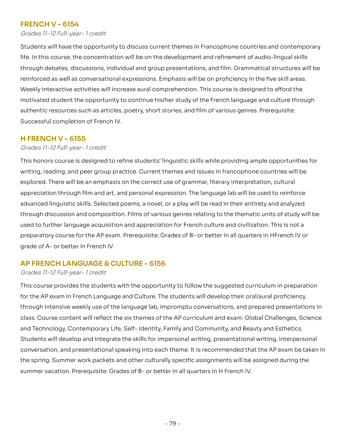# <span id="page-79-0"></span> **FRENCH V – 6154**

<span id="page-79-1"></span>Grades 11-12 Full-year- 1 credit

 Students will have the opportunity to discuss current themes in Francophone countries and contemporary life. In this course, the concentration will be on the development and refinement of audio-lingual skills debates, discussions, individual and group presentations, and film. Grammatical structures will be reinforced as well as conversational expressions. Emphasis will be on proficiency in the five skill areas. Weekly interactive activities will increase aural comprehension. This course is designed to afford the motivated student the opportunity to continue his/her study of the French language and culture through resources such as articles, poetry, short stories, and film of various genres. Prerequisite: Successful completion of French IV. life. In this course, the concentration will be on the development and refinement of audio-lingual skills<br>through debates, discussions, individual and group presentations, and film. Grammatical structures will be<br>reinforce Weekly interactive activities will increase aural comprehension. This course is designed to afford the<br>motivated student the opportunity to continue his/her study of the French language and culture through<br>authentic resour

# <span id="page-79-2"></span> **H FRENCH V – 6155**

## <span id="page-79-3"></span>Grades 11-12 Full-year- 1 credit

This honors course is designed to refine students' linguistic skills while providing ample opportunities for writing, reading, and peer group practice. Current themes and issues in francophone countries will be This honors course is designed to refine students' linguistic skills while providing ample opportunities for<br>writing, reading, and peer group practice. Current themes and issues in francophone countries will be<br>explored. T appreciation through film and art, and personal expression. The language lab will be used to reinforce appreciation through film and art, and personal expression. The language lab will be used to reinforce<br>advanced linguistic skills. Selected poems, a novel, or a play will be read in their entirety and analyzed through discussion and composition. Films of various genres relating to the thematic units of study will be used to further language acquisition and appreciation for French culture and civilization. This is not a used to further language acquisition and appreciation for French culture and civilization. This is not a<br>preparatory course for the AP exam. Prerequisite: Grades of B- or better in all quarters in HFrench IV or grade of A- or better in French IV.

# <span id="page-79-4"></span> **AP FRENCH LANGUAGE & CULTURE – 6156**

#### <span id="page-79-5"></span>Grades 11-12 Full-year- 1 credit

This course provides the students with the opportunity to follow the suggested curriculum in preparation for the AP exam in French Language and Culture. The students will develop their oral/aural proficiency through intensive weekly use of the language lab, impromptu conversations, and prepared presentations in class. Course content will reflect the six themes of the AP curriculum and exam: Global Challenges, Science and Technology, Contemporary Life, Self-Identity, Family and Community, and Beauty and Esthetics. Students will develop and integrate the skills for impersonal writing, presentational writing, interpersonal conversation, and presentational speaking into each theme. It is recommended that the AP exam be taken in the spring. Summer work packets and other culturally specific assignments will be assigned during the summer vacation. Prerequisite: Grades of B- or better in all quarters in H French IV. This course provides the students with the opportunity to follow the suggested curriculum in preparation<br>for the AP exam in French Language and Culture. The students will develop their oral/aural proficiency<br>through intens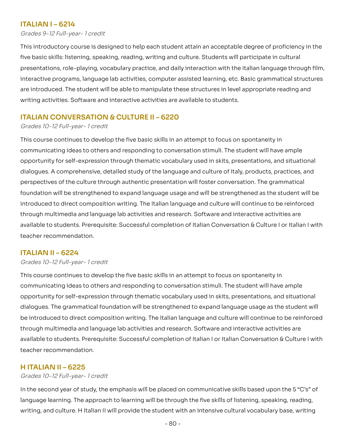# <span id="page-80-0"></span> **ITALIAN I – 6214**

<span id="page-80-1"></span>Grades 9-12 Full-year- 1 credit

This introductory course is designed to help each student attain an acceptable degree of proficiency in the five basic skills: listening, speaking, reading, writing and culture. Students will participate in cultural role-playing, vocabulary practice, and daily interaction with the Italian language through film, interactive programs, language lab activities, computer assisted learning, etc. Basic grammatical structures are introduced. The student will be able to manipulate these structures in level appropriate reading and writing activities. Software and interactive activities are available to students. This introductory course is designed to help each student attain an acceptable degree of proficiency in the<br>five basic skills: listening, speaking, reading, writing and culture. Students will participate in cultural<br>presen

# <span id="page-80-2"></span> **ITALIAN CONVERSATION & CULTURE II – 6220**

<span id="page-80-3"></span>Grades 10-12 Full-year- 1 credit

This course continues to develop the five basic skills in an attempt to focus on spontaneity in communicating ideas to others and responding to conversation stimuli. The student will have ample opportunity for self-expression through thematic vocabulary used in skits, presentations, and situational dialogues. A comprehensive, detailed study of the language and culture of Italy, products, practices, and perspectives of the culture through authentic presentation will foster conversation. The grammatical foundation will be strengthened to expand language usage and will be strengthened as the student will be introduced to direct composition writing. The Italian language and culture will continue to be reinforced through multimedia and language lab activities and research. Software and interactive activities are available to students. Prerequisite: Successful completion of Italian Conversation & Culture I or Italian I with teacher recommendation. This course continues to develop the five basic skills in an attempt to focus on spontaneity in<br>communicating ideas to others and responding to conversation stimuli. The student will have ample<br>opportunity for self-express

## <span id="page-80-4"></span> **ITALIAN II – 6224**

#### <span id="page-80-5"></span>Grades 10-12 Full-year- 1 credit

This course continues to develop the five basic skills in an attempt to focus on spontaneity in communicating ideas to others and responding to conversation stimuli. The student will have ample opportunity for self-expression through thematic vocabulary used in skits, presentations, and situational This course continues to develop the five basic skills in an attempt to focus on spontaneity in<br>communicating ideas to others and responding to conversation stimuli. The student will have ample<br>opportunity for self-express be introduced to direct composition writing. The Italian language and culture will continue to be reinforced multimedia and language lab activities and research. Software and interactive activities are available to students. Prerequisite: Successful completion of Italian I or Italian Conversation & Culture I with teacher recommendation. be introduced to direct composition writing. The Italian language and culture will continue to be reinforced<br>through multimedia and language lab activities and research. Software and interactive activities are<br>available to

# <span id="page-80-6"></span> **H ITALIAN II – 6225**

#### <span id="page-80-7"></span>Grades 10-12 Full-year- 1 credit

In the second year of study, the emphasis will be placed on communicative skills based upon the 5 "C's" of learning. The approach to learning will be through the five skills of listening, speaking, reading, writing, and culture. H Italian II will provide the student with an intensive cultural vocabulary base, writing In the second year of study, the emphasis will be placed on communicative skills based upon the 5 "C's" of<br>language learning. The approach to learning will be through the five skills of listening, speaking, reading,<br>writin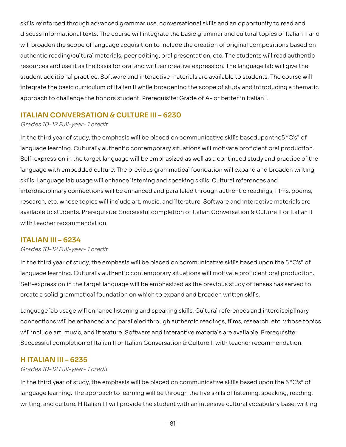skills reinforced through advanced grammar use, conversational skills and an opportunity to read and informational texts. The course will integrate the basic grammar and cultural topics of Italian II and will broaden the scope of language acquisition to include the creation of original compositions based on authentic reading/cultural materials, peer editing, oral presentation, etc. The students will read authentic resources and use it as the basis for oral and written creative expression. The language lab will give the authentic reading/cultural materials, peer editing, oral presentation, etc. The students will read authentic<br>resources and use it as the basis for oral and written creative expression. The language lab will give the<br>studen integrate the basic curriculum of Italian II while broadening the scope of study and introducing a thematic approach to challenge the honors student. Prerequisite: Grade of A- or better in Italian I. skills reinforced through advanced grammar use, conversational skills and an opportunity to read and<br>discuss informational texts. The course will integrate the basic grammar and cultural topics of Italian II and<br>will broad

# <span id="page-81-0"></span> **ITALIAN CONVERSATION & CULTURE III – 6230**

### <span id="page-81-1"></span>Grades 10-12 Full-year- 1 credit

In the third year of study, the emphasis will be placed on communicative skills baseduponthe5 "C's" of In the third year of study, the emphasis will be placed on communicative skills baseduponthe5 "C's" of<br>language learning. Culturally authentic contemporary situations will motivate proficient oral production. Self-expression in the target language will be emphasized as well as a continued study and practice of the Self-expression in the target language will be emphasized as well as a continued study and practice of the<br>language with embedded culture. The previous grammatical foundation will expand and broaden writing skills. Language lab usage will enhance listening and speaking skills. Cultural references and interdisciplinary connections will be enhanced and paralleled through authentic readings, films, poems, skills. Language lab usage will enhance listening and speaking skills. Cultural references and<br>interdisciplinary connections will be enhanced and paralleled through authentic readings, films, poems,<br>research, etc. whose to available to students. Prerequisite: Successful completion of Italian Conversation & Culture II or Italian II with teacher recommendation.

# <span id="page-81-2"></span> **ITALIAN III – 6234**

#### <span id="page-81-3"></span>Grades 10-12 Full-year- 1 credit

In the third year of study, the emphasis will be placed on communicative skills based upon the 5 "C's" of In the third year of study, the emphasis will be placed on communicative skills based upon the 5 "C's" of<br>language learning. Culturally authentic contemporary situations will motivate proficient oral production. Self-expression in the target language will be emphasized as the previous study of tenses has served to Self-expression in the target language will be emphasized as the previous study of tenses has served to<br>create a solid grammatical foundation on which to expand and broaden written skills.

Language lab usage will enhance listening and speaking skills. Cultural references and interdisciplinary Language lab usage will enhance listening and speaking skills. Cultural references and interdisciplinary<br>connections will be enhanced and paralleled through authentic readings, films, research, etc. whose topics will include art, music, and literature. Software and interactive materials are available. Prerequisite: will include art, music, and literature. Software and interactive materials are available. Prerequisite:<br>Successful completion of Italian II or Italian Conversation & Culture II with teacher recommendation.

## <span id="page-81-4"></span> **H ITALIAN III – 6235**

## Grades 10-12 Full-year- 1 credit

In the third year of study, the emphasis will be placed on communicative skills based upon the 5 "C's" of learning. The approach to learning will be through the five skills of listening, speaking, reading, writing, and culture. H Italian III will provide the student with an intensive cultural vocabulary base, writing In the third year of study, the emphasis will be placed on communicative skills based upon the 5 "C's" of<br>language learning. The approach to learning will be through the five skills of listening, speaking, reading,<br>writing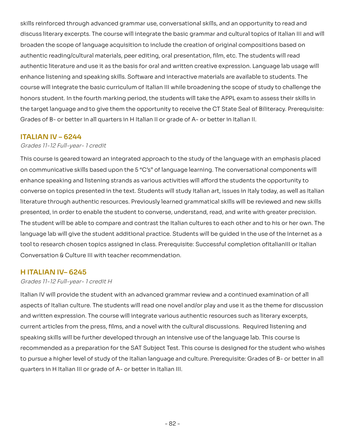skills reinforced through advanced grammar use, conversational skills, and an opportunity to read and skills reinforced through advanced grammar use, conversational skills, and an opportunity to read and<br>discuss literary excerpts. The course will integrate the basic grammar and cultural topics of Italian III and will broaden the scope of language acquisition to include the creation of original compositions based on authentic reading/cultural materials, peer editing, oral presentation, film, etc. The students will read authentic literature and use it as the basis for oral and written creative expression. Language lab usage will enhance listening and speaking skills. Software and interactive materials are available to students. The course will integrate the basic curriculum of Italian III while broadening the scope of study to challenge the honors student. In the fourth marking period, the students will take the APPL exam to assess their skills in the target language and to give them the opportunity to receive the CT State Seal of Biliteracy. Prerequisite: Grades of B- or better in all quarters in H Italian II or grade of A- or better in Italian II. authentic reading/cultural materials, peer editing, oral presentation, film, etc. The students will read<br>authentic literature and use it as the basis for oral and written creative expression. Language lab usage will<br>enhanc

# **ITALIAN IV – 6244**

## Grades 11-12 Full-year- 1 credit

This course is geared toward an integrated approach to the study of the language with an emphasis placed on communicative skills based upon the 5 "C's" of language learning. The conversational components will enhance speaking and listening strands as various activities will afford the students the opportunity to converse on topics presented in the text. Students will study Italian art, issues in Italy today, as well as Italian literature through authentic resources. Previously learned grammatical skills will be reviewed and new skills presented, in order to enable the student to converse, understand, read, and write with greater precision. The student will be able to compare and contrast the Italian cultures to each other and to his or her own. The language lab will give the student additional practice. Students will be guided in the use of the Internet as a tool to research chosen topics assigned in class. Prerequisite: Successful completion of Italian III or Italian Conversation & Culture III with teacher recommendation. This course is geared toward an integrated approach to the study of the language with an emphasis placed<br>on communicative skills based upon the 5 "C's" of language learning. The conversational components will<br>enhance speak

# **H ITALIAN IV– 6245**

## Grades 11-12 Full-year- 1 credit H

 Italian IV will provide the student with an advanced grammar review and a continued examination of all aspects of Italian culture. The students will read one novel and/or play and use it as the theme for discussion and written expression. The course will integrate various authentic resources such as literary excerpts, current articles from the press, films, and a novel with the cultural discussions. Required listening and speaking skills will be further developed through an intensive use of the language lab. This course is as a preparation for the SAT Subject Test. This course is designed for the student who wishes to pursue a higher level of study of the Italian language and culture. Prerequisite: Grades of B- or better in all quarters in H Italian III or grade of A- or better in Italian III. and written expression. The course will integrate various authentic resources such as literary excerpts,<br>current articles from the press, films, and a novel with the cultural discussions. Required listening and<br>speaking sk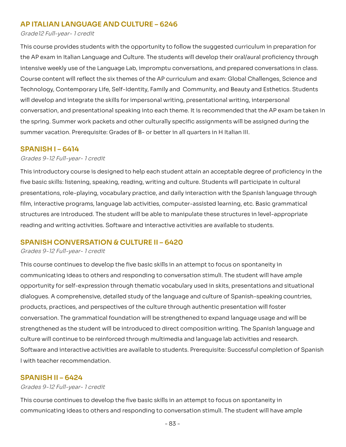# **AP ITALIAN LANGUAGE AND CULTURE – 6246**

#### Grade12 Full-year- 1 credit

This course provides students with the opportunity to follow the suggested curriculum in preparation for the AP exam in Italian Language and Culture. The students will develop their oral/aural proficiency through intensive weekly use of the Language Lab, impromptu conversations, and prepared conversations in class. Course content will reflect the six themes of the AP curriculum and exam: Global Challenges, Science and Technology, Contemporary Life, Self-Identity, Family and Community, and Beauty and Esthetics. Students will develop and integrate the skills for impersonal writing, presentational writing, interpersonal conversation, and presentational speaking into each theme. It is recommended that the AP exam be taken in the spring. Summer work packets and other culturally specific assignments will be assigned during the summer vacation. Prerequisite: Grades of B- or better in all quarters in H Italian III. This course provides students with the opportunity to follow the suggested curriculum in preparation for<br>the AP exam in Italian Language and Culture. The students will develop their oral/aural proficiency through<br>intensive

## **SPANISH I – 6414**

#### Grades 9-12 Full-year- 1 credit

This introductory course is designed to help each student attain an acceptable degree of proficiency in the five basic skills: listening, speaking, reading, writing and culture. Students will participate in cultural presentations, role-playing, vocabulary practice, and daily interaction with the Spanish language through film, interactive programs, language lab activities, computer-assisted learning, etc. Basic grammatical structures are introduced. The student will be able to manipulate these structures in level-appropriate reading and writing activities. Software and interactive activities are available to students. This introductory course is designed to help each student attain an acceptable degree of proficiency in the<br>five basic skills: listening, speaking, reading, writing and culture. Students will participate in cultural<br>presen

## **SPANISH CONVERSATION & CULTURE II – 6420**

#### Grades 9-12 Full-year- 1 credit

This course continues to develop the five basic skills in an attempt to focus on spontaneity in communicating ideas to others and responding to conversation stimuli. The student will have ample for self-expression through thematic vocabulary used in skits, presentations and situational dialogues. A comprehensive, detailed study of the language and culture of Spanish-speaking countries, products, practices, and perspectives of the culture through authentic presentation will foster conversation. The grammatical foundation will be strengthened to expand language usage and will be as the student will be introduced to direct composition writing. The Spanish language and culture will continue to be reinforced through multimedia and language lab activities and research. Software and interactive activities are available to students. Prerequisite: Successful completion of Spanish<br>I with teacher recommendation. I with teacher recommendation. This course continues to develop the five basic skills in an attempt to focus on spontaneity in<br>communicating ideas to others and responding to conversation stimuli. The student will have ample<br>opportunity for self-express conversation. The grammatical foundation will be strengthened to expand language usage and will be<br>strengthened as the student will be introduced to direct composition writing. The Spanish language and<br>culture will continu

## **SPANISH II – 6424**

#### Grades 9-12 Full-year- 1 credit

This course continues to develop the five basic skills in an attempt to focus on spontaneity in ideas to others and responding to conversation stimuli. The student will have ample This course continues to develop the five basic skills in an attempt to focus on spontaneity in<br>communicating ideas to others and responding to conversation stimuli. The student will have ample<br>- 83 -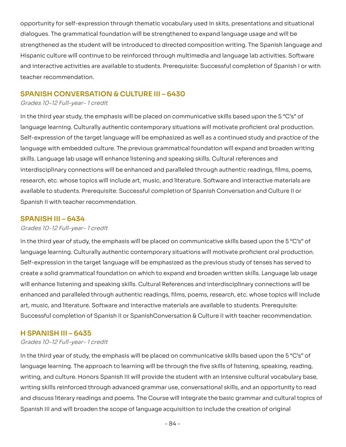opportunity for self-expression through thematic vocabulary used in skits, presentations and situational dialogues. The grammatical foundation will be strengthened to expand language usage and will be strengthened as the student will be introduced to directed composition writing. The Spanish language and Hispanic culture will continue to be reinforced through multimedia and language lab activities. Software and interactive activities are available to students. Prerequisite: Successful completion of Spanish I or with teacher recommendation. opportunity for self-expression through thematic vocabulary used in skits, presentations and situational<br>dialogues. The grammatical foundation will be strengthened to expand language usage and will be<br>strengthened as the s

# **SPANISH CONVERSATION & CULTURE III – 6430**

### Grades 10-12 Full-year- 1 credit

In the third year study, the emphasis will be placed on communicative skills based upon the 5 "C's" of In the third year study, the emphasis will be placed on communicative skills based upon the 5 "C's" of<br>language learning. Culturally authentic contemporary situations will motivate proficient oral production. Self-expression of the target language will be emphasized as well as a continued study and practice of the language with embedded culture. The previous grammatical foundation will expand and broaden writing skills. Language lab usage will enhance listening and speaking skills. Cultural references and interdisciplinary connections will be enhanced and paralleled through authentic readings, films, poems, skills. Language lab usage will enhance listening and speaking skills. Cultural references and<br>interdisciplinary connections will be enhanced and paralleled through authentic readings, films, poems,<br>research, etc. whose to available to students. Prerequisite: Successful completion of Spanish Conversation and Culture II or<br>Spanish II with teacher recommendation. Spanish II with teacher recommendation.

# **SPANISH III – 6434**

## Grades 10-12 Full-year- 1 credit

In the third year of study, the emphasis will be placed on communicative skills based upon the 5 "C's" of In the third year of study, the emphasis will be placed on communicative skills based upon the 5 "C's" of<br>language learning. Culturally authentic contemporary situations will motivate proficient oral production. Self-expression in the target language will be emphasized as the previous study of tenses has served to a solid grammatical foundation on which to expand and broaden written skills. Language lab usage will enhance listening and speaking skills. Cultural References and interdisciplinary connections will be enhanced and paralleled through authentic readings, films, poems, research, etc. whose topics will include art, music, and literature. Software and interactive materials are available to students. Prerequisite: Successful completion of Spanish II or SpanishConversation & Culture II with teacher recommendation. Self-expression in the target language will be emphasized as the previous study of tenses has served to<br>create a solid grammatical foundation on which to expand and broaden written skills. Language lab usage<br>will enhance l

## **H SPANISH III – 6435**

## Grades 10-12 Full-year- 1 credit

In the third year of study, the emphasis will be placed on communicative skills based upon the 5 "C's" of language learning. The approach to learning will be through the five skills of listening, speaking, reading, writing, and culture. Honors Spanish III will provide the student with an intensive cultural vocabulary base, writing skills reinforced through advanced grammar use, conversational skills, and an opportunity to read and discuss literary readings and poems. The Course will integrate the basic grammar and cultural topics of Spanish III and will broaden the scope of language acquisition to include the creation of original In the third year of study, the emphasis will be placed on communicative skills based upon the 5 "C's" of<br>language learning. The approach to learning will be through the five skills of listening, speaking, reading,<br>writing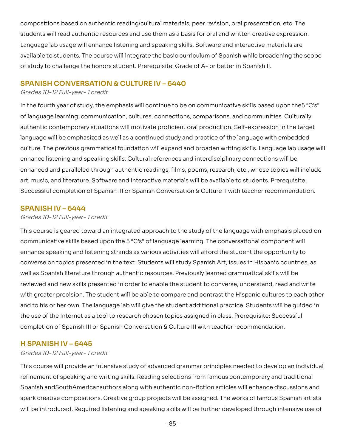compositions based on authentic reading/cultural materials, peer revision, oral presentation, etc. The students will read authentic resources and use them as a basis for oral and written creative expression. Language lab usage will enhance listening and speaking skills. Software and interactive materials are to students. The course will integrate the basic curriculum of Spanish while broadening the scope of study to challenge the honors student. Prerequisite: Grade of A- or better in Spanish II. students will read authentic resources and use them as a basis for oral and written creative expression.<br>Language lab usage will enhance listening and speaking skills. Software and interactive materials are<br>available to st

## **SPANISH CONVERSATION & CULTURE IV – 6440**

#### Grades 10-12 Full-year- 1 credit

In the fourth year of study, the emphasis will continue to be on communicative skills based upon the 5"C's" of language learning: communication, cultures, connections, comparisons, and communities. Culturally In the fourth year of study, the emphasis will continue to be on communicative skills based upon the5 "C's"<br>of language learning: communication, cultures, connections, comparisons, and communities. Culturally<br>authentic con language will be emphasized as well as a continued study and practice of the language with embedded The previous grammatical foundation will expand and broaden writing skills. Language lab usage will enhance listening and speaking skills. Cultural references and interdisciplinary connections will be enhanced and paralleled through authentic readings, films, poems, research, etc., whose topics will include music, and literature. Software and interactive materials will be available to students. Prerequisite: Successful completion of Spanish III or Spanish Conversation & Culture II with teacher recommendation. language will be emphasized as well as a continued study and practice of the language with embedded<br>culture. The previous grammatical foundation will expand and broaden writing skills. Language lab usage will<br>enhance liste enhanced and paralleled through authentic readings, films, poems, research, etc., whose topics will include<br>art, music, and literature. Software and interactive materials will be available to students. Prerequisite:<br>Succes

# **SPANISH IV – 6444**

#### Grades 10-12 Full-year- 1 credit

This course is geared toward an integrated approach to the study of the language with emphasis placed on communicative skills based upon the 5 "C's" of language learning. The conversational component will enhance speaking and listening strands as various activities will afford the student the opportunity to converse on topics presented in the text. Students will study Spanish Art, issues in Hispanic countries, as well as Spanish literature through authentic resources. Previously learned grammatical skills will be reviewed and new skills presented in order to enable the student to converse, understand, read and write with greater precision. The student will be able to compare and contrast the Hispanic cultures to each other and to his or her own. The language lab will give the student additional practice. Students will be quided in the use of the Internet as a tool to research chosen topics assigned in class. Prerequisite: Successful completion of Spanish III or Spanish Conversation & Culture III with teacher recommendation. This course is geared toward an integrated approach to the study of the language with emphasis placed on<br>communicative skills based upon the 5 "C's" of language learning. The conversational component will<br>enhance speaking

## **H SPANISH IV – 6445**

#### Grades 10-12 Full-year- 1 credit

This course will provide an intensive study of advanced grammar principles needed to develop an individual refinement of speaking and writing skills. Reading selections from famous contemporary and traditional and South American authors along with authentic non-fiction articles will enhance discussions and spark creative compositions. Creative group projects will be assigned. The works of famous Spanish artists will be introduced. Required listening and speaking skills will be further developed through intensive use of This course will provide an intensive study of advanced grammar principles needed to develop an individual<br>refinement of speaking and writing skills. Reading selections from famous contemporary and traditional<br>Spanish andS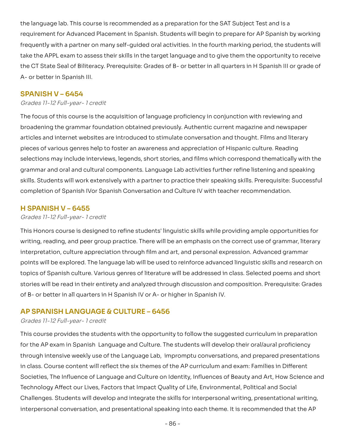the language lab. This course is recommended as a preparation for the SAT Subject Test and is a requirement for Advanced Placement in Spanish. Students will begin to prepare for AP Spanish by working frequently with a partner on many self-quided oral activities. In the fourth marking period, the students will the APPL exam to assess their skills in the target language and to give them the opportunity to receive the CT State Seal of Biliteracy. Prerequisite: Grades of B- or better in all quarters in H Spanish III or grade of A- or better in Spanish III. frequently with a partner on many self-guided oral activities. In the fourth marking period, the students will<br>take the APPL exam to assess their skills in the target language and to give them the opportunity to receive<br>th

# **SPANISH V – 6454**

### Grades 11-12 Full-year- 1 credit

The focus of this course is the acquisition of language proficiency in conjunction with reviewing and the grammar foundation obtained previously. Authentic current magazine and newspaper articles and internet websites are introduced to stimulate conversation and thought. Films and literary pieces of various genres help to foster an awareness and appreciation of Hispanic culture. Reading pieces of various genres help to foster an awareness and appreciation of Hispanic culture. Reading<br>selections may include interviews, legends, short stories, and films which correspond thematically with the grammar and oral and cultural components. Language Lab activities further refine listening and speaking skills. Students will work extensively with a partner to practice their speaking skills. Prerequisite: Successful skills. Students will work extensively with a partner to practice their speaking skills. Prerequisite: Successful<br>completion of Spanish IVor Spanish Conversation and Culture IV with teacher recommendation. The focus of this course is the acquisition of language proficiency in conjunction with reviewing and<br>broadening the grammar foundation obtained previously. Authentic current magazine and newspaper<br>articles and internet we

# **H SPANISH V – 6455**

#### Grades 11-12 Full-year- 1 credit

This Honors course is designed to refine students' linguistic skills while providing ample opportunities for writing, reading, and peer group practice. There will be an emphasis on the correct use of grammar, literary interpretation, culture appreciation through film and art, and personal expression. Advanced grammar points will be explored. The language lab will be used to reinforce advanced linguistic skills and research on This Honors course is designed to refine students' linguistic skills while providing ample opportunities for<br>writing, reading, and peer group practice. There will be an emphasis on the correct use of grammar, literary<br>inte stories will be read in their entirety and analyzed through discussion and composition. Prerequisite: Grades<br>of B- or better in all quarters in H Spanish IV or A- or higher in Spanish IV. of B- or better in all quarters in H Spanish IV or A- or higher in Spanish IV.

## **AP SPANISH LANGUAGE & CULTURE – 6456**

#### Grades 11-12 Full-year- 1 credit

This course provides the students with the opportunity to follow the suggested curriculum in preparation the AP exam in Spanish Language and Culture. The students will develop their oral/aural proficiency through intensive weekly use of the Language Lab, impromptu conversations, and prepared presentations in class. Course content will reflect the six themes of the AP curriculum and exam: Families in Different Societies, The Influence of Language and Culture on Identity, Influences of Beauty and Art, How Science and Technology Affect our Lives, Factors that Impact Quality of Life, Environmental, Political and Social Challenges. Students will develop and integrate the skills for interpersonal writing, presentational writing, interpersonal conversation, and presentational speaking into each theme. It is recommended that the AP This course provides the students with the opportunity to follow the suggested curriculum in preparation<br>for the AP exam in Spanish Language and Culture. The students will develop their oral/aural proficiency<br>through inten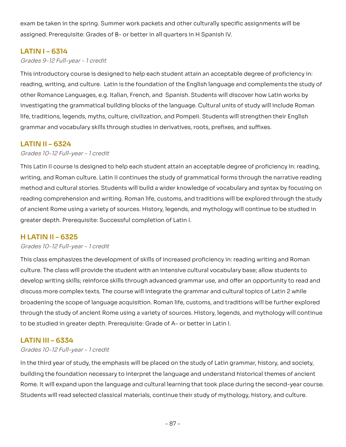exam be taken in the spring. Summer work packets and other culturally specific assignments will be<br>assigned. Prerequisite: Grades of B- or better in all quarters in H Spanish IV. assigned. Prerequisite: Grades of B- or better in all quarters in H Spanish IV.

# **LATIN I – 6314**

## Grades 9-12 Full-year - 1 credit

 This introductory course is designed to help each student attain an acceptable degree of proficiency in: reading, writing, and culture. Latin is the foundation of the English language and complements the study of other Romance Languages, e.g. Italian, French, and Spanish. Students will discover how Latin works by the grammatical building blocks of the language. Cultural units of study will include Roman life, traditions, legends, myths, culture, civilization, and Pompeii. Students will strengthen their English grammar and vocabulary skills through studies in derivatives, roots, prefixes, and suffixes. reading, writing, and culture. Latin is the foundation of the English language and complements the study of<br>other Romance Languages, e.g. Italian, French, and Spanish. Students will discover how Latin works by<br>investigatin

# **LATIN II – 6324**

## Grades 10-12 Full-year - 1 credit

 This Latin II course is designed to help each student attain an acceptable degree of proficiency in: reading, writing, and Roman culture. Latin II continues the study of grammatical forms through the narrative reading method and cultural stories. Students will build a wider knowledge of vocabulary and syntax by focusing on comprehension and writing. Roman life, customs, and traditions will be explored through the study of ancient Rome using a variety of sources. History, legends, and mythology will continue to be studied in greater depth. Prerequisite: Successful completion of Latin I. method and cultural stories. Students will build a wider knowledge of vocabulary and syntax by focusing on<br>reading comprehension and writing. Roman life, customs, and traditions will be explored through the study<br>of ancien

# **H LATIN II – 6325**

#### Grades 10-12 Full-year - 1 credit

 This class emphasizes the development of skills of increased proficiency in: reading writing and Roman culture. The class will provide the student with an intensive cultural vocabulary base; allow students to writing skills; reinforce skills through advanced grammar use, and offer an opportunity to read and discuss more complex texts. The course will integrate the grammar and cultural topics of Latin 2 while broadening the scope of language acquisition. Roman life, customs, and traditions will be further explored through the study of ancient Rome using a variety of sources. History, legends, and mythology will continue<br>to be studied in greater depth. Prerequisite: Grade of A- or better in Latin I. to be studied in greater depth. Prerequisite: Grade of A- or better in Latin I. culture. The class will provide the student with an intensive cultural vocabulary base; allow students to<br>develop writing skills; reinforce skills through advanced grammar use, and offer an opportunity to read and<br>discuss

# **LATIN III – 6334**

## Grades 10-12 Full-year - 1 credit

In the third year of study, the emphasis will be placed on the study of Latin grammar, history, and society, In the third year of study, the emphasis will be placed on the study of Latin grammar, history, and society,<br>building the foundation necessary to interpret the language and understand historical themes of ancient Rome. It will expand upon the language and cultural learning that took place during the second-year course. Students will read selected classical materials, continue their study of mythology, history, and culture.<br>- 87 -<br>- 87 -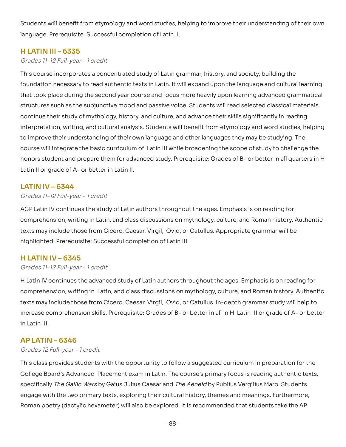Students will benefit from etymology and word studies, helping to improve their understanding of their own language. Prerequisite: Successful completion of Latin II.

# **H LATIN III – 6335**

Grades 11-12 Full-year - 1 credit

This course incorporates a concentrated study of Latin grammar, history, and society, building the This course incorporates a concentrated study of Latin grammar, history, and society, building the<br>foundation necessary to read authentic texts in Latin. It will expand upon the language and cultural learning that took place during the second year course and focus more heavily upon learning advanced grammatical structures such as the subjunctive mood and passive voice. Students will read selected classical materials, continue their study of mythology, history, and culture, and advance their skills significantly in reading that took place during the second year course and focus more heavily upon learning advanced grammatical<br>structures such as the subjunctive mood and passive voice. Students will read selected classical materials,<br>continue t to improve their understanding of their own language and other languages they may be studying. The course will integrate the basic curriculum of Latin III while broadening the scope of study to challenge the student and prepare them for advanced study. Prerequisite: Grades of B- or better in all quarters in H Latin II or grade of A- or better in Latin II. course will integrate the basic curriculum of Latin III while broadening the scope of study to challenge the<br>honors student and prepare them for advanced study. Prerequisite: Grades of B- or better in all quarters in H<br>La

## **LATIN IV – 6344**

### Grades 11-12 Full-year - 1 credit

ACP Latin IV continues the study of Latin authors throughout the ages. Emphasis is on reading for ACP Latin IV continues the study of Latin authors throughout the ages. Emphasis is on reading for<br>comprehension, writing in Latin, and class discussions on mythology, culture, and Roman history. Authentic texts may include those from Cicero, Caesar, Virgil, Ovid, or Catullus. Appropriate grammar will be<br>highlighted. Prerequisite: Successful completion of Latin III. highlighted. Prerequisite: Successful completion of Latin III.

# **H LATIN IV – 6345**

#### Grades 11-12 Full-year - 1 credit

 H Latin IV continues the advanced study of Latin authors throughout the ages. Emphasis is on reading for comprehension, writing in Latin, and class discussions on mythology, culture, and Roman history. Authentic texts may include those from Cicero, Caesar, Virgil, Ovid, or Catullus. In-depth grammar study will help to comprehension skills. Prerequisite: Grades of B- or better in all in H Latin III or grade of A- or better in Latin III. comprehension, writing in Latin, and class discussions on mythology, culture, and Roman history. Authentic<br>texts may include those from Cicero, Caesar, Virgil, Ovid, or Catullus. In-depth grammar study will help to<br>incre

# **AP LATIN – 6346**

#### Grades 12 Full-year - 1 credit

 This class provides students with the opportunity to follow a suggested curriculum in preparation for the College Board's Advanced Placement exam in Latin. The course's primary focus is reading authentic texts, specifically *The Gallic Wars* by Gaius Julius Caesar and *The Aeneid* by Publius Vergilius Maro. Students engage with the two primary texts, exploring their cultural history, themes and meanings. Furthermore, poetry (dactylic hexameter) will also be explored. It is recommended that students take the AP engage with the two primary texts, exploring their cultural history, themes and meanings. Furthermore,<br>Roman poetry (dactylic hexameter) will also be explored. It is recommended that students take the AP<br>- 88 -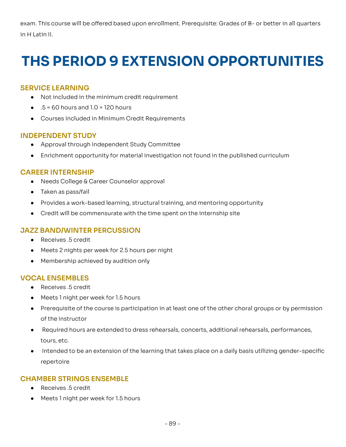exam. This course will be offered based upon enrollment. Prerequisite: Grades of B- or better in all quarters in H Latin II.

# **THS PERIOD 9 EXTENSION OPPORTUNITIES**

# **SERVICE LEARNING**

- Not included in the minimum credit requirement
- $\bullet$  .5 = 60 hours and 1.0 = 120 hours
- Courses Included in Minimum Credit Requirements

# **INDEPENDENT STUDY**

- Approval through Independent Study Committee
- Enrichment opportunity for material investigation not found in the published curriculum

# **CAREER INTERNSHIP**

- Needs College & Career Counselor approval
- Taken as pass/fail
- Provides a work-based learning, structural training, and mentoring opportunity
- Credit will be commensurate with the time spent on the internship site

# **JAZZ BAND/WINTER PERCUSSION**

- Receives .5 credit
- Meets 2 nights per week for 2.5 hours per night
- Membership achieved by audition only

# **VOCAL ENSEMBLES**

- Receives .5 credit
- Meets 1 night per week for 1.5 hours
- Prerequisite of the course is participation in at least one of the other choral groups or by permission<br>of the instructor of the instructor
- Required hours are extended to dress rehearsals, concerts, additional rehearsals, performances, tours, etc.
- Intended to be an extension of the learning that takes place on a daily basis utilizing gender-specific repertoire

# **CHAMBER STRINGS ENSEMBLE**

- Receives .5 credit
- Meets 1 night per week for 1.5 hours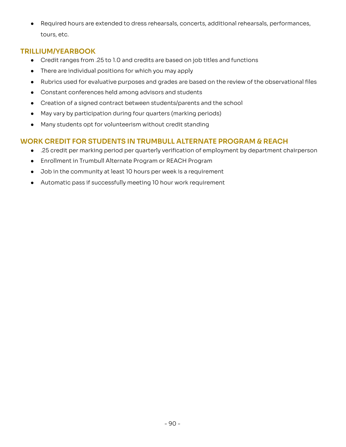● Required hours are extended to dress rehearsals, concerts, additional rehearsals, performances,<br>tours, etc. tours, etc.

# **TRILLIUM/YEARBOOK**

- Credit ranges from .25 to 1.0 and credits are based on job titles and functions
- There are individual positions for which you may apply
- Rubrics used for evaluative purposes and grades are based on the review of the observational files
- Constant conferences held among advisors and students
- Creation of a signed contract between students/parents and the school
- May vary by participation during four quarters (marking periods)
- Many students opt for volunteerism without credit standing

# **WORK CREDIT FOR STUDENTS IN TRUMBULL ALTERNATE PROGRAM & REACH**

- .25 credit per marking period per quarterly verification of employment by department chairperson
- Enrollment in Trumbull Alternate Program or REACH Program
- Job in the community at least 10 hours per week is a requirement
- Automatic pass if successfully meeting 10 hour work requirement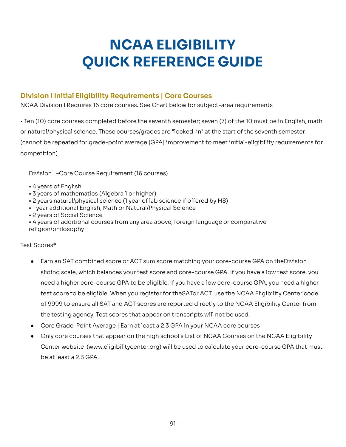# **NCAA ELIGIBILITY QUICK REFERENCE GUIDE**

# **Division I Initial Eligibility Requirements | Core Courses**

NCAA Division I Requires 16 core courses. See Chart below for subject-area requirements

• Ten (10) core courses completed before the seventh semester; seven (7) of the 10 must be in English, math or natural/physical science. These courses/grades are "locked-in" at the start of the seventh semester be repeated for grade-point average [GPA] improvement to meet initial-eligibility requirements for competition). • Ten (10) core courses completed before the seventh semester; seven (7) of the 10 must be in English, math<br>or natural/physical science. These courses/grades are "locked-in" at the start of the seventh semester<br>(cannot be

Division I –Core Course Requirement (16 courses)

- 4 years of English
- 3 years of mathematics (Algebra 1 or higher)
- $\bullet$  2 years natural/physical science (1 year of lab science if offered by HS)
- 1 year additional English, Math or Natural/Physical Science
- 2 years of Social Science
- 4 years of additional courses from any area above, foreign language or comparative<br>religion/philosophy<br>Test Scores\* religion/philosophy

Test Scores\*

- Earn an SAT combined score or ACT sum score matching your core-course GPA on theDivision I sliding scale, which balances your test score and core-course GPA. If you have a low test score, you sliding scale, which balances your test score and core-course GPA. If you have a low test score, you<br>need a higher core-course GPA to be eligible. If you have a low core-course GPA, you need a higher test score to be eligible. When you register for theSATor ACT, use the NCAA Eligibility Center code of 9999 to ensure all SAT and ACT scores are reported directly to the NCAA Eligibility Center from<br>the testing agency. Test scores that appear on transcripts will not be used. the testing agency. Test scores that appear on transcripts will not be used.
- Core Grade-Point Average | Earn at least a 2.3 GPA in your NCAA core courses
- Only core courses that appear on the high school's List of NCAA Courses on the NCAA Eligibility Center website (<www.eligibilitycenter.org>) will be used to calculate your core-course GPA that must<br>be at least a 2.3 GPA. be at least a 2.3 GPA.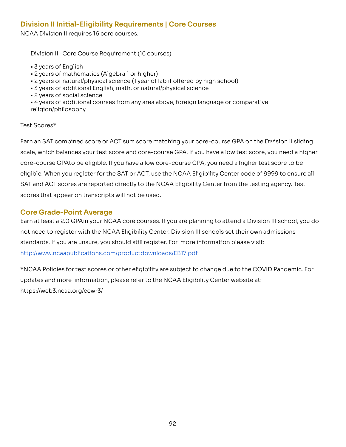# **Division II Initial-Eligibility Requirements | Core Courses**

NCAA Division II requires 16 core courses.

Division II –Core Course Requirement (16 courses)

- 3 years of English
- 2 years of mathematics (Algebra 1 or higher)
- 2 years of natural/physical science (1 year of lab if offered by high school)
- 3 years of additional English, math, or natural/physical science
- 2 years of social science
- 4 years of additional courses from any area above, foreign language or comparative<br>religion/philosophy<br>Test Scores\* religion/philosophy

## Test Scores\*

Earn an SAT combined score or ACT sum score matching your core-course GPA on the Division II sliding which balances your test score and core-course GPA. If you have a low test score, you need a higher core-course GPAto be eligible. If you have a low core-course GPA, you need a higher test score to be eligible. When you register for the SAT or ACT, use the NCAA Eligibility Center code of 9999 to ensure all and ACT scores are reported directly to the NCAA Eligibility Center from the testing agency. Test scores that appear on transcripts will not be used. Earn an SAT combined score or ACT sum score matching your core-course GPA on the Division II sliding<br>scale, which balances your test score and core-course GPA. If you have a low test score, you need a higher<br>core-course GP eligible. When you register for the SAT or ACT, use the NCAA Eligibility Center code of 9999 to ensure all<br>SAT and ACT scores are reported directly to the NCAA Eligibility Center from the testing agency. Test<br>scores that a

# **Core Grade-Point Average**

Earn at least a 2.0 GPAin your NCAA core courses. If you are planning to attend a Division III school, you do not need to register with the NCAA Eligibility Center. Division III schools set their own admissions standards. If you are unsure, you should still register. For more information please visit: http://www.ncaapublications.com/productdownloads/EB17.pdf Earn at least a 2.0 GPAin your NCAA core courses. If you are planning to attend a Division III school, you do<br>not need to register with the NCAA Eligibility Center. Division III schools set their own admissions<br>standards.

\*NCAA Policies for test scores or other eligibility are subject to change due to the COVID Pandemic. For updates and more information, please refer to the NCAA Eligibility Center website at: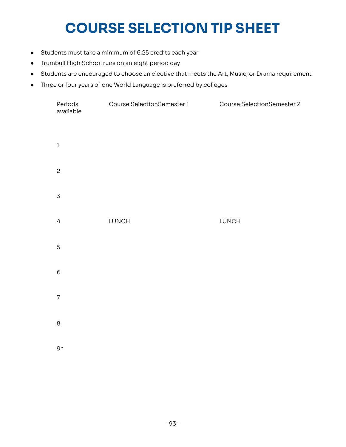# **COURSE SELECTION TIP SHEET**

- Students must take a minimum of 6.25 credits each year
- Trumbull High School runs on an eight period day
- Students are encouraged to choose an elective that meets the Art, Music, or Drama requirement
- 

| $\bullet$ | Three or four years of one World Language is preferred by colleges |                            |                            |  |  |
|-----------|--------------------------------------------------------------------|----------------------------|----------------------------|--|--|
|           | Periods<br>available                                               | Course SelectionSemester 1 | Course SelectionSemester 2 |  |  |
|           | $\mathbb{I}$                                                       |                            |                            |  |  |
|           | $\mathbf{c}$                                                       |                            |                            |  |  |
|           | $\mathsf 3$                                                        |                            |                            |  |  |
|           | $\overline{4}$                                                     | LUNCH                      | LUNCH                      |  |  |
|           | $\mathbf 5$                                                        |                            |                            |  |  |
|           | $\mathsf 6$                                                        |                            |                            |  |  |
|           | $\overline{7}$                                                     |                            |                            |  |  |
|           | $\,8\,$                                                            |                            |                            |  |  |
|           | 9*                                                                 |                            |                            |  |  |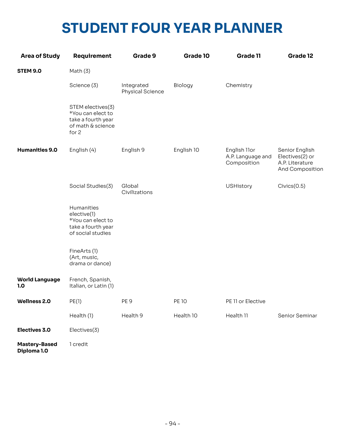# **STUDENT FOUR YEAR PLANNER**

| <b>Area of Study</b>                | Requirement                                                                                | Grade 9                        | Grade 10     | Grade 11                                         | Grade 12                                                                |
|-------------------------------------|--------------------------------------------------------------------------------------------|--------------------------------|--------------|--------------------------------------------------|-------------------------------------------------------------------------|
| <b>STEM 9.0</b>                     | Math $(3)$                                                                                 |                                |              |                                                  |                                                                         |
|                                     | Science (3)                                                                                | Integrated<br>Physical Science | Biology      | Chemistry                                        |                                                                         |
|                                     | STEM electives(3)<br>*You can elect to<br>take a fourth year<br>of math & science<br>for 2 |                                |              |                                                  |                                                                         |
| <b>Humanities 9.0</b>               | English (4)                                                                                | English 9                      | English 10   | English 11or<br>A.P. Language and<br>Composition | Senior English<br>Electives(2) or<br>A.P. Literature<br>And Composition |
|                                     | Social Studies(3)                                                                          | Global<br>Civilizations        |              | <b>USHistory</b>                                 | Civics(0.5)                                                             |
|                                     | Humanities<br>elective(1)<br>*You can elect to<br>take a fourth year<br>of social studies  |                                |              |                                                  |                                                                         |
|                                     | FineArts(1)<br>(Art, music,<br>drama or dance)                                             |                                |              |                                                  |                                                                         |
| <b>World Language</b><br>1.0        | French, Spanish,<br>Italian, or Latin (1)                                                  |                                |              |                                                  |                                                                         |
| Wellness 2.0                        | PE(1)                                                                                      | PE <sub>9</sub>                | <b>PE 10</b> | PE 11 or Elective                                |                                                                         |
|                                     | Health (1)                                                                                 | Health 9                       | Health 10    | Health 11                                        | Senior Seminar                                                          |
| Electives 3.0                       | Electives(3)                                                                               |                                |              |                                                  |                                                                         |
| <b>Mastery-Based</b><br>Diploma 1.0 | 1 credit                                                                                   |                                |              |                                                  |                                                                         |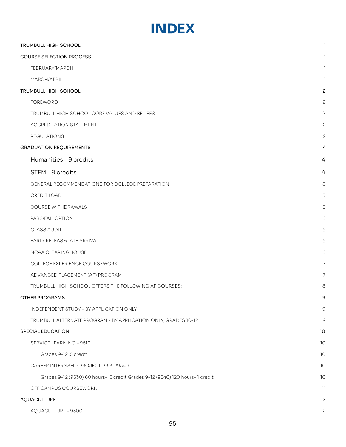# **INDEX**

| TRUMBULL HIGH SCHOOL                                                        | 1                        |
|-----------------------------------------------------------------------------|--------------------------|
| <b>COURSE SELECTION PROCESS</b>                                             | L                        |
| FEBRUARY/MARCH                                                              | $\mathbb{I}$             |
| MARCH/APRIL                                                                 | $\mathbb{I}$             |
| TRUMBULL HIGH SCHOOL                                                        | 2                        |
| <b>FOREWORD</b>                                                             | 2                        |
| TRUMBULL HIGH SCHOOL CORE VALUES AND BELIEFS                                | $\overline{c}$           |
| <b>ACCREDITATION STATEMENT</b>                                              | $\mathbf{c}$             |
| <b>REGULATIONS</b>                                                          | $\mathbf{c}$             |
| <b>GRADUATION REQUIREMENTS</b>                                              | 4                        |
| Humanities - 9 credits                                                      | 4                        |
| STEM - 9 credits                                                            | 4                        |
| GENERAL RECOMMENDATIONS FOR COLLEGE PREPARATION                             | 5                        |
| CREDIT LOAD                                                                 | 5                        |
| COURSE WITHDRAWALS                                                          | 6                        |
| PASS/FAIL OPTION                                                            | 6                        |
| CLASS AUDIT                                                                 | 6                        |
| EARLY RELEASE/LATE ARRIVAL                                                  | 6                        |
| NCAA CLEARINGHOUSE                                                          | 6                        |
| COLLEGE EXPERIENCE COURSEWORK                                               | 7                        |
| ADVANCED PLACEMENT (AP) PROGRAM                                             | 7                        |
| TRUMBULL HIGH SCHOOL OFFERS THE FOLLOWING AP COURSES:                       | 8                        |
| <b>OTHER PROGRAMS</b>                                                       | 9                        |
| INDEPENDENT STUDY - BY APPLICATION ONLY                                     | 9                        |
| TRUMBULL ALTERNATE PROGRAM - BY APPLICATION ONLY, GRADES 10-12              | 9                        |
| SPECIAL EDUCATION                                                           | 10                       |
| SERVICE LEARNING - 9510                                                     | 10                       |
| Grades 9-12, 5 credit                                                       | 10                       |
| CAREER INTERNSHIP PROJECT-9530/9540                                         | 10                       |
| Grades 9-12 (9530) 60 hours-.5 credit Grades 9-12 (9540) 120 hours-1 credit | $10$                     |
| OFF CAMPUS COURSEWORK                                                       | $\overline{\mathcal{H}}$ |
| AQUACULTURE                                                                 | 12                       |
| AQUACULTURE - 9300                                                          | 12                       |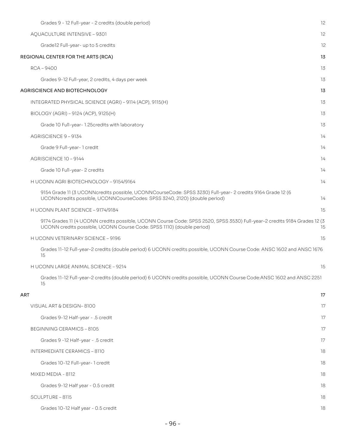| Grades 9 - 12 Full-year - 2 credits (double period)                                                                                                                                               | 12 |
|---------------------------------------------------------------------------------------------------------------------------------------------------------------------------------------------------|----|
| AQUACULTURE INTENSIVE - 9301                                                                                                                                                                      | 12 |
| Grade12 Full-year- up to 5 credits                                                                                                                                                                | 12 |
| REGIONAL CENTER FOR THE ARTS (RCA)                                                                                                                                                                | 13 |
| $RCA - 9400$                                                                                                                                                                                      | 13 |
| Grades 9-12 Full-year, 2 credits, 4 days per week                                                                                                                                                 | 13 |
| AGRISCIENCE AND BIOTECHNOLOGY                                                                                                                                                                     | 13 |
| INTEGRATED PHYSICAL SCIENCE (AGRI) - 9114 (ACP), 9115(H)                                                                                                                                          | 13 |
| BIOLOGY (AGRI) - 9124 (ACP), 9125(H)                                                                                                                                                              | 13 |
| Grade 10 Full-year-1.25 credits with laboratory                                                                                                                                                   | 13 |
| AGRISCIENCE 9-9134                                                                                                                                                                                | 14 |
| Grade 9 Full-year-1 credit                                                                                                                                                                        | 14 |
| AGRISCIENCE 10-9144                                                                                                                                                                               | 14 |
| Grade 10 Full-year-2 credits                                                                                                                                                                      | 14 |
| H UCONN AGRI BIOTECHNOLOGY - 9154/9164                                                                                                                                                            | 14 |
| 9154 Grade 11 (3 UCONNcredits possible, UCONNCourseCode: SPSS 3230) Full-year- 2 credits 9164 Grade 12 (6<br>UCONNcredits possible, UCONNCourseCodes: SPSS 3240, 2120) (double period)            | 14 |
| H UCONN PLANT SCIENCE - 9174/9184                                                                                                                                                                 | 15 |
| 9174 Grades 11 (4 UCONN credits possible, UCONN Course Code: SPSS 2520, SPSS 3530) Full-year-2 credits 9184 Grades 12 (3<br>UCONN credits possible, UCONN Course Code: SPSS 1110) (double period) | 15 |
| H UCONN VETERINARY SCIENCE - 9196                                                                                                                                                                 | 15 |
| Grades 11-12 Full-year-2 credits (double period) 6 UCONN credits possible, UCONN Course Code: ANSC 1602 and ANSC 1676<br>15                                                                       |    |
| H UCONN LARGE ANIMAL SCIENCE - 9214                                                                                                                                                               | 15 |
| Grades 11-12 Full-year-2 credits (double period) 6 UCONN credits possible, UCONN Course Code:ANSC 1602 and ANSC 2251<br>15                                                                        |    |
| ART                                                                                                                                                                                               | 17 |
| VISUAL ART & DESIGN-8100                                                                                                                                                                          | 17 |
| Grades 9-12 Half-year - .5 credit                                                                                                                                                                 | 17 |
| <b>BEGINNING CERAMICS - 8105</b>                                                                                                                                                                  | 17 |
| Grades 9 - 12 Half-year - .5 credit                                                                                                                                                               | 17 |
| INTERMEDIATE CERAMICS - 8110                                                                                                                                                                      | 18 |
| Grades 10-12 Full-year-1 credit                                                                                                                                                                   | 18 |
| MIXED MEDIA - 8112                                                                                                                                                                                | 18 |
| Grades 9-12 Half year - 0.5 credit                                                                                                                                                                | 18 |
| SCULPTURE - 8115                                                                                                                                                                                  | 18 |
| Grades 10-12 Half year - 0.5 credit                                                                                                                                                               | 18 |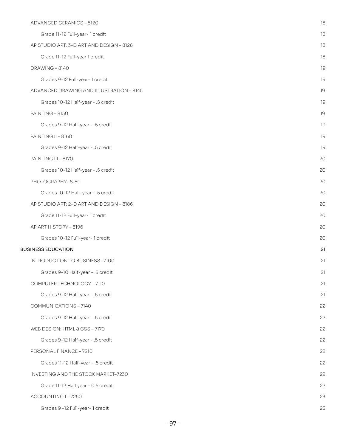| ADVANCED CERAMICS - 8120                 | 18 |
|------------------------------------------|----|
| Grade 11-12 Full-year-1 credit           | 18 |
| AP STUDIO ART: 3-D ART AND DESIGN - 8126 | 18 |
| Grade 11-12 Full-year 1 credit           | 18 |
| DRAWING-8140                             | 19 |
| Grades 9-12 Full-year-1 credit           | 19 |
| ADVANCED DRAWING AND ILLUSTRATION - 8145 | 19 |
| Grades 10-12 Half-year - .5 credit       | 19 |
| PAINTING-8150                            | 19 |
| Grades 9-12 Half-year - .5 credit        | 19 |
| <b>PAINTING II - 8160</b>                | 19 |
| Grades 9-12 Half-year - .5 credit        | 19 |
| PAINTING III - 8170                      | 20 |
| Grades 10-12 Half-year - .5 credit       | 20 |
| PHOTOGRAPHY-8180                         | 20 |
| Grades 10-12 Half-year - .5 credit       | 20 |
| AP STUDIO ART: 2-D ART AND DESIGN - 8186 | 20 |
| Grade 11-12 Full-year-1 credit           | 20 |
| AP ART HISTORY - 8196                    | 20 |
| Grades 10-12 Full-year-1 credit          | 20 |
| <b>BUSINESS EDUCATION</b>                | 21 |
| INTRODUCTION TO BUSINESS-7100            | 21 |
| Grades 9-10 Half-year - .5 credit        | 21 |
| COMPUTER TECHNOLOGY - 7110               | 21 |
| Grades 9-12 Half-year - .5 credit        | 21 |
| COMMUNICATIONS-7140                      | 22 |
| Grades 9-12 Half-year - .5 credit        | 22 |
| WEB DESIGN: HTML & CSS-7170              | 22 |
| Grades 9-12 Half-year - .5 credit        | 22 |
| PERSONAL FINANCE - 7210                  | 22 |
| Grades 11-12 Half-year - .5 credit       | 22 |
| INVESTING AND THE STOCK MARKET-7230      | 22 |
| Grade 11-12 Half year - 0.5 credit       | 22 |
| ACCOUNTING I-7250                        | 23 |
| Grades 9 - 12 Full-year- 1 credit        | 23 |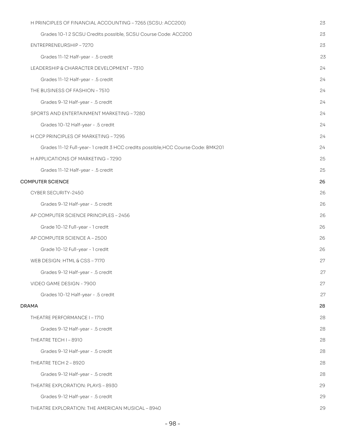| H PRINCIPLES OF FINANCIAL ACCOUNTING - 7265 (SCSU: ACC200)                      | 23 |
|---------------------------------------------------------------------------------|----|
| Grades 10-1 2 SCSU Credits possible, SCSU Course Code: ACC200                   | 23 |
| ENTREPRENEURSHIP-7270                                                           | 23 |
| Grades 11-12 Half-year - .5 credit                                              | 23 |
| LEADERSHIP & CHARACTER DEVELOPMENT - 7310                                       | 24 |
| Grades 11-12 Half-year - .5 credit                                              | 24 |
| THE BUSINESS OF FASHION - 7510                                                  | 24 |
| Grades 9-12 Half-year - .5 credit                                               | 24 |
| SPORTS AND ENTERTAINMENT MARKETING - 7280                                       | 24 |
| Grades 10-12 Half-year - .5 credit                                              | 24 |
| H CCP PRINCIPLES OF MARKETING - 7295                                            | 24 |
| Grades 11-12 Full-year-1 credit 3 HCC credits possible, HCC Course Code: BMK201 | 24 |
| H APPLICATIONS OF MARKETING - 7290                                              | 25 |
| Grades 11-12 Half-year - .5 credit                                              | 25 |
| <b>COMPUTER SCIENCE</b>                                                         | 26 |
| CYBER SECURITY-2450                                                             | 26 |
| Grades 9-12 Half-year - .5 credit                                               | 26 |
| AP COMPUTER SCIENCE PRINCIPLES - 2456                                           | 26 |
| Grade 10-12 Full-year - 1 credit                                                | 26 |
| AP COMPUTER SCIENCE A - 2500                                                    | 26 |
| Grade 10-12 Full-year - 1 credit                                                | 26 |
| WEB DESIGN: HTML & CSS - 7170                                                   | 27 |
| Grades 9-12 Half-year - .5 credit                                               | 27 |
| VIDEO GAME DESIGN - 7900                                                        | 27 |
| Grades 10-12 Half-year - .5 credit                                              | 27 |
| <b>DRAMA</b>                                                                    | 28 |
| THEATRE PERFORMANCE I - 1710                                                    | 28 |
| Grades 9-12 Half-year - .5 credit                                               | 28 |
| THEATRE TECH I-8910                                                             | 28 |
| Grades 9-12 Half-year - .5 credit                                               | 28 |
| THEATRE TECH 2 - 8920                                                           | 28 |
| Grades 9-12 Half-year - .5 credit                                               | 28 |
| THEATRE EXPLORATION: PLAYS - 8930                                               | 29 |
| Grades 9-12 Half-year - .5 credit                                               | 29 |
| THEATRE EXPLORATION: THE AMERICAN MUSICAL - 8940                                | 29 |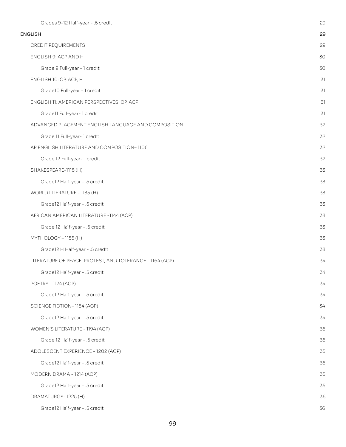| Grades 9-12 Half-year - .5 credit                        | 29 |
|----------------------------------------------------------|----|
| <b>ENGLISH</b>                                           | 29 |
| CREDIT REQUIREMENTS                                      | 29 |
| ENGLISH 9: ACP AND H                                     | 30 |
| Grade 9 Full-year - 1 credit                             | 30 |
| ENGLISH 10: CP, ACP, H                                   | 31 |
| Grade10 Full-year - 1 credit                             | 31 |
| ENGLISH 11: AMERICAN PERSPECTIVES: CP, ACP               | 31 |
| Gradell Full-year-1 credit                               | 31 |
| ADVANCED PLACEMENT ENGLISH LANGUAGE AND COMPOSITION      | 32 |
| Grade 11 Full-year- 1 credit                             | 32 |
| AP ENGLISH LITERATURE AND COMPOSITION-1106               | 32 |
| Grade 12 Full-year-1 credit                              | 32 |
| SHAKESPEARE-1115 (H)                                     | 33 |
| Gradel2 Half-year - .5 credit                            | 33 |
| WORLD LITERATURE - 1135 (H)                              | 33 |
| Gradel2 Half-year - .5 credit                            | 33 |
| AFRICAN AMERICAN LITERATURE -1144 (ACP)                  | 33 |
| Grade 12 Half-year - .5 credit                           | 33 |
| MYTHOLOGY - 1155 (H)                                     | 33 |
| Grade12 H Half-year - .5 credit                          | 33 |
| LITERATURE OF PEACE, PROTEST, AND TOLERANCE - 1164 (ACP) | 34 |
| Grade12 Half-year - .5 credit                            | 34 |
| POETRY - 1174 (ACP)                                      | 34 |
| Grade12 Half-year - .5 credit                            | 34 |
| SCIENCE FICTION-1184 (ACP)                               | 34 |
| Grade12 Half-year - .5 credit                            | 34 |
| WOMEN'S LITERATURE - 1194 (ACP)                          | 35 |
| Grade 12 Half-year - .5 credit                           | 35 |
| ADOLESCENT EXPERIENCE - 1202 (ACP)                       | 35 |
| Gradel2 Half-year - .5 credit                            | 35 |
| MODERN DRAMA - 1214 (ACP)                                | 35 |
| Grade12 Half-year - .5 credit                            | 35 |
| DRAMATURGY-1225 (H)                                      | 36 |
| Grade12 Half-year - .5 credit                            | 36 |
|                                                          |    |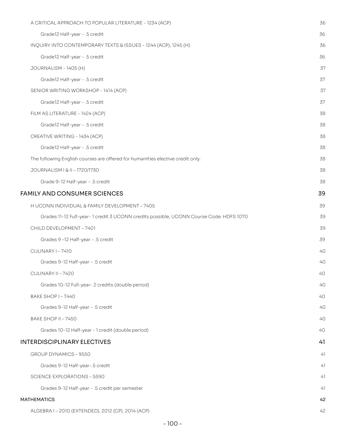| A CRITICAL APPROACH TO POPULAR LITERATURE - 1234 (ACP)                                  | 36 |
|-----------------------------------------------------------------------------------------|----|
| Gradel2 Half-year - .5 credit                                                           | 36 |
| INQUIRY INTO CONTEMPORARY TEXTS & ISSUES - 1244 (ACP), 1245 (H)                         | 36 |
| Gradel2 Half-year - .5 credit                                                           | 36 |
| JOURNALISM - 1405 (H)                                                                   | 37 |
| Gradel2 Half-year - .5 credit                                                           | 37 |
| SENIOR WRITING WORKSHOP - 1414 (ACP)                                                    | 37 |
| Grade12 Half-year - .5 credit                                                           | 37 |
| FILM AS LITERATURE - 1424 (ACP)                                                         | 38 |
| Gradel2 Half-year - .5 credit                                                           | 38 |
| CREATIVE WRITING - 1434 (ACP)                                                           | 38 |
| Gradel2 Half-year - .5 credit                                                           | 38 |
| The following English courses are offered for humanities elective credit only:          | 38 |
| JOURNALISM   & II - 1720/1730                                                           | 38 |
| Grade 9-12 Half-year - .5 credit                                                        | 38 |
| <b>FAMILY AND CONSUMER SCIENCES</b>                                                     | 39 |
| H UCONN INDIVIDUAL & FAMILY DEVELOPMENT - 7405                                          | 39 |
| Grades 11-12 Full-year- 1 credit 3 UCONN credits possible, UCONN Course Code: HDFS 1070 | 39 |
| CHILD DEVELOPMENT - 7401                                                                | 39 |
| Grades 9-12 Half-year - .5 credit                                                       | 39 |
| <b>CULINARY I-7410</b>                                                                  | 40 |
| Grades 9-12 Half-year - .5 credit                                                       | 40 |
| CULINARY II - 7420                                                                      | 40 |
| Grades 10-12 Full-year- 2 credits (double period)                                       | 40 |
| BAKE SHOP I-7440                                                                        | 40 |
| Grades 9-12 Half-year - .5 credit                                                       | 40 |
| BAKE SHOP II - 7450                                                                     | 40 |
| Grades 10-12 Half-year - 1 credit (double period)                                       | 40 |
| <b>INTERDISCIPLINARY ELECTIVES</b>                                                      | 41 |
| GROUP DYNAMICS - 9550                                                                   | 41 |
| Grades 9-12 Half-year-.5 credit                                                         | 41 |
| <b>SCIENCE EXPLORATIONS - 5590</b>                                                      | 41 |
| Grades 9-12 Half-year - .5 credit per semester                                          | 41 |
| MATHEMATICS                                                                             | 42 |
| ALGEBRA I - 2010 (EXTENDED), 2012 (CP), 2014 (ACP)                                      | 42 |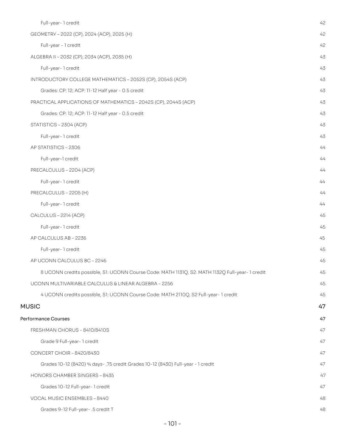| Full-year-1 credit                                                                              | 42 |
|-------------------------------------------------------------------------------------------------|----|
| GEOMETRY - 2022 (CP), 2024 (ACP), 2025 (H)                                                      | 42 |
| Full-year - 1 credit                                                                            | 42 |
| ALGEBRA II - 2032 (CP), 2034 (ACP), 2035 (H)                                                    | 43 |
| Full-year-1 credit                                                                              | 43 |
| INTRODUCTORY COLLEGE MATHEMATICS - 2052S (CP), 2054S (ACP)                                      | 43 |
| Grades: CP: 12; ACP: 11-12 Half year - 0.5 credit                                               | 43 |
| PRACTICAL APPLICATIONS OF MATHEMATICS - 2042S (CP), 2044S (ACP)                                 | 43 |
| Grades: CP: 12; ACP: 11-12 Half year - 0.5 credit                                               | 43 |
| STATISTICS - 2304 (ACP)                                                                         | 43 |
| Full-year-1 credit                                                                              | 43 |
| AP STATISTICS - 2306                                                                            | 44 |
| Full-year-1 credit                                                                              | 44 |
| PRECALCULUS - 2204 (ACP)                                                                        | 44 |
| Full-year-1 credit                                                                              | 44 |
| PRECALCULUS - 2205 (H)                                                                          | 44 |
| Full-year-1 credit                                                                              | 44 |
| CALCULUS - 2214 (ACP)                                                                           | 45 |
| Full-year-1 credit                                                                              | 45 |
| AP CALCULUS AB - 2236                                                                           | 45 |
| Full-year-1 credit                                                                              | 45 |
| AP UCONN CALCULUS BC-2246                                                                       | 45 |
| 8 UCONN credits possible, S1: UCONN Course Code: MATH 1131Q, S2: MATH 1132Q Full-year- 1 credit | 45 |
| UCONN MULTIVARIABLE CALCULUS & LINEAR ALGEBRA - 2256                                            | 45 |
| 4 UCONN credits possible, S1: UCONN Course Code: MATH 2110Q, S2 Full-year- 1 credit             | 45 |
| <b>MUSIC</b>                                                                                    | 47 |
| Performance Courses                                                                             | 47 |
| FRESHMAN CHORUS - 8410/8410S                                                                    | 47 |
| Grade 9 Full-year-1 credit                                                                      | 47 |
| CONCERT CHOIR - 8420/8430                                                                       | 47 |
| Grades 10-12 (8420) 3/4 days- .75 credit Grades 10-12 (8430) Full-year - 1 credit               | 47 |
| HONORS CHAMBER SINGERS - 8435                                                                   | 47 |
| Grades 10-12 Full-year-1 credit                                                                 | 47 |
| VOCAL MUSIC ENSEMBLES - 8440                                                                    | 48 |
| Grades 9-12 Full-year- .5 credit T                                                              | 48 |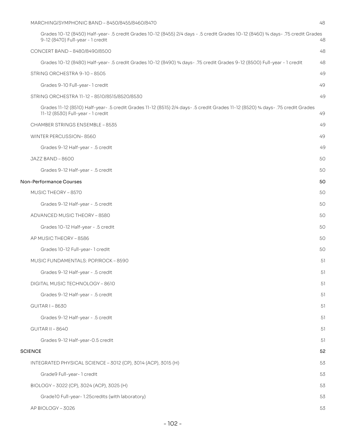| MARCHING/SYMPHONIC BAND - 8450/8455/8460/8470                                                                                                                         | 48 |
|-----------------------------------------------------------------------------------------------------------------------------------------------------------------------|----|
| Grades 10-12 (8450) Half-year- .5 credit Grades 10-12 (8455) 2/4 days - .5 credit Grades 10-12 (8460) 3/4 days- .75 credit Grades<br>9-12 (8470) Full-year - 1 credit | 48 |
| CONCERT BAND - 8480/8490/8500                                                                                                                                         | 48 |
| Grades 10-12 (8480) Half-year- .5 credit Grades 10-12 (8490) ¾ days- .75 credit Grades 9-12 (8500) Full-year - 1 credit                                               | 48 |
| STRING ORCHESTRA 9-10 - 8505                                                                                                                                          | 49 |
| Grades 9-10 Full-year-1 credit                                                                                                                                        | 49 |
| STRING ORCHESTRA 11-12 - 8510/8515/8520/8530                                                                                                                          | 49 |
| Grades 11-12 (8510) Half-year- .5 credit Grades 11-12 (8515) 2/4 days- .5 credit Grades 11-12 (8520) 3/4 days- .75 credit Grades<br>11-12 (8530) Full-year - 1 credit | 49 |
| CHAMBER STRINGS ENSEMBLE - 8535                                                                                                                                       | 49 |
| WINTER PERCUSSION-8560                                                                                                                                                | 49 |
| Grades 9-12 Half-year - .5 credit                                                                                                                                     | 49 |
| JAZZ BAND-8600                                                                                                                                                        | 50 |
| Grades 9-12 Half-year - .5 credit                                                                                                                                     | 50 |
| <b>Non-Performance Courses</b>                                                                                                                                        | 50 |
| MUSIC THEORY - 8570                                                                                                                                                   | 50 |
| Grades 9-12 Half-year - .5 credit                                                                                                                                     | 50 |
| ADVANCED MUSIC THEORY - 8580                                                                                                                                          | 50 |
| Grades 10-12 Half-year - .5 credit                                                                                                                                    | 50 |
| AP MUSIC THEORY - 8586                                                                                                                                                | 50 |
| Grades 10-12 Full-year-1 credit                                                                                                                                       | 50 |
| MUSIC FUNDAMENTALS: POP/ROCK-8590                                                                                                                                     | 51 |
| Grades 9-12 Half-year - .5 credit                                                                                                                                     | 51 |
| DIGITAL MUSIC TECHNOLOGY - 8610                                                                                                                                       | 51 |
| Grades 9-12 Half-year - .5 credit                                                                                                                                     | 51 |
| <b>GUITAR I-8630</b>                                                                                                                                                  | 51 |
| Grades 9-12 Half-year - .5 credit                                                                                                                                     | 51 |
| <b>GUITAR II - 8640</b>                                                                                                                                               | 51 |
| Grades 9-12 Half-year-0.5 credit                                                                                                                                      | 51 |
| <b>SCIENCE</b>                                                                                                                                                        | 52 |
| INTEGRATED PHYSICAL SCIENCE - 3012 (CP), 3014 (ACP), 3015 (H)                                                                                                         | 53 |
| Grade9 Full-year-1 credit                                                                                                                                             | 53 |
| BIOLOGY - 3022 (CP), 3024 (ACP), 3025 (H)                                                                                                                             | 53 |
| Grade10 Full-year-1.25credits (with laboratory)                                                                                                                       | 53 |
| AP BIOLOGY - 3026                                                                                                                                                     | 53 |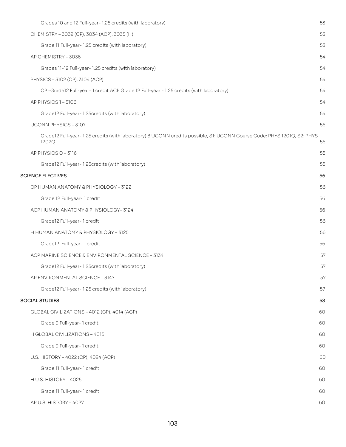| Grades 10 and 12 Full-year- 1.25 credits (with laboratory)                                                                       | 53 |
|----------------------------------------------------------------------------------------------------------------------------------|----|
| CHEMISTRY - 3032 (CP), 3034 (ACP), 3035 (H)                                                                                      | 53 |
| Grade 11 Full-year- 1.25 credits (with laboratory)                                                                               | 53 |
| AP CHEMISTRY - 3036                                                                                                              | 54 |
| Grades 11-12 Full-year-1.25 credits (with laboratory)                                                                            | 54 |
| PHYSICS - 3102 (CP), 3104 (ACP)                                                                                                  | 54 |
| CP-Grade12 Full-year-1 credit ACP Grade 12 Full-year - 1.25 credits (with laboratory)                                            | 54 |
| AP PHYSICS 1-3106                                                                                                                | 54 |
| Grade12 Full-year- 1.25credits (with laboratory)                                                                                 | 54 |
| UCONN PHYSICS - 3107                                                                                                             | 55 |
| Grade12 Full-year- 1.25 credits (with laboratory) 8 UCONN credits possible, S1: UCONN Course Code: PHYS 1201Q, S2: PHYS<br>1202Q | 55 |
| AP PHYSICS C-3116                                                                                                                | 55 |
| Grade12 Full-year-1.25 credits (with laboratory)                                                                                 | 55 |
| <b>SCIENCE ELECTIVES</b>                                                                                                         | 56 |
| CP HUMAN ANATOMY & PHYSIOLOGY - 3122                                                                                             | 56 |
| Grade 12 Full-year-1 credit                                                                                                      | 56 |
| ACP HUMAN ANATOMY & PHYSIOLOGY-3124                                                                                              | 56 |
| Grade12 Full-year-1 credit                                                                                                       | 56 |
| H HUMAN ANATOMY & PHYSIOLOGY - 3125                                                                                              | 56 |
| Grade12 Full-year-1 credit                                                                                                       | 56 |
| ACP MARINE SCIENCE & ENVIRONMENTAL SCIENCE - 3134                                                                                | 57 |
| Grade12 Full-year-1.25 credits (with laboratory)                                                                                 | 57 |
| AP ENVIRONMENTAL SCIENCE - 3147                                                                                                  | 57 |
| Grade12 Full-year-1.25 credits (with laboratory)                                                                                 | 57 |
| <b>SOCIAL STUDIES</b>                                                                                                            | 58 |
| GLOBAL CIVILIZATIONS - 4012 (CP), 4014 (ACP)                                                                                     | 60 |
| Grade 9 Full-year- 1 credit                                                                                                      | 60 |
| H GLOBAL CIVILIZATIONS - 4015                                                                                                    | 60 |
| Grade 9 Full-year- 1 credit                                                                                                      | 60 |
| U.S. HISTORY - 4022 (CP), 4024 (ACP)                                                                                             | 60 |
| Grade 11 Full-year- 1 credit                                                                                                     | 60 |
| H U.S. HISTORY - 4025                                                                                                            | 60 |
| Grade 11 Full-year- 1 credit                                                                                                     | 60 |
| AP U.S. HISTORY - 4027                                                                                                           | 60 |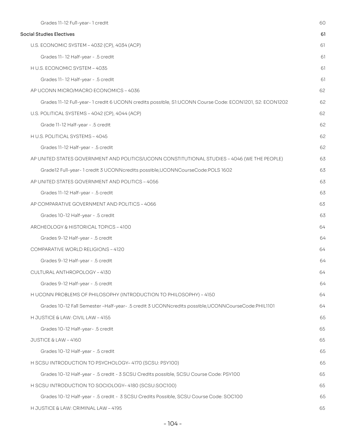| Grades 11-12 Full-year-1 credit                                                                        | 60 |
|--------------------------------------------------------------------------------------------------------|----|
| <b>Social Studies Electives</b>                                                                        | 61 |
| U.S. ECONOMIC SYSTEM - 4032 (CP), 4034 (ACP)                                                           | 61 |
| Grades 11-12 Half-year - .5 credit                                                                     | 61 |
| H U.S. ECONOMIC SYSTEM - 4035                                                                          | 61 |
| Grades 11-12 Half-year - .5 credit                                                                     | 61 |
| AP UCONN MICRO/MACRO ECONOMICS - 4036                                                                  | 62 |
| Grades 11-12 Full-year-1 credit 6 UCONN credits possible, S1:UCONN Course Code: ECON1201, S2: ECON1202 | 62 |
| U.S. POLITICAL SYSTEMS - 4042 (CP), 4044 (ACP)                                                         | 62 |
| Grade 11-12 Half-year - .5 credit                                                                      | 62 |
| H U.S. POLITICAL SYSTEMS - 4045                                                                        | 62 |
| Grades 11-12 Half-year - .5 credit                                                                     | 62 |
| AP UNITED STATES GOVERNMENT AND POLITICS/UCONN CONSTITUTIONAL STUDIES - 4046 (WE THE PEOPLE)           | 63 |
| Grade12 Full-year-1 credit 3 UCONNcredits possible, UCONNCourseCode: POLS 1602                         | 63 |
| AP UNITED STATES GOVERNMENT AND POLITICS - 4056                                                        | 63 |
| Grades 11-12 Half-year - .5 credit                                                                     | 63 |
| AP COMPARATIVE GOVERNMENT AND POLITICS - 4066                                                          | 63 |
| Grades 10-12 Half-year - .5 credit                                                                     | 63 |
| ARCHEOLOGY & HISTORICAL TOPICS - 4100                                                                  | 64 |
| Grades 9-12 Half-year - .5 credit                                                                      | 64 |
| COMPARATIVE WORLD RELIGIONS - 4120                                                                     | 64 |
| Grades 9-12 Half-year - .5 credit                                                                      | 64 |
| CULTURAL ANTHROPOLOGY - 4130                                                                           | 64 |
| Grades 9-12 Half-year - .5 credit                                                                      | 64 |
| H UCONN PROBLEMS OF PHILOSOPHY (INTRODUCTION TO PHILOSOPHY) - 4150                                     | 64 |
| Grades 10-12 Fall Semester -Half-year- .5 credit 3 UCONNcredits possible, UCONNCourseCode: PHIL1101    | 64 |
| H JUSTICE & LAW: CIVIL LAW - 4155                                                                      | 65 |
| Grades 10-12 Half-year- .5 credit                                                                      | 65 |
| JUSTICE & LAW - 4160                                                                                   | 65 |
| Grades 10-12 Half-year - .5 credit                                                                     | 65 |
| H SCSU INTRODUCTION TO PSYCHOLOGY- 4170 (SCSU: PSY100)                                                 | 65 |
| Grades 10-12 Half-year - .5 credit - 3 SCSU Credits possible, SCSU Course Code: PSY100                 | 65 |
| H SCSU INTRODUCTION TO SOCIOLOGY-4180 (SCSU:SOC100)                                                    | 65 |
| Grades 10-12 Half-year - .5 credit - 3 SCSU Credits Possible, SCSU Course Code: SOC100                 | 65 |
| H JUSTICE & LAW: CRIMINAL LAW - 4195                                                                   | 65 |
|                                                                                                        |    |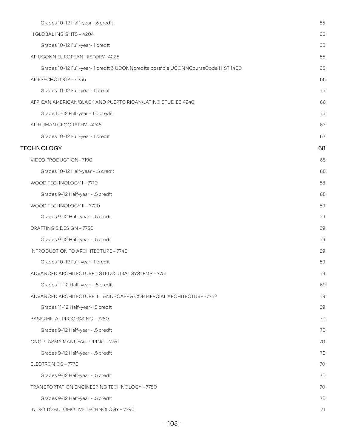| Grades 10-12 Half-year- .5 credit                                                   | 65 |
|-------------------------------------------------------------------------------------|----|
| H GLOBAL INSIGHTS - 4204                                                            | 66 |
| Grades 10-12 Full-year-1 credit                                                     | 66 |
| AP UCONN EUROPEAN HISTORY-4226                                                      | 66 |
| Grades 10-12 Full-year-1 credit 3 UCONNcredits possible, UCONNCourseCode: HIST 1400 | 66 |
| AP PSYCHOLOGY - 4236                                                                | 66 |
| Grades 10-12 Full-year- 1 credit                                                    | 66 |
| AFRICAN AMERICAN/BLACK AND PUERTO RICAN/LATINO STUDIES 4240                         | 66 |
| Grade 10-12 Full-year - 1.0 credit                                                  | 66 |
| AP HUMAN GEOGRAPHY-4246                                                             | 67 |
| Grades 10-12 Full-year- 1 credit                                                    | 67 |
| <b>TECHNOLOGY</b>                                                                   | 68 |
| VIDEO PRODUCTION-7190                                                               | 68 |
| Grades 10-12 Half-year - .5 credit                                                  | 68 |
| WOOD TECHNOLOGY I-7710                                                              | 68 |
| Grades 9-12 Half-year - .5 credit                                                   | 68 |
| WOOD TECHNOLOGY II - 7720                                                           | 69 |
| Grades 9-12 Half-year - .5 credit                                                   | 69 |
| DRAFTING & DESIGN - 7730                                                            | 69 |
| Grades 9-12 Half-year - .5 credit                                                   | 69 |
| INTRODUCTION TO ARCHITECTURE - 7740                                                 | 69 |
| Grades 10-12 Full-year-1 credit                                                     | 69 |
| ADVANCED ARCHITECTURE I: STRUCTURAL SYSTEMS - 7751                                  | 69 |
| Grades 11-12 Half-year - .5 credit                                                  | 69 |
| ADVANCED ARCHITECTURE II: LANDSCAPE & COMMERCIAL ARCHITECTURE -7752                 | 69 |
| Grades 11-12 Half-year- .5 credit                                                   | 69 |
| BASIC METAL PROCESSING - 7760                                                       | 70 |
| Grades 9-12 Half-year - .5 credit                                                   | 70 |
| CNC PLASMA MANUFACTURING - 7761                                                     | 70 |
| Grades 9-12 Half-year - .5 credit                                                   | 70 |
| ELECTRONICS - 7770                                                                  | 70 |
| Grades 9-12 Half-year - .5 credit                                                   | 70 |
| <b>TRANSPORTATION ENGINEERING TECHNOLOGY - 7780</b>                                 | 70 |
| Grades 9-12 Half-year - .5 credit                                                   | 70 |
| INTRO TO AUTOMOTIVE TECHNOLOGY - 7790                                               | 71 |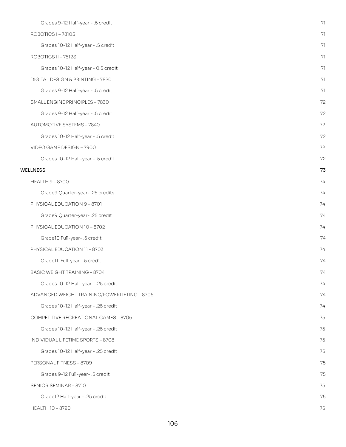| Grades 9-12 Half-year - .5 credit            | 71 |
|----------------------------------------------|----|
| ROBOTICS I-7810S                             | 71 |
| Grades 10-12 Half-year - .5 credit           | 71 |
| ROBOTICS II - 7812S                          | 71 |
| Grades 10-12 Half-year - 0.5 credit          | 71 |
| DIGITAL DESIGN & PRINTING - 7820             | 71 |
| Grades 9-12 Half-year - .5 credit            | 71 |
| SMALL ENGINE PRINCIPLES - 7830               | 72 |
| Grades 9-12 Half-year - .5 credit            | 72 |
| <b>AUTOMOTIVE SYSTEMS - 7840</b>             | 72 |
| Grades 10-12 Half-year - .5 credit           | 72 |
| VIDEO GAME DESIGN - 7900                     | 72 |
| Grades 10-12 Half-year - .5 credit           | 72 |
| WELLNESS                                     | 73 |
| <b>HEALTH 9-8700</b>                         | 74 |
| Grade9 Quarter-year- .25 credits             | 74 |
| PHYSICAL EDUCATION 9 - 8701                  | 74 |
| Grade9 Quarter-year- .25 credit              | 74 |
| PHYSICAL EDUCATION 10 - 8702                 | 74 |
| Grade10 Full-year- .5 credit                 | 74 |
| PHYSICAL EDUCATION 11 - 8703                 | 74 |
| Gradell Full-year- .5 credit                 | 74 |
| <b>BASIC WEIGHT TRAINING - 8704</b>          | 74 |
| Grades 10-12 Half-year - .25 credit          | 74 |
| ADVANCED WEIGHT TRAINING/POWERLIFTING - 8705 | 74 |
| Grades 10-12 Half-year - .25 credit          | 74 |
| COMPETITIVE RECREATIONAL GAMES - 8706        | 75 |
| Grades 10-12 Half-year - .25 credit          | 75 |
| INDIVIDUAL LIFETIME SPORTS - 8708            | 75 |
| Grades 10-12 Half-year - .25 credit          | 75 |
| PERSONAL FITNESS - 8709                      | 75 |
| Grades 9-12 Full-year- .5 credit             | 75 |
| SENIOR SEMINAR-8710                          | 75 |
| Grade12 Half-year - .25 credit               | 75 |
| HEALTH 10 - 8720                             | 75 |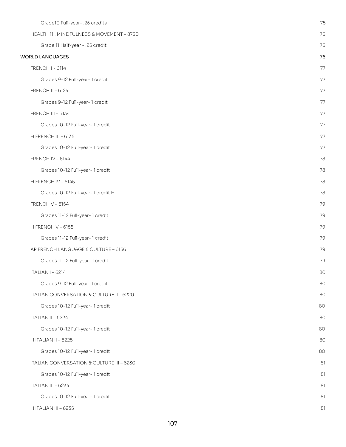| Grade10 Full-year- .25 credits            | 75 |
|-------------------------------------------|----|
| HEALTH 11: MINDFULNESS & MOVEMENT - 8730  | 76 |
| Grade 11 Half-year - .25 credit           | 76 |
| <b>WORLD LANGUAGES</b>                    | 76 |
| <b>FRENCH I - 6114</b>                    | 77 |
| Grades 9-12 Full-year-1 credit            | 77 |
| FRENCH II - 6124                          | 77 |
| Grades 9-12 Full-year-1 credit            | 77 |
| FRENCH III - 6134                         | 77 |
| Grades 10-12 Full-year-1 credit           | 77 |
| H FRENCH III - 6135                       | 77 |
| Grades 10-12 Full-year-1 credit           | 77 |
| <b>FRENCH IV - 6144</b>                   | 78 |
| Grades 10-12 Full-year-1 credit           | 78 |
| H FRENCH IV - 6145                        | 78 |
| Grades 10-12 Full-year-1 credit H         | 78 |
| <b>FRENCH V - 6154</b>                    | 79 |
| Grades 11-12 Full-year-1 credit           | 79 |
| H FRENCH V-6155                           | 79 |
| Grades 11-12 Full-year-1 credit           | 79 |
| AP FRENCH LANGUAGE & CULTURE - 6156       | 79 |
| Grades 11-12 Full-year-1 credit           | 79 |
| <b>ITALIAN I-6214</b>                     | 80 |
| Grades 9-12 Full-year-1 credit            | 80 |
| ITALIAN CONVERSATION & CULTURE II - 6220  | 80 |
| Grades 10-12 Full-year-1 credit           | 80 |
| ITALIAN II - 6224                         | 80 |
| Grades 10-12 Full-year-1 credit           | 80 |
| H ITALIAN II - 6225                       | 80 |
| Grades 10-12 Full-year-1 credit           | 80 |
| ITALIAN CONVERSATION & CULTURE III - 6230 | 81 |
| Grades 10-12 Full-year-1 credit           | 81 |
| ITALIAN III - 6234                        | 81 |
| Grades 10-12 Full-year-1 credit           | 81 |
| H ITALIAN III - 6235                      | 81 |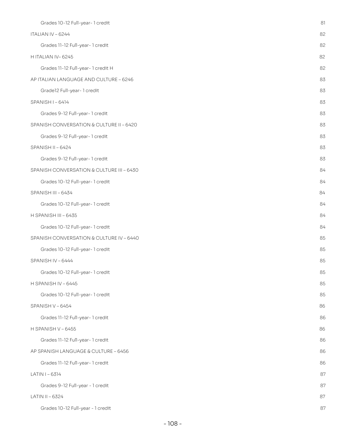| Grades 10-12 Full-year-1 credit           | 81 |
|-------------------------------------------|----|
| ITALIAN IV - 6244                         | 82 |
| Grades 11-12 Full-year-1 credit           | 82 |
| H ITALIAN IV-6245                         | 82 |
| Grades 11-12 Full-year-1 credit H         | 82 |
| AP ITALIAN LANGUAGE AND CULTURE - 6246    | 83 |
| Grade12 Full-year-1 credit                | 83 |
| SPANISH I-6414                            | 83 |
| Grades 9-12 Full-year-1 credit            | 83 |
| SPANISH CONVERSATION & CULTURE II - 6420  | 83 |
| Grades 9-12 Full-year-1 credit            | 83 |
| SPANISH II - 6424                         | 83 |
| Grades 9-12 Full-year-1 credit            | 83 |
| SPANISH CONVERSATION & CULTURE III - 6430 | 84 |
| Grades 10-12 Full-year-1 credit           | 84 |
| SPANISH III - 6434                        | 84 |
| Grades 10-12 Full-year-1 credit           | 84 |
| H SPANISH III - 6435                      | 84 |
| Grades 10-12 Full-year-1 credit           | 84 |
| SPANISH CONVERSATION & CULTURE IV - 6440  | 85 |
| Grades 10-12 Full-year-1 credit           | 85 |
| SPANISH IV - 6444                         | 85 |
| Grades 10-12 Full-year-1 credit           | 85 |
| H SPANISH IV - 6445                       | 85 |
| Grades 10-12 Full-year-1 credit           | 85 |
| SPANISH V-6454                            | 86 |
| Grades 11-12 Full-year-1 credit           | 86 |
| H SPANISH V - 6455                        | 86 |
| Grades 11-12 Full-year-1 credit           | 86 |
| AP SPANISH LANGUAGE & CULTURE - 6456      | 86 |
| Grades 11-12 Full-year-1 credit           | 86 |
| LATIN I-6314                              | 87 |
| Grades 9-12 Full-year - 1 credit          | 87 |
| LATIN II - 6324                           | 87 |
| Grades 10-12 Full-year - 1 credit         | 87 |